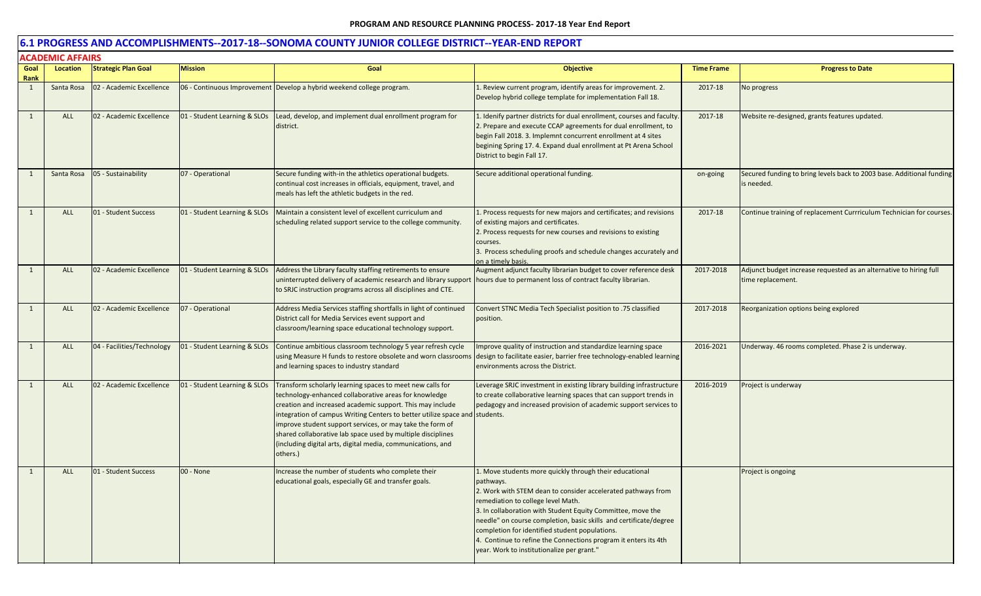| Goal                 | ALADEIVIIL AFFAIRS<br>Location | <b>Strategic Plan Goal</b> | <b>Mission</b>               | Goal                                                                                                                                                                                                                                                                                                                                                                                                                                                                  | <b>Objective</b>                                                                                                                                                                                                                                                                                                                                                                                                                                                                  | <b>Time Frame</b> | <b>Progress to Date</b>                                                                 |
|----------------------|--------------------------------|----------------------------|------------------------------|-----------------------------------------------------------------------------------------------------------------------------------------------------------------------------------------------------------------------------------------------------------------------------------------------------------------------------------------------------------------------------------------------------------------------------------------------------------------------|-----------------------------------------------------------------------------------------------------------------------------------------------------------------------------------------------------------------------------------------------------------------------------------------------------------------------------------------------------------------------------------------------------------------------------------------------------------------------------------|-------------------|-----------------------------------------------------------------------------------------|
| Rank<br>$\mathbf{1}$ | Santa Rosa                     | 02 - Academic Excellence   |                              | 06 - Continuous Improvement Develop a hybrid weekend college program.                                                                                                                                                                                                                                                                                                                                                                                                 | Review current program, identify areas for improvement. 2.<br>Develop hybrid college template for implementation Fall 18.                                                                                                                                                                                                                                                                                                                                                         | 2017-18           | No progress                                                                             |
| 1                    | ALL                            | 02 - Academic Excellence   | 01 - Student Learning & SLOs | Lead, develop, and implement dual enrollment program for<br>district.                                                                                                                                                                                                                                                                                                                                                                                                 | 1. Idenify partner districts for dual enrollment, courses and faculty<br>2. Prepare and execute CCAP agreements for dual enrollment, to<br>begin Fall 2018. 3. Implemnt concurrent enrollment at 4 sites<br>begining Spring 17. 4. Expand dual enrollment at Pt Arena School<br>District to begin Fall 17.                                                                                                                                                                        | 2017-18           | Website re-designed, grants features updated.                                           |
| 1                    | Santa Rosa                     | 05 - Sustainability        | 07 - Operational             | Secure funding with-in the athletics operational budgets.<br>continual cost increases in officials, equipment, travel, and<br>meals has left the athletic budgets in the red.                                                                                                                                                                                                                                                                                         | Secure additional operational funding.                                                                                                                                                                                                                                                                                                                                                                                                                                            | on-going          | Secured funding to bring levels back to 2003 base. Additional funding<br>is needed.     |
| $\mathbf{1}$         | ALL                            | 01 - Student Success       | 01 - Student Learning & SLOs | Maintain a consistent level of excellent curriculum and<br>scheduling related support service to the college community.                                                                                                                                                                                                                                                                                                                                               | 1. Process requests for new majors and certificates; and revisions<br>of existing majors and certificates.<br>2. Process requests for new courses and revisions to existing<br>courses.<br>3. Process scheduling proofs and schedule changes accurately and<br>on a timely basis.                                                                                                                                                                                                 | 2017-18           | Continue training of replacement Currriculum Technician for courses.                    |
| $\overline{1}$       | ALL                            | 02 - Academic Excellence   | 01 - Student Learning & SLOs | Address the Library faculty staffing retirements to ensure<br>uninterrupted delivery of academic research and library support   hours due to permanent loss of contract faculty librarian.<br>to SRJC instruction programs across all disciplines and CTE.                                                                                                                                                                                                            | Augment adjunct faculty librarian budget to cover reference desk                                                                                                                                                                                                                                                                                                                                                                                                                  | 2017-2018         | Adjunct budget increase requested as an alternative to hiring full<br>time replacement. |
| 1                    | <b>ALL</b>                     | 02 - Academic Excellence   | 07 - Operational             | Address Media Services staffing shortfalls in light of continued<br>District call for Media Services event support and<br>classroom/learning space educational technology support.                                                                                                                                                                                                                                                                                    | Convert STNC Media Tech Specialist position to .75 classified<br>position.                                                                                                                                                                                                                                                                                                                                                                                                        | 2017-2018         | Reorganization options being explored                                                   |
| 1                    | ALL                            | 04 - Facilities/Technology | 01 - Student Learning & SLOs | Continue ambitious classroom technology 5 year refresh cycle<br>using Measure H funds to restore obsolete and worn classrooms<br>and learning spaces to industry standard                                                                                                                                                                                                                                                                                             | mprove quality of instruction and standardize learning space<br>design to facilitate easier, barrier free technology-enabled learning<br>environments across the District.                                                                                                                                                                                                                                                                                                        | 2016-2021         | Underway. 46 rooms completed. Phase 2 is underway.                                      |
| 1                    | <b>ALL</b>                     | 02 - Academic Excellence   | 01 - Student Learning & SLOs | Transform scholarly learning spaces to meet new calls for<br>technology-enhanced collaborative areas for knowledge<br>creation and increased academic support. This may include<br>integration of campus Writing Centers to better utilize space and students.<br>improve student support services, or may take the form of<br>shared collaborative lab space used by multiple disciplines<br>(including digital arts, digital media, communications, and<br>others.) | Leverage SRJC investment in existing library building infrastructure<br>to create collaborative learning spaces that can support trends in<br>pedagogy and increased provision of academic support services to                                                                                                                                                                                                                                                                    | 2016-2019         | Project is underway                                                                     |
| 1                    | ALL                            | 01 - Student Success       | 00 - None                    | Increase the number of students who complete their<br>educational goals, especially GE and transfer goals.                                                                                                                                                                                                                                                                                                                                                            | L. Move students more quickly through their educational<br>pathways.<br>2. Work with STEM dean to consider accelerated pathways from<br>remediation to college level Math.<br>3. In collaboration with Student Equity Committee, move the<br>needle" on course completion, basic skills and certificate/degree<br>completion for identified student populations.<br>I. Continue to refine the Connections program it enters its 4th<br>year. Work to institutionalize per grant." |                   | Project is ongoing                                                                      |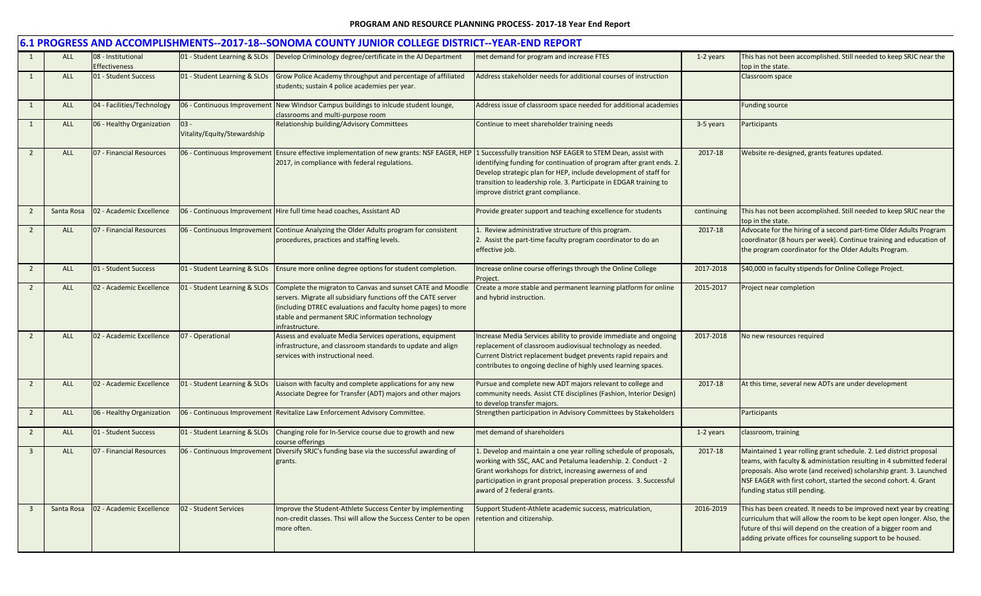|                         | 6.1 PROGRESS AND ACCOMPLISHMENTS--2017-18--SONOMA COUNTY JUNIOR COLLEGE DISTRICT--YEAR-END REPORT |                                            |                                       |                                                                                                                                                                                                                                                                   |                                                                                                                                                                                                                                                                                                    |            |                                                                                                                                                                                                                                                                                                                        |  |  |
|-------------------------|---------------------------------------------------------------------------------------------------|--------------------------------------------|---------------------------------------|-------------------------------------------------------------------------------------------------------------------------------------------------------------------------------------------------------------------------------------------------------------------|----------------------------------------------------------------------------------------------------------------------------------------------------------------------------------------------------------------------------------------------------------------------------------------------------|------------|------------------------------------------------------------------------------------------------------------------------------------------------------------------------------------------------------------------------------------------------------------------------------------------------------------------------|--|--|
| 1                       | ALL                                                                                               | 08 - Institutional<br><b>Effectiveness</b> |                                       | 01 - Student Learning & SLOs   Develop Criminology degree/certificate in the AJ Department                                                                                                                                                                        | met demand for program and increase FTES                                                                                                                                                                                                                                                           | 1-2 years  | This has not been accomplished. Still needed to keep SRJC near the<br>top in the state.                                                                                                                                                                                                                                |  |  |
| 1                       | ALL                                                                                               | 01 - Student Success                       | 01 - Student Learning & SLOs          | Grow Police Academy throughput and percentage of affiliated<br>students; sustain 4 police academies per year.                                                                                                                                                     | Address stakeholder needs for additional courses of instruction                                                                                                                                                                                                                                    |            | Classroom space                                                                                                                                                                                                                                                                                                        |  |  |
| $\overline{1}$          | ALL                                                                                               | 04 - Facilities/Technology                 | 06 - Continuous Improvement           | New Windsor Campus buildings to inlcude student lounge,<br>classrooms and multi-purpose room                                                                                                                                                                      | Address issue of classroom space needed for additional academies                                                                                                                                                                                                                                   |            | <b>Funding source</b>                                                                                                                                                                                                                                                                                                  |  |  |
| $\mathbf{1}$            | ALL                                                                                               | 06 - Healthy Organization                  | $03 -$<br>Vitality/Equity/Stewardship | Relationship building/Advisory Committees                                                                                                                                                                                                                         | Continue to meet shareholder training needs                                                                                                                                                                                                                                                        | 3-5 years  | Participants                                                                                                                                                                                                                                                                                                           |  |  |
| $\overline{2}$          | <b>ALL</b>                                                                                        | 07 - Financial Resources                   | 06 - Continuous Improvement           | Ensure effective implementation of new grants: NSF EAGER, HEP 1 Successfully transition NSF EAGER to STEM Dean, assist with<br>2017, in compliance with federal regulations.                                                                                      | identifying funding for continuation of program after grant ends. 2.<br>Develop strategic plan for HEP, include development of staff for<br>transition to leadership role. 3. Participate in EDGAR training to<br>improve district grant compliance.                                               | 2017-18    | Website re-designed, grants features updated.                                                                                                                                                                                                                                                                          |  |  |
| $\overline{2}$          | Santa Rosa                                                                                        | 02 - Academic Excellence                   | 06 - Continuous Improvement           | Hire full time head coaches, Assistant AD                                                                                                                                                                                                                         | Provide greater support and teaching excellence for students                                                                                                                                                                                                                                       | continuing | This has not been accomplished. Still needed to keep SRJC near the<br>top in the state.                                                                                                                                                                                                                                |  |  |
| $\overline{2}$          | ALL                                                                                               | 07 - Financial Resources                   | 06 - Continuous Improvement           | Continue Analyzing the Older Adults program for consistent<br>procedures, practices and staffing levels.                                                                                                                                                          | 1. Review administrative structure of this program.<br>2. Assist the part-time faculty program coordinator to do an<br>effective job.                                                                                                                                                              | 2017-18    | Advocate for the hiring of a second part-time Older Adults Program<br>coordinator (8 hours per week). Continue training and education of<br>the program coordinator for the Older Adults Program.                                                                                                                      |  |  |
| $\overline{2}$          | ALL                                                                                               | 01 - Student Success                       | 01 - Student Learning & SLOs          | Ensure more online degree options for student completion.                                                                                                                                                                                                         | Increase online course offerings through the Online College<br>Project.                                                                                                                                                                                                                            | 2017-2018  | \$40,000 in faculty stipends for Online College Project.                                                                                                                                                                                                                                                               |  |  |
| $\overline{2}$          | ALL                                                                                               | 02 - Academic Excellence                   | 01 - Student Learning & SLOs          | Complete the migraton to Canvas and sunset CATE and Moodle<br>servers. Migrate all subsidiary functions off the CATE server<br>(including DTREC evaluations and faculty home pages) to more<br>stable and permanent SRJC information technology<br>nfrastructure. | Create a more stable and permanent learning platform for online<br>and hybrid instruction.                                                                                                                                                                                                         | 2015-2017  | Project near completion                                                                                                                                                                                                                                                                                                |  |  |
| $\overline{2}$          | <b>ALL</b>                                                                                        | 02 - Academic Excellence                   | 07 - Operational                      | Assess and evaluate Media Services operations, equipment<br>infrastructure, and classroom standards to update and align<br>services with instructional need.                                                                                                      | Increase Media Services ability to provide immediate and ongoing<br>replacement of classroom audiovisual technology as needed.<br>Current District replacement budget prevents rapid repairs and<br>contributes to ongoing decline of highly used learning spaces.                                 | 2017-2018  | No new resources required                                                                                                                                                                                                                                                                                              |  |  |
| $\overline{2}$          | <b>ALL</b>                                                                                        | 02 - Academic Excellence                   | 01 - Student Learning & SLOs          | Liaison with faculty and complete applications for any new<br>Associate Degree for Transfer (ADT) majors and other majors                                                                                                                                         | Pursue and complete new ADT majors relevant to college and<br>community needs. Assist CTE disciplines (Fashion, Interior Design)<br>to develop transfer majors.                                                                                                                                    | 2017-18    | At this time, several new ADTs are under development                                                                                                                                                                                                                                                                   |  |  |
| $\overline{2}$          | ALL                                                                                               | 06 - Healthy Organization                  | 06 - Continuous Improvement           | Revitalize Law Enforcement Advisory Committee.                                                                                                                                                                                                                    | Strengthen participation in Advisory Committees by Stakeholders                                                                                                                                                                                                                                    |            | Participants                                                                                                                                                                                                                                                                                                           |  |  |
| $\overline{2}$          | ALL                                                                                               | 01 - Student Success                       | 01 - Student Learning & SLOs          | Changing role for In-Service course due to growth and new<br>course offerings                                                                                                                                                                                     | met demand of shareholders                                                                                                                                                                                                                                                                         | 1-2 years  | classroom, training                                                                                                                                                                                                                                                                                                    |  |  |
| $\overline{\mathbf{3}}$ | <b>ALL</b>                                                                                        | 07 - Financial Resources                   | 06 - Continuous Improvement           | Diversify SRJC's funding base via the successful awarding of<br>grants.                                                                                                                                                                                           | 1. Develop and maintain a one year rolling schedule of proposals,<br>working with SSC, AAC and Petaluma leadership. 2. Conduct - 2<br>Grant workshops for district, increasing awerness of and<br>participation in grant proposal preperation process. 3. Successful<br>award of 2 federal grants. | 2017-18    | Maintained 1 year rolling grant schedule. 2. Led district proposal<br>teams, with faculty & administation resulting in 4 submitted federal<br>proposals. Also wrote (and received) scholarship grant. 3. Launched<br>NSF EAGER with first cohort, started the second cohort. 4. Grant<br>funding status still pending. |  |  |
| $\overline{\mathbf{3}}$ | Santa Rosa                                                                                        | 02 - Academic Excellence                   | 02 - Student Services                 | Improve the Student-Athlete Success Center by implementing<br>non-credit classes. Thsi will allow the Success Center to be open<br>more often.                                                                                                                    | Support Student-Athlete academic success, matriculation,<br>retention and citizenship.                                                                                                                                                                                                             | 2016-2019  | This has been created. It needs to be improved next year by creating<br>curriculum that will allow the room to be kept open longer. Also, the<br>future of thsi will depend on the creation of a bigger room and<br>adding private offices for counseling support to be housed.                                        |  |  |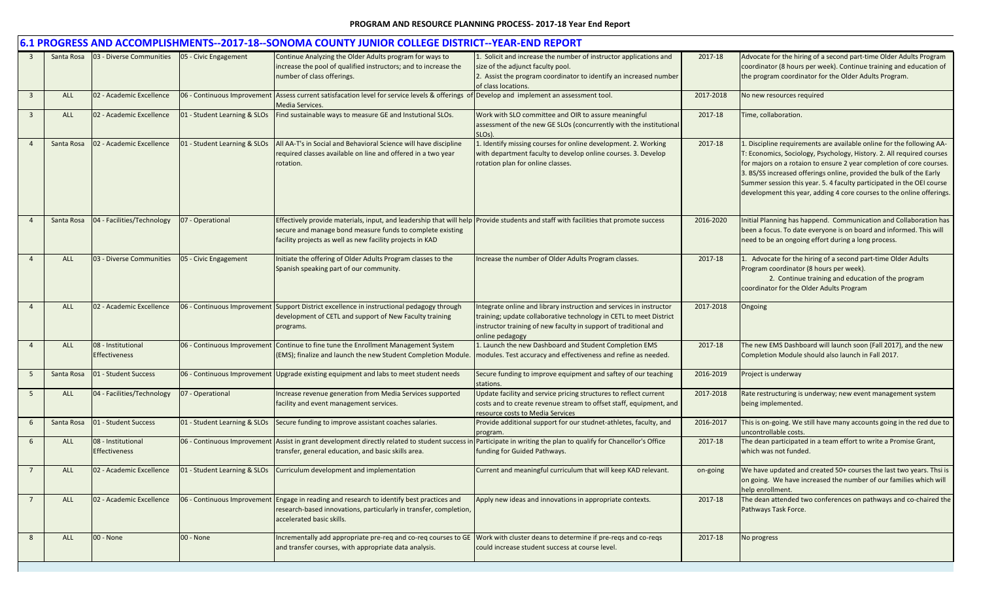|                         |            |                                            |                              | 6.1 PROGRESS AND ACCOMPLISHMENTS--2017-18--SONOMA COUNTY JUNIOR COLLEGE DISTRICT--YEAR-END REPORT                                                                                                                                                             |                                                                                                                                                                                                                                  |           |                                                                                                                                                                                                                                                                                                                                                                                                                                             |
|-------------------------|------------|--------------------------------------------|------------------------------|---------------------------------------------------------------------------------------------------------------------------------------------------------------------------------------------------------------------------------------------------------------|----------------------------------------------------------------------------------------------------------------------------------------------------------------------------------------------------------------------------------|-----------|---------------------------------------------------------------------------------------------------------------------------------------------------------------------------------------------------------------------------------------------------------------------------------------------------------------------------------------------------------------------------------------------------------------------------------------------|
| $\overline{\mathbf{3}}$ | Santa Rosa | 03 - Diverse Communities                   | 05 - Civic Engagement        | Continue Analyzing the Older Adults program for ways to<br>increase the pool of qualified instructors; and to increase the<br>number of class offerings.                                                                                                      | . Solicit and increase the number of instructor applications and<br>size of the adjunct faculty pool.<br>2. Assist the program coordinator to identify an increased number<br>of class locations.                                | 2017-18   | Advocate for the hiring of a second part-time Older Adults Program<br>coordinator (8 hours per week). Continue training and education of<br>the program coordinator for the Older Adults Program.                                                                                                                                                                                                                                           |
| $\overline{\mathbf{3}}$ | <b>ALL</b> | 02 - Academic Excellence                   | 06 - Continuous Improvement  | Assess current satisfacation level for service levels & offerings of Develop and implement an assessment tool.<br>Media Services.                                                                                                                             |                                                                                                                                                                                                                                  | 2017-2018 | No new resources required                                                                                                                                                                                                                                                                                                                                                                                                                   |
| $\overline{\mathbf{3}}$ | ALL        | 02 - Academic Excellence                   | 01 - Student Learning & SLOs | Find sustainable ways to measure GE and Instutional SLOs.                                                                                                                                                                                                     | Work with SLO committee and OIR to assure meaningful<br>assessment of the new GE SLOs (concurrently with the institutional<br>SLO <sub>s</sub> )                                                                                 | 2017-18   | Time, collaboration.                                                                                                                                                                                                                                                                                                                                                                                                                        |
| $\overline{4}$          | Santa Rosa | 02 - Academic Excellence                   | 01 - Student Learning & SLOs | All AA-T's in Social and Behavioral Science will have discipline<br>required classes available on line and offered in a two year<br>rotation.                                                                                                                 | 1. Identify missing courses for online development. 2. Working<br>with department faculty to develop online courses. 3. Develop<br>rotation plan for online classes.                                                             | 2017-18   | Discipline requirements are available online for the following AA-<br>: Economics, Sociology, Psychology, History. 2. All required courses<br>for majors on a rotaion to ensure 2 year completion of core courses.<br>3. BS/SS increased offerings online, provided the bulk of the Early<br>Summer session this year. 5. 4 faculty participated in the OEI course<br>development this year, adding 4 core courses to the online offerings. |
| $\overline{4}$          | Santa Rosa | 04 - Facilities/Technology                 | 07 - Operational             | Effectively provide materials, input, and leadership that will help Provide students and staff with facilities that promote success<br>secure and manage bond measure funds to complete existing<br>facility projects as well as new facility projects in KAD |                                                                                                                                                                                                                                  | 2016-2020 | Initial Planning has happend. Communication and Collaboration has<br>been a focus. To date everyone is on board and informed. This will<br>need to be an ongoing effort during a long process.                                                                                                                                                                                                                                              |
| $\overline{4}$          | <b>ALL</b> | 03 - Diverse Communities                   | 05 - Civic Engagement        | Initiate the offering of Older Adults Program classes to the<br>Spanish speaking part of our community.                                                                                                                                                       | Increase the number of Older Adults Program classes.                                                                                                                                                                             | 2017-18   | 1. Advocate for the hiring of a second part-time Older Adults<br>Program coordinator (8 hours per week).<br>2. Continue training and education of the program<br>coordinator for the Older Adults Program                                                                                                                                                                                                                                   |
| $\overline{4}$          | <b>ALL</b> | 02 - Academic Excellence                   |                              | 06 - Continuous Improvement Support District excellence in instructional pedagogy through<br>development of CETL and support of New Faculty training<br>programs.                                                                                             | Integrate online and library instruction and services in instructor<br>training; update collaborative technology in CETL to meet District<br>instructor training of new faculty in support of traditional and<br>online pedagogy | 2017-2018 | Ongoing                                                                                                                                                                                                                                                                                                                                                                                                                                     |
| $\overline{4}$          | <b>ALL</b> | 08 - Institutional<br><b>Effectiveness</b> |                              | 06 - Continuous Improvement Continue to fine tune the Enrollment Management System<br>(EMS); finalize and launch the new Student Completion Module.                                                                                                           | 1. Launch the new Dashboard and Student Completion EMS<br>modules. Test accuracy and effectiveness and refine as needed.                                                                                                         | 2017-18   | The new EMS Dashboard will launch soon (Fall 2017), and the new<br>Completion Module should also launch in Fall 2017.                                                                                                                                                                                                                                                                                                                       |
| - 5                     | Santa Rosa | 01 - Student Success                       |                              | 06 - Continuous Improvement Upgrade existing equipment and labs to meet student needs                                                                                                                                                                         | Secure funding to improve equipment and saftey of our teaching<br>stations.                                                                                                                                                      | 2016-2019 | Project is underway                                                                                                                                                                                                                                                                                                                                                                                                                         |
| 5                       | <b>ALL</b> | 04 - Facilities/Technology                 | 07 - Operational             | Increase revenue generation from Media Services supported<br>facility and event management services.                                                                                                                                                          | Update facility and service pricing structures to reflect current<br>costs and to create revenue stream to offset staff, equipment, and<br>esource costs to Media Services                                                       | 2017-2018 | Rate restructuring is underway; new event management system<br>being implemented.                                                                                                                                                                                                                                                                                                                                                           |
| 6                       | Santa Rosa | 01 - Student Success                       | 01 - Student Learning & SLOs | Secure funding to improve assistant coaches salaries.                                                                                                                                                                                                         | Provide additional support for our studnet-athletes, faculty, and<br>program                                                                                                                                                     | 2016-2017 | This is on-going. We still have many accounts going in the red due to<br>uncontrollable costs.                                                                                                                                                                                                                                                                                                                                              |
| 6                       | ALL        | 08 - Institutional<br><b>Effectiveness</b> |                              | 06 - Continuous Improvement Assist in grant development directly related to student success in Participate in writing the plan to qualify for Chancellor's Office<br>transfer, general education, and basic skills area.                                      | funding for Guided Pathways.                                                                                                                                                                                                     | 2017-18   | The dean participated in a team effort to write a Promise Grant,<br>which was not funded.                                                                                                                                                                                                                                                                                                                                                   |
| 7                       | <b>ALL</b> | 02 - Academic Excellence                   |                              | 01 - Student Learning & SLOs Curriculum development and implementation                                                                                                                                                                                        | Current and meaningful curriculum that will keep KAD relevant.                                                                                                                                                                   | on-going  | We have updated and created 50+ courses the last two years. Thsi is<br>on going. We have increased the number of our families which will<br>help enrollment.                                                                                                                                                                                                                                                                                |
| $\overline{7}$          | <b>ALL</b> | 02 - Academic Excellence                   |                              | 06 - Continuous Improvement Engage in reading and research to identify best practices and<br>research-based innovations, particularly in transfer, completion,<br>accelerated basic skills.                                                                   | Apply new ideas and innovations in appropriate contexts.                                                                                                                                                                         | 2017-18   | The dean attended two conferences on pathways and co-chaired the<br>Pathways Task Force.                                                                                                                                                                                                                                                                                                                                                    |
| 8                       | <b>ALL</b> | 00 - None                                  | 00 - None                    | Incrementally add appropriate pre-req and co-req courses to GE<br>and transfer courses, with appropriate data analysis.                                                                                                                                       | Work with cluster deans to determine if pre-reqs and co-reqs<br>could increase student success at course level.                                                                                                                  | 2017-18   | No progress                                                                                                                                                                                                                                                                                                                                                                                                                                 |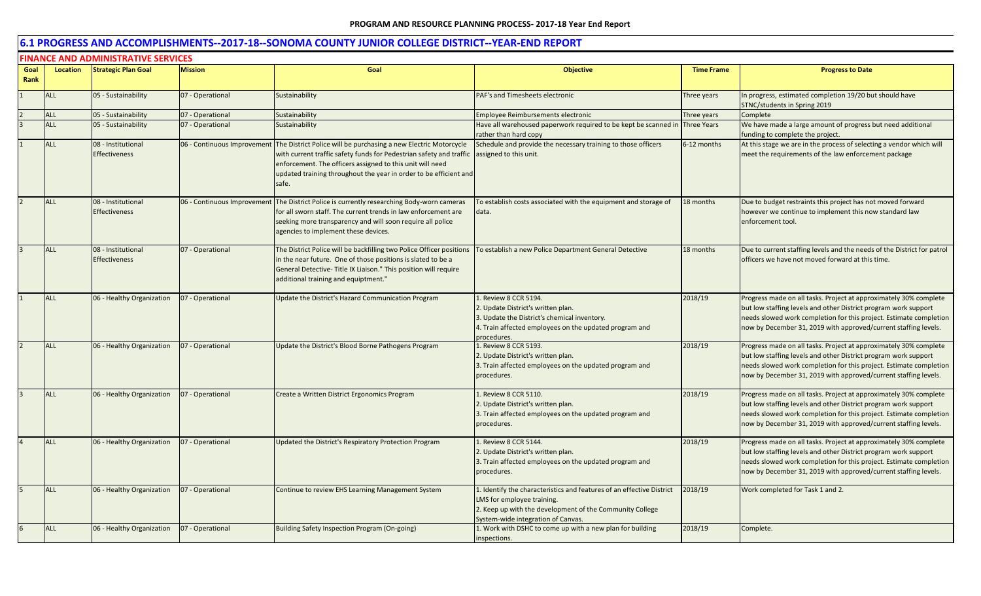|      | <b>FINANCE AND ADMINISTRATIVE SERVICES</b> |                                            |                             |                                                                                                                                                                                                                                                                                                           |                                                                                                                                                                                                       |                   |                                                                                                                                                                                                                                                                               |  |  |  |  |
|------|--------------------------------------------|--------------------------------------------|-----------------------------|-----------------------------------------------------------------------------------------------------------------------------------------------------------------------------------------------------------------------------------------------------------------------------------------------------------|-------------------------------------------------------------------------------------------------------------------------------------------------------------------------------------------------------|-------------------|-------------------------------------------------------------------------------------------------------------------------------------------------------------------------------------------------------------------------------------------------------------------------------|--|--|--|--|
| Goal | <b>Location</b>                            | <b>Strategic Plan Goal</b>                 | <b>Mission</b>              | Goal                                                                                                                                                                                                                                                                                                      | <b>Objective</b>                                                                                                                                                                                      | <b>Time Frame</b> | <b>Progress to Date</b>                                                                                                                                                                                                                                                       |  |  |  |  |
| Rank |                                            |                                            |                             |                                                                                                                                                                                                                                                                                                           |                                                                                                                                                                                                       |                   |                                                                                                                                                                                                                                                                               |  |  |  |  |
|      | <b>ALL</b>                                 | 05 - Sustainability                        | 07 - Operational            | Sustainability                                                                                                                                                                                                                                                                                            | PAF's and Timesheets electronic                                                                                                                                                                       | Three years       | In progress, estimated completion 19/20 but should have<br>STNC/students in Spring 2019                                                                                                                                                                                       |  |  |  |  |
|      | <b>ALL</b>                                 | 05 - Sustainability                        | 07 - Operational            | Sustainability                                                                                                                                                                                                                                                                                            | Employee Reimbursements electronic                                                                                                                                                                    | Three years       | Complete                                                                                                                                                                                                                                                                      |  |  |  |  |
|      | <b>ALL</b>                                 | 05 - Sustainability                        | 07 - Operational            | Sustainability                                                                                                                                                                                                                                                                                            | Have all warehoused paperwork required to be kept be scanned in Three Years<br>rather than hard copy                                                                                                  |                   | We have made a large amount of progress but need additional<br>funding to complete the project.                                                                                                                                                                               |  |  |  |  |
|      | <b>ALL</b>                                 | 08 - Institutional<br><b>Effectiveness</b> | 06 - Continuous Improvement | The District Police will be purchasing a new Electric Motorcycle<br>with current traffic safety funds for Pedestrian safety and traffic assigned to this unit.<br>enforcement. The officers assigned to this unit will need<br>updated training throughout the year in order to be efficient and<br>safe. | Schedule and provide the necessary training to those officers                                                                                                                                         | 6-12 months       | At this stage we are in the process of selecting a vendor which will<br>meet the requirements of the law enforcement package                                                                                                                                                  |  |  |  |  |
|      | <b>ALL</b>                                 | 08 - Institutional<br><b>Effectiveness</b> | 06 - Continuous Improvement | The District Police is currently researching Body-worn cameras<br>for all sworn staff. The current trends in law enforcement are<br>seeking more transparency and will soon require all police<br>agencies to implement these devices.                                                                    | To establish costs associated with the equipment and storage of<br>data.                                                                                                                              | 18 months         | Due to budget restraints this project has not moved forward<br>however we continue to implement this now standard law<br>enforcement tool.                                                                                                                                    |  |  |  |  |
|      | <b>ALL</b>                                 | 08 - Institutional<br><b>Effectiveness</b> | 07 - Operational            | The District Police will be backfilling two Police Officer positions<br>in the near future. One of those positions is slated to be a<br>General Detective- Title IX Liaison." This position will require<br>additional training and equiptment."                                                          | To establish a new Police Department General Detective                                                                                                                                                | 18 months         | Due to current staffing levels and the needs of the District for patrol<br>officers we have not moved forward at this time.                                                                                                                                                   |  |  |  |  |
|      | <b>ALL</b>                                 | 06 - Healthy Organization                  | 07 - Operational            | Update the District's Hazard Communication Program                                                                                                                                                                                                                                                        | 1. Review 8 CCR 5194.<br>2. Update District's written plan.<br>3. Update the District's chemical inventory.<br>4. Train affected employees on the updated program and<br>procedures.                  | 2018/19           | Progress made on all tasks. Project at approximately 30% complete<br>but low staffing levels and other District program work support<br>needs slowed work completion for this project. Estimate completion<br>now by December 31, 2019 with approved/current staffing levels. |  |  |  |  |
|      | <b>ALL</b>                                 | 06 - Healthy Organization                  | 07 - Operational            | Update the District's Blood Borne Pathogens Program                                                                                                                                                                                                                                                       | 1. Review 8 CCR 5193.<br>2. Update District's written plan.<br>3. Train affected employees on the updated program and<br>procedures.                                                                  | 2018/19           | Progress made on all tasks. Project at approximately 30% complete<br>but low staffing levels and other District program work support<br>needs slowed work completion for this project. Estimate completion<br>now by December 31, 2019 with approved/current staffing levels. |  |  |  |  |
|      | <b>ALL</b>                                 | 06 - Healthy Organization                  | 07 - Operational            | Create a Written District Ergonomics Program                                                                                                                                                                                                                                                              | 1. Review 8 CCR 5110.<br>2. Update District's written plan.<br>3. Train affected employees on the updated program and<br>procedures.                                                                  | 2018/19           | Progress made on all tasks. Project at approximately 30% complete<br>but low staffing levels and other District program work support<br>needs slowed work completion for this project. Estimate completion<br>now by December 31, 2019 with approved/current staffing levels. |  |  |  |  |
|      | <b>ALL</b>                                 | 06 - Healthy Organization                  | 07 - Operational            | Updated the District's Respiratory Protection Program                                                                                                                                                                                                                                                     | 1. Review 8 CCR 5144.<br>2. Update District's written plan.<br>3. Train affected employees on the updated program and<br>procedures.                                                                  | 2018/19           | Progress made on all tasks. Project at approximately 30% complete<br>but low staffing levels and other District program work support<br>needs slowed work completion for this project. Estimate completion<br>now by December 31, 2019 with approved/current staffing levels. |  |  |  |  |
|      | <b>ALL</b>                                 | 06 - Healthy Organization                  | 07 - Operational            | Continue to review EHS Learning Management System                                                                                                                                                                                                                                                         | 1. Identify the characteristics and features of an effective District<br>LMS for employee training.<br>2. Keep up with the development of the Community College<br>System-wide integration of Canvas. | 2018/19           | Work completed for Task 1 and 2.                                                                                                                                                                                                                                              |  |  |  |  |
|      | <b>ALL</b>                                 | 06 - Healthy Organization                  | 07 - Operational            | Building Safety Inspection Program (On-going)                                                                                                                                                                                                                                                             | 1. Work with DSHC to come up with a new plan for building<br>inspections.                                                                                                                             | 2018/19           | Complete.                                                                                                                                                                                                                                                                     |  |  |  |  |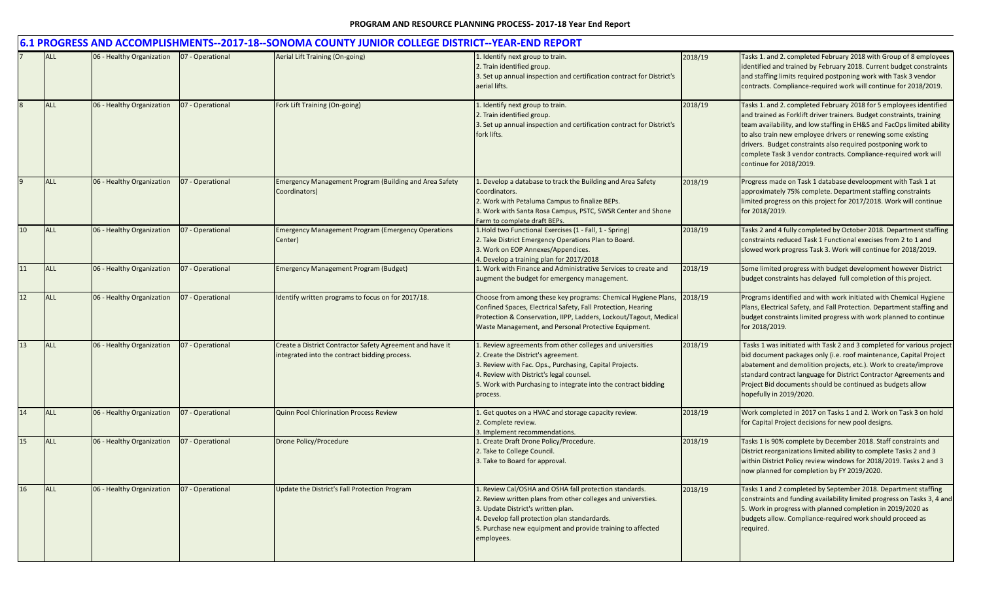|                 |            |                           |                  | 6.1 PROGRESS AND ACCOMPLISHMENTS--2017-18--SONOMA COUNTY JUNIOR COLLEGE DISTRICT--YEAR-END REPORT          |                                                                                                                                                                                                                                                                                          |         |                                                                                                                                                                                                                                                                                                                                                                                                                                                     |
|-----------------|------------|---------------------------|------------------|------------------------------------------------------------------------------------------------------------|------------------------------------------------------------------------------------------------------------------------------------------------------------------------------------------------------------------------------------------------------------------------------------------|---------|-----------------------------------------------------------------------------------------------------------------------------------------------------------------------------------------------------------------------------------------------------------------------------------------------------------------------------------------------------------------------------------------------------------------------------------------------------|
|                 | <b>ALL</b> | 06 - Healthy Organization | 07 - Operational | Aerial Lift Training (On-going)                                                                            | . Identify next group to train.<br>2. Train identified group.<br>3. Set up annual inspection and certification contract for District's<br>aerial lifts.                                                                                                                                  | 2018/19 | Tasks 1. and 2. completed February 2018 with Group of 8 employees<br>identified and trained by February 2018. Current budget constraints<br>and staffing limits required postponing work with Task 3 vendor<br>contracts. Compliance-required work will continue for 2018/2019.                                                                                                                                                                     |
|                 | <b>ALL</b> | 06 - Healthy Organization | 07 - Operational | Fork Lift Training (On-going)                                                                              | 1. Identify next group to train.<br>2. Train identified group.<br>3. Set up annual inspection and certification contract for District's<br>fork lifts.                                                                                                                                   | 2018/19 | Tasks 1. and 2. completed February 2018 for 5 employees identified<br>and trained as Forklift driver trainers. Budget constraints, training<br>team availability, and low staffing in EH&S and FacOps limited ability<br>to also train new employee drivers or renewing some existing<br>drivers. Budget constraints also required postponing work to<br>complete Task 3 vendor contracts. Compliance-required work will<br>continue for 2018/2019. |
|                 | <b>ALL</b> | 06 - Healthy Organization | 07 - Operational | <b>Emergency Management Program (Building and Area Safety</b><br>Coordinators)                             | Develop a database to track the Building and Area Safety<br>Coordinators.<br>2. Work with Petaluma Campus to finalize BEPs.<br>3. Work with Santa Rosa Campus, PSTC, SWSR Center and Shone<br>Farm to complete draft BEPs.                                                               | 2018/19 | Progress made on Task 1 database develoopment with Task 1 at<br>approximately 75% complete. Department staffing constraints<br>limited progress on this project for 2017/2018. Work will continue<br>for 2018/2019.                                                                                                                                                                                                                                 |
| 10 <sup>°</sup> | <b>ALL</b> | 06 - Healthy Organization | 07 - Operational | <b>Emergency Management Program (Emergency Operations</b><br>Center)                                       | 1. Hold two Functional Exercises (1 - Fall, 1 - Spring)<br>2. Take District Emergency Operations Plan to Board.<br>3. Work on EOP Annexes/Appendices.<br>. Develop a training plan for 2017/2018                                                                                         | 2018/19 | Tasks 2 and 4 fully completed by October 2018. Department staffing<br>constraints reduced Task 1 Functional execises from 2 to 1 and<br>slowed work progress Task 3. Work will continue for 2018/2019.                                                                                                                                                                                                                                              |
| 11              | <b>ALL</b> | 06 - Healthy Organization | 07 - Operational | <b>Emergency Management Program (Budget)</b>                                                               | L. Work with Finance and Administrative Services to create and<br>augment the budget for emergency management.                                                                                                                                                                           | 2018/19 | Some limited progress with budget development however District<br>budget constraints has delayed full completion of this project.                                                                                                                                                                                                                                                                                                                   |
| 12              | <b>ALL</b> | 06 - Healthy Organization | 07 - Operational | Identify written programs to focus on for 2017/18.                                                         | Choose from among these key programs: Chemical Hygiene Plans,<br>Confined Spaces, Electrical Safety, Fall Protection, Hearing<br>Protection & Conservation, IIPP, Ladders, Lockout/Tagout, Medical<br>Waste Management, and Personal Protective Equipment.                               | 2018/19 | Programs identified and with work initiated with Chemical Hygiene<br>Plans, Electrical Safety, and Fall Protection. Department staffing and<br>budget constraints limited progress with work planned to continue<br>for 2018/2019.                                                                                                                                                                                                                  |
| 13              | <b>ALL</b> | 06 - Healthy Organization | 07 - Operational | Create a District Contractor Safety Agreement and have it<br>integrated into the contract bidding process. | 1. Review agreements from other colleges and universities<br>2. Create the District's agreement.<br>3. Review with Fac. Ops., Purchasing, Capital Projects.<br>4. Review with District's legal counsel.<br>5. Work with Purchasing to integrate into the contract bidding<br>process.    | 2018/19 | Tasks 1 was initiated with Task 2 and 3 completed for various project<br>bid document packages only (i.e. roof maintenance, Capital Project<br>abatement and demolition projects, etc.). Work to create/improve<br>standard contract language for District Contractor Agreements and<br>Project Bid documents should be continued as budgets allow<br>hopefully in 2019/2020.                                                                       |
| 14              | <b>ALL</b> | 06 - Healthy Organization | 07 - Operational | <b>Quinn Pool Chlorination Process Review</b>                                                              | Get quotes on a HVAC and storage capacity review.<br>2. Complete review.<br>. Implement recommendations.                                                                                                                                                                                 | 2018/19 | Work completed in 2017 on Tasks 1 and 2. Work on Task 3 on hold<br>for Capital Project decisions for new pool designs.                                                                                                                                                                                                                                                                                                                              |
| 15              | <b>ALL</b> | 06 - Healthy Organization | 07 - Operational | Drone Policy/Procedure                                                                                     | . Create Draft Drone Policy/Procedure.<br>2. Take to College Council.<br>3. Take to Board for approval.                                                                                                                                                                                  | 2018/19 | Tasks 1 is 90% complete by December 2018. Staff constraints and<br>District reorganizations limited ability to complete Tasks 2 and 3<br>within District Policy review windows for 2018/2019. Tasks 2 and 3<br>now planned for completion by FY 2019/2020.                                                                                                                                                                                          |
| 16              | <b>ALL</b> | 06 - Healthy Organization | 07 - Operational | Update the District's Fall Protection Program                                                              | . Review Cal/OSHA and OSHA fall protection standards.<br>2. Review written plans from other colleges and universties.<br>3. Update District's written plan.<br>4. Develop fall protection plan standardards.<br>5. Purchase new equipment and provide training to affected<br>employees. | 2018/19 | Tasks 1 and 2 completed by September 2018. Department staffing<br>constraints and funding availability limited progress on Tasks 3, 4 and<br>5. Work in progress with planned completion in 2019/2020 as<br>budgets allow. Compliance-required work should proceed as<br>required.                                                                                                                                                                  |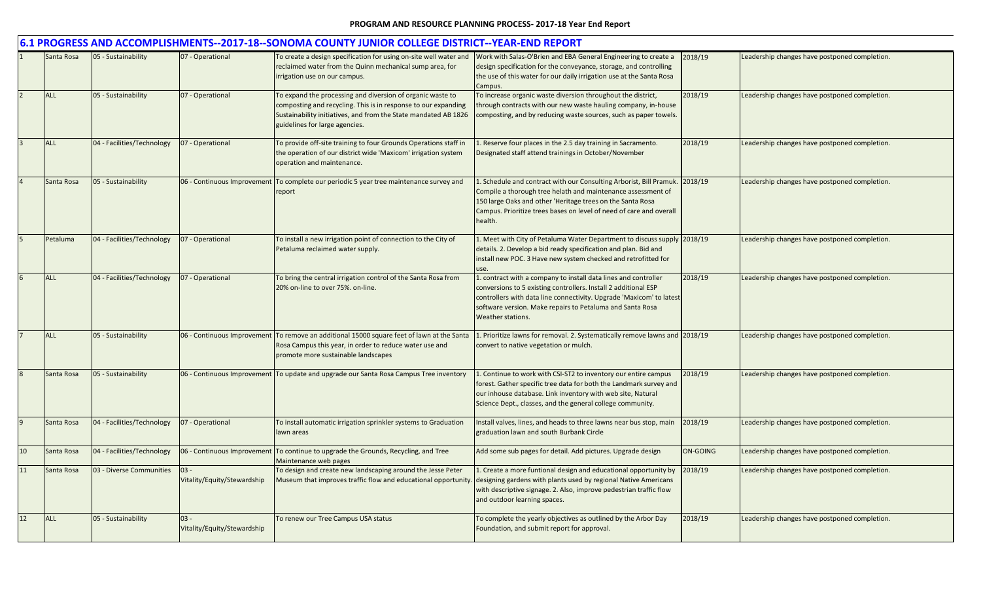|    |            |                            |                                       | 6.1 PROGRESS AND ACCOMPLISHMENTS--2017-18--SONOMA COUNTY JUNIOR COLLEGE DISTRICT--YEAR-END REPORT                                                                                                                                 |                                                                                                                                                                                                                                                                                              |                 |                                               |
|----|------------|----------------------------|---------------------------------------|-----------------------------------------------------------------------------------------------------------------------------------------------------------------------------------------------------------------------------------|----------------------------------------------------------------------------------------------------------------------------------------------------------------------------------------------------------------------------------------------------------------------------------------------|-----------------|-----------------------------------------------|
|    | Santa Rosa | 05 - Sustainability        | 07 - Operational                      | To create a design specification for using on-site well water and<br>reclaimed water from the Quinn mechanical sump area, for<br>irrigation use on our campus.                                                                    | Work with Salas-O'Brien and EBA General Engineering to create a<br>design specification for the conveyance, storage, and controlling<br>the use of this water for our daily irrigation use at the Santa Rosa<br>Campus.                                                                      | 2018/19         | Leadership changes have postponed completion. |
|    | <b>ALL</b> | 05 - Sustainability        | 07 - Operational                      | To expand the processing and diversion of organic waste to<br>composting and recycling. This is in response to our expanding<br>Sustainability initiatives, and from the State mandated AB 1826<br>guidelines for large agencies. | To increase organic waste diversion throughout the district,<br>hrough contracts with our new waste hauling company, in-house<br>composting, and by reducing waste sources, such as paper towels.                                                                                            | 2018/19         | Leadership changes have postponed completion. |
|    | <b>ALL</b> | 04 - Facilities/Technology | 07 - Operational                      | To provide off-site training to four Grounds Operations staff in<br>the operation of our district wide 'Maxicom' irrigation system<br>operation and maintenance.                                                                  | Reserve four places in the 2.5 day training in Sacramento.<br>Designated staff attend trainings in October/November                                                                                                                                                                          | 2018/19         | Leadership changes have postponed completion. |
|    | Santa Rosa | 05 - Sustainability        | 06 - Continuous Improvement           | To complete our periodic 5 year tree maintenance survey and<br>report                                                                                                                                                             | 1. Schedule and contract with our Consulting Arborist, Bill Pramuk. 2018/19<br>Compile a thorough tree helath and maintenance assessment of<br>150 large Oaks and other 'Heritage trees on the Santa Rosa<br>Campus. Prioritize trees bases on level of need of care and overall<br>health.  |                 | Leadership changes have postponed completion. |
|    | Petaluma   | 04 - Facilities/Technology | 07 - Operational                      | To install a new irrigation point of connection to the City of<br>Petaluma reclaimed water supply.                                                                                                                                | L. Meet with City of Petaluma Water Department to discuss supply 2018/19<br>details. 2. Develop a bid ready specification and plan. Bid and<br>install new POC. 3 Have new system checked and retrofitted for<br><b>ISP</b>                                                                  |                 | Leadership changes have postponed completion. |
|    | <b>ALL</b> | 04 - Facilities/Technology | 07 - Operational                      | To bring the central irrigation control of the Santa Rosa from<br>20% on-line to over 75%, on-line.                                                                                                                               | 1. contract with a company to install data lines and controller<br>conversions to 5 existing controllers. Install 2 additional ESP<br>controllers with data line connectivity. Upgrade 'Maxicom' to latest<br>software version. Make repairs to Petaluma and Santa Rosa<br>Weather stations. | 2018/19         | Leadership changes have postponed completion. |
|    | <b>ALL</b> | 05 - Sustainability        |                                       | 06 - Continuous Improvement To remove an additional 15000 square feet of lawn at the Santa<br>Rosa Campus this year, in order to reduce water use and<br>promote more sustainable landscapes                                      | 1. Prioritize lawns for removal. 2. Systematically remove lawns and 2018/19<br>convert to native vegetation or mulch.                                                                                                                                                                        |                 | Leadership changes have postponed completion. |
|    | Santa Rosa | 05 - Sustainability        |                                       | 06 - Continuous Improvement To update and upgrade our Santa Rosa Campus Tree inventory                                                                                                                                            | Continue to work with CSI-ST2 to inventory our entire campus<br>forest. Gather specific tree data for both the Landmark survey and<br>our inhouse database. Link inventory with web site, Natural<br>Science Dept., classes, and the general college community.                              | 2018/19         | Leadership changes have postponed completion. |
| 9  | Santa Rosa | 04 - Facilities/Technology | 07 - Operational                      | To install automatic irrigation sprinkler systems to Graduation<br>lawn areas                                                                                                                                                     | Install valves, lines, and heads to three lawns near bus stop, main<br>graduation lawn and south Burbank Circle                                                                                                                                                                              | 2018/19         | Leadership changes have postponed completion. |
| 10 | Santa Rosa | 04 - Facilities/Technology | 06 - Continuous Improvement           | To continue to upgrade the Grounds, Recycling, and Tree<br>Maintenance web pages                                                                                                                                                  | Add some sub pages for detail. Add pictures. Upgrade design                                                                                                                                                                                                                                  | <b>ON-GOING</b> | Leadership changes have postponed completion. |
| 11 | Santa Rosa | 03 - Diverse Communities   | $03 -$<br>Vitality/Equity/Stewardship | To design and create new landscaping around the Jesse Peter<br>Museum that improves traffic flow and educational opportunity                                                                                                      | 1. Create a more funtional design and educational opportunity by<br>designing gardens with plants used by regional Native Americans<br>with descriptive signage. 2. Also, improve pedestrian traffic flow<br>and outdoor learning spaces.                                                    | 2018/19         | Leadership changes have postponed completion. |
| 12 | <b>ALL</b> | 05 - Sustainability        | $03 -$<br>Vitality/Equity/Stewardship | To renew our Tree Campus USA status                                                                                                                                                                                               | To complete the yearly objectives as outlined by the Arbor Day<br>Foundation, and submit report for approval.                                                                                                                                                                                | 2018/19         | Leadership changes have postponed completion. |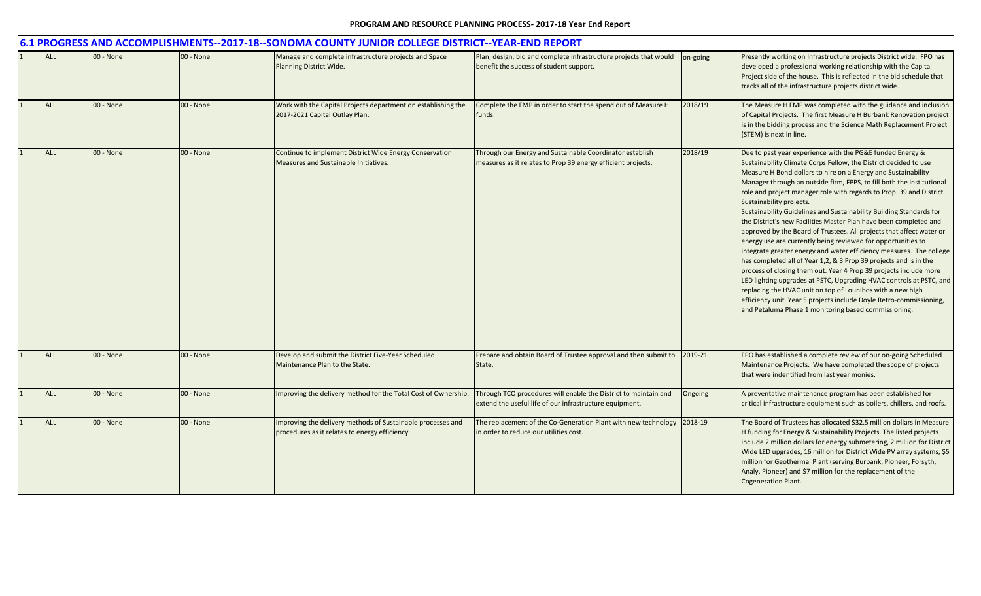| 6.1 PROGRESS AND ACCOMPLISHMENTS--2017-18--SONOMA COUNTY JUNIOR COLLEGE DISTRICT--YEAR-END REPORT |           |           |                                                                                                               |                                                                                                                            |          |                                                                                                                                                                                                                                                                                                                                                                                                                                                                                                                                                                                                                                                                                                                                                                                                                                                                                                                                                                                                                                                                                                                                                     |  |  |
|---------------------------------------------------------------------------------------------------|-----------|-----------|---------------------------------------------------------------------------------------------------------------|----------------------------------------------------------------------------------------------------------------------------|----------|-----------------------------------------------------------------------------------------------------------------------------------------------------------------------------------------------------------------------------------------------------------------------------------------------------------------------------------------------------------------------------------------------------------------------------------------------------------------------------------------------------------------------------------------------------------------------------------------------------------------------------------------------------------------------------------------------------------------------------------------------------------------------------------------------------------------------------------------------------------------------------------------------------------------------------------------------------------------------------------------------------------------------------------------------------------------------------------------------------------------------------------------------------|--|--|
| <b>ALL</b>                                                                                        | 00 - None | 00 - None | Manage and complete infrastructure projects and Space<br>Planning District Wide.                              | Plan, design, bid and complete infrastructure projects that would<br>benefit the success of student support.               | on-going | Presently working on Infrastructure projects District wide. FPO has<br>developed a professional working relationship with the Capital<br>Project side of the house. This is reflected in the bid schedule that<br>tracks all of the infrastructure projects district wide.                                                                                                                                                                                                                                                                                                                                                                                                                                                                                                                                                                                                                                                                                                                                                                                                                                                                          |  |  |
| <b>ALL</b>                                                                                        | 00 - None | 00 - None | Work with the Capital Projects department on establishing the<br>2017-2021 Capital Outlay Plan.               | Complete the FMP in order to start the spend out of Measure H<br>funds.                                                    | 2018/19  | The Measure H FMP was completed with the guidance and inclusion<br>of Capital Projects. The first Measure H Burbank Renovation project<br>is in the bidding process and the Science Math Replacement Project<br>(STEM) is next in line.                                                                                                                                                                                                                                                                                                                                                                                                                                                                                                                                                                                                                                                                                                                                                                                                                                                                                                             |  |  |
| <b>ALL</b>                                                                                        | 00 - None | 00 - None | Continue to implement District Wide Energy Conservation<br>Measures and Sustainable Initiatives.              | Through our Energy and Sustainable Coordinator establish<br>measures as it relates to Prop 39 energy efficient projects.   | 2018/19  | Due to past year experience with the PG&E funded Energy &<br>Sustainability Climate Corps Fellow, the District decided to use<br>Measure H Bond dollars to hire on a Energy and Sustainability<br>Manager through an outside firm, FPPS, to fill both the institutional<br>role and project manager role with regards to Prop. 39 and District<br>Sustainability projects.<br>Sustainability Guidelines and Sustainability Building Standards for<br>the District's new Facilities Master Plan have been completed and<br>approved by the Board of Trustees. All projects that affect water or<br>energy use are currently being reviewed for opportunities to<br>integrate greater energy and water efficiency measures. The college<br>has completed all of Year 1,2, & 3 Prop 39 projects and is in the<br>process of closing them out. Year 4 Prop 39 projects include more<br>LED lighting upgrades at PSTC, Upgrading HVAC controls at PSTC, and<br>replacing the HVAC unit on top of Lounibos with a new high<br>efficiency unit. Year 5 projects include Doyle Retro-commissioning,<br>and Petaluma Phase 1 monitoring based commissioning. |  |  |
| ALL                                                                                               | 00 - None | 00 - None | Develop and submit the District Five-Year Scheduled<br>Maintenance Plan to the State.                         | Prepare and obtain Board of Trustee approval and then submit to<br>State.                                                  | 2019-21  | FPO has established a complete review of our on-going Scheduled<br>Maintenance Projects. We have completed the scope of projects<br>that were indentified from last year monies.                                                                                                                                                                                                                                                                                                                                                                                                                                                                                                                                                                                                                                                                                                                                                                                                                                                                                                                                                                    |  |  |
| <b>ALL</b>                                                                                        | 00 - None | 00 - None | Improving the delivery method for the Total Cost of Ownership.                                                | Through TCO procedures will enable the District to maintain and<br>extend the useful life of our infrastructure equipment. | Ongoing  | A preventative maintenance program has been established for<br>critical infrastructure equipment such as boilers, chillers, and roofs.                                                                                                                                                                                                                                                                                                                                                                                                                                                                                                                                                                                                                                                                                                                                                                                                                                                                                                                                                                                                              |  |  |
| <b>ALL</b>                                                                                        | 00 - None | 00 - None | Improving the delivery methods of Sustainable processes and<br>procedures as it relates to energy efficiency. | The replacement of the Co-Generation Plant with new technology<br>in order to reduce our utilities cost.                   | 2018-19  | The Board of Trustees has allocated \$32.5 million dollars in Measure<br>H funding for Energy & Sustainability Projects. The listed projects<br>include 2 million dollars for energy submetering, 2 million for District<br>Wide LED upgrades, 16 million for District Wide PV array systems, \$5<br>million for Geothermal Plant (serving Burbank, Pioneer, Forsyth,<br>Analy, Pioneer) and \$7 million for the replacement of the<br><b>Cogeneration Plant.</b>                                                                                                                                                                                                                                                                                                                                                                                                                                                                                                                                                                                                                                                                                   |  |  |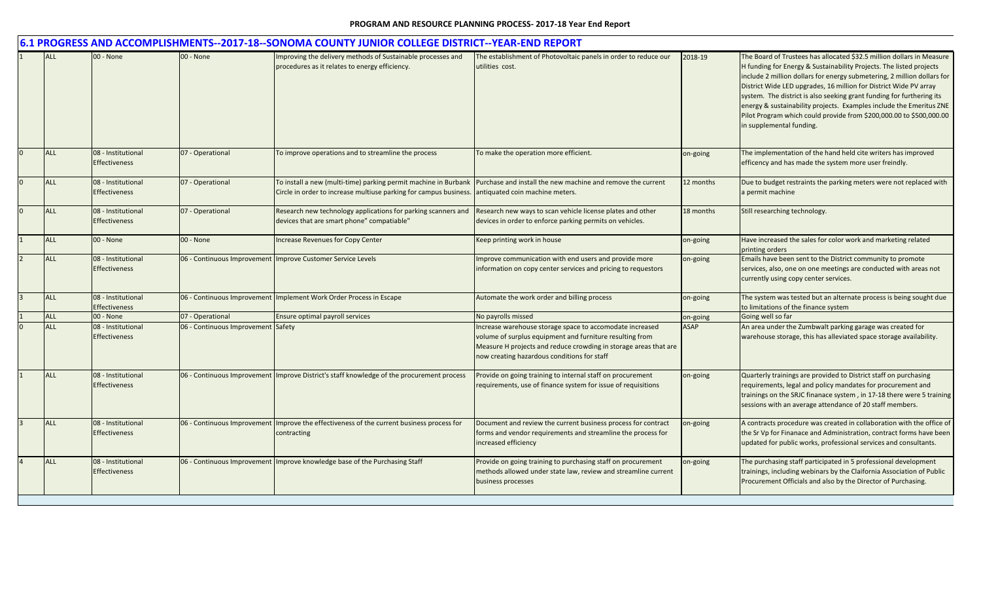|            |                                            |                                    | 6.1 PROGRESS AND ACCOMPLISHMENTS--2017-18--SONOMA COUNTY JUNIOR COLLEGE DISTRICT--YEAR-END REPORT                                    |                                                                                                                                                                                                                                         |             |                                                                                                                                                                                                                                                                                                                                                                                                                                                                                                                                                 |
|------------|--------------------------------------------|------------------------------------|--------------------------------------------------------------------------------------------------------------------------------------|-----------------------------------------------------------------------------------------------------------------------------------------------------------------------------------------------------------------------------------------|-------------|-------------------------------------------------------------------------------------------------------------------------------------------------------------------------------------------------------------------------------------------------------------------------------------------------------------------------------------------------------------------------------------------------------------------------------------------------------------------------------------------------------------------------------------------------|
| <b>ALL</b> | 00 - None                                  | 00 - None                          | Improving the delivery methods of Sustainable processes and<br>procedures as it relates to energy efficiency.                        | The establishment of Photovoltaic panels in order to reduce our<br>utilities cost.                                                                                                                                                      | 2018-19     | The Board of Trustees has allocated \$32.5 million dollars in Measure<br>H funding for Energy & Sustainability Projects. The listed projects<br>include 2 million dollars for energy submetering, 2 million dollars for<br>District Wide LED upgrades, 16 million for District Wide PV array<br>system. The district is also seeking grant funding for furthering its<br>energy & sustainability projects. Examples include the Emeritus ZNE<br>Pilot Program which could provide from \$200,000.00 to \$500,000.00<br>in supplemental funding. |
| <b>ALL</b> | 08 - Institutional<br><b>Effectiveness</b> | 07 - Operational                   | To improve operations and to streamline the process                                                                                  | To make the operation more efficient.                                                                                                                                                                                                   | on-going    | The implementation of the hand held cite writers has improved<br>efficency and has made the system more user freindly.                                                                                                                                                                                                                                                                                                                                                                                                                          |
| <b>ALL</b> | 08 - Institutional<br><b>Effectiveness</b> | 07 - Operational                   | To install a new (multi-time) parking permit machine in Burbank<br>Circle in order to increase multiuse parking for campus business. | Purchase and install the new machine and remove the current<br>antiquated coin machine meters.                                                                                                                                          | 12 months   | Due to budget restraints the parking meters were not replaced with<br>a permit machine                                                                                                                                                                                                                                                                                                                                                                                                                                                          |
| <b>ALL</b> | 08 - Institutional<br><b>Effectiveness</b> | 07 - Operational                   | Research new technology applications for parking scanners and<br>devices that are smart phone" compatiable"                          | Research new ways to scan vehicle license plates and other<br>devices in order to enforce parking permits on vehicles.                                                                                                                  | 18 months   | Still researching technology.                                                                                                                                                                                                                                                                                                                                                                                                                                                                                                                   |
| <b>ALL</b> | 00 - None                                  | 00 - None                          | ncrease Revenues for Copy Center                                                                                                     | Keep printing work in house                                                                                                                                                                                                             | on-going    | Have increased the sales for color work and marketing related<br>printing orders                                                                                                                                                                                                                                                                                                                                                                                                                                                                |
| <b>ALL</b> | 08 - Institutional<br><b>Effectiveness</b> |                                    | 06 - Continuous Improvement Improve Customer Service Levels                                                                          | Improve communication with end users and provide more<br>information on copy center services and pricing to requestors                                                                                                                  | on-going    | Emails have been sent to the District community to promote<br>services, also, one on one meetings are conducted with areas not<br>currently using copy center services.                                                                                                                                                                                                                                                                                                                                                                         |
| <b>ALL</b> | 08 - Institutional<br><b>Effectiveness</b> | 06 - Continuous Improvement        | Implement Work Order Process in Escape                                                                                               | Automate the work order and billing process                                                                                                                                                                                             | on-going    | The system was tested but an alternate process is being sought due<br>to limitations of the finance system                                                                                                                                                                                                                                                                                                                                                                                                                                      |
| <b>ALL</b> | 00 - None                                  | 07 - Operational                   | Ensure optimal payroll services                                                                                                      | No payrolls missed                                                                                                                                                                                                                      | on-going    | Going well so far                                                                                                                                                                                                                                                                                                                                                                                                                                                                                                                               |
| <b>ALL</b> | 08 - Institutional<br><b>Effectiveness</b> | 06 - Continuous Improvement Safety |                                                                                                                                      | Increase warehouse storage space to accomodate increased<br>volume of surplus equipment and furniture resulting from<br>Measure H projects and reduce crowding in storage areas that are<br>now creating hazardous conditions for staff | <b>ASAP</b> | An area under the Zumbwalt parking garage was created for<br>warehouse storage, this has alleviated space storage availability.                                                                                                                                                                                                                                                                                                                                                                                                                 |
| <b>ALL</b> | 08 - Institutional<br><b>Effectiveness</b> |                                    | 06 - Continuous Improvement Improve District's staff knowledge of the procurement process                                            | Provide on going training to internal staff on procurement<br>requirements, use of finance system for issue of requisitions                                                                                                             | on-going    | Quarterly trainings are provided to District staff on purchasing<br>requirements, legal and policy mandates for procurement and<br>trainings on the SRJC finanace system, in 17-18 there were 5 training<br>sessions with an average attendance of 20 staff members.                                                                                                                                                                                                                                                                            |
| ALL        | 08 - Institutional<br><b>Effectiveness</b> | 06 - Continuous Improvement        | Improve the effectiveness of the current business process for<br>contracting                                                         | Document and review the current business process for contract<br>forms and vendor requirements and streamline the process for<br>increased efficiency                                                                                   | on-going    | A contracts procedure was created in collaboration with the office of<br>the Sr Vp for Finanace and Administration, contract forms have been<br>updated for public works, professional services and consultants.                                                                                                                                                                                                                                                                                                                                |
| ALL        | 08 - Institutional<br><b>Effectiveness</b> |                                    | 06 - Continuous Improvement Improve knowledge base of the Purchasing Staff                                                           | Provide on going training to purchasing staff on procurement<br>methods allowed under state law, review and streamline current<br>business processes                                                                                    | on-going    | The purchasing staff participated in 5 professional development<br>trainings, including webinars by the Claifornia Association of Public<br>Procurement Officials and also by the Director of Purchasing.                                                                                                                                                                                                                                                                                                                                       |
|            |                                            |                                    |                                                                                                                                      |                                                                                                                                                                                                                                         |             |                                                                                                                                                                                                                                                                                                                                                                                                                                                                                                                                                 |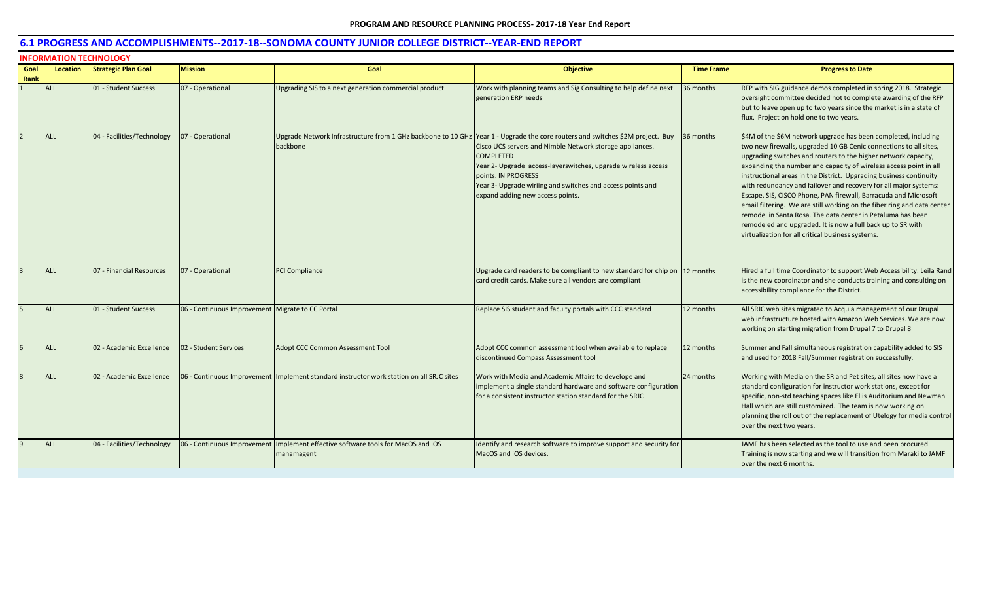|              | <b>INFORMATION TECHNOLOGY</b> |                            |                                                  |                                                                                                |                                                                                                                                                                                                                                                                                                                                            |                   |                                                                                                                                                                                                                                                                                                                                                                                                                                                                                                                                                                                                                                                                                                                                                       |  |  |  |
|--------------|-------------------------------|----------------------------|--------------------------------------------------|------------------------------------------------------------------------------------------------|--------------------------------------------------------------------------------------------------------------------------------------------------------------------------------------------------------------------------------------------------------------------------------------------------------------------------------------------|-------------------|-------------------------------------------------------------------------------------------------------------------------------------------------------------------------------------------------------------------------------------------------------------------------------------------------------------------------------------------------------------------------------------------------------------------------------------------------------------------------------------------------------------------------------------------------------------------------------------------------------------------------------------------------------------------------------------------------------------------------------------------------------|--|--|--|
| Goal<br>Rank | <b>Location</b>               | <b>Strategic Plan Goal</b> | <b>Mission</b>                                   | Goal                                                                                           | <b>Objective</b>                                                                                                                                                                                                                                                                                                                           | <b>Time Frame</b> | <b>Progress to Date</b>                                                                                                                                                                                                                                                                                                                                                                                                                                                                                                                                                                                                                                                                                                                               |  |  |  |
|              | <b>ALL</b>                    | 01 - Student Success       | 07 - Operational                                 | Upgrading SIS to a next generation commercial product                                          | Work with planning teams and Sig Consulting to help define next<br>generation ERP needs                                                                                                                                                                                                                                                    | 36 months         | RFP with SIG guidance demos completed in spring 2018. Strategic<br>oversight committee decided not to complete awarding of the RFP<br>but to leave open up to two years since the market is in a state of<br>flux. Project on hold one to two years.                                                                                                                                                                                                                                                                                                                                                                                                                                                                                                  |  |  |  |
|              | <b>ALL</b>                    | 04 - Facilities/Technology | 07 - Operational                                 | Upgrade Network Infrastructure from 1 GHz backbone to 10 GHz<br>backbone                       | Year 1 - Upgrade the core routers and switches \$2M project. Buy<br>Cisco UCS servers and Nimble Network storage appliances.<br><b>COMPLETED</b><br>Year 2- Upgrade access-layerswitches, upgrade wireless access<br>points. IN PROGRESS<br>Year 3- Upgrade wiriing and switches and access points and<br>expand adding new access points. | 36 months         | \$4M of the \$6M network upgrade has been completed, including<br>two new firewalls, upgraded 10 GB Cenic connections to all sites,<br>upgrading switches and routers to the higher network capacity,<br>expanding the number and capacity of wireless access point in all<br>instructional areas in the District. Upgrading business continuity<br>with redundancy and failover and recovery for all major systems:<br>Escape, SIS, CISCO Phone, PAN firewall, Barracuda and Microsoft<br>email filtering. We are still working on the fiber ring and data center<br>remodel in Santa Rosa. The data center in Petaluma has been<br>remodeled and upgraded. It is now a full back up to SR with<br>virtualization for all critical business systems. |  |  |  |
|              | <b>ALL</b>                    | 07 - Financial Resources   | 07 - Operational                                 | <b>PCI Compliance</b>                                                                          | Upgrade card readers to be compliant to new standard for chip on<br>card credit cards. Make sure all vendors are compliant                                                                                                                                                                                                                 | 12 months         | Hired a full time Coordinator to support Web Accessibility. Leila Rand<br>is the new coordinator and she conducts training and consulting on<br>accessibility compliance for the District.                                                                                                                                                                                                                                                                                                                                                                                                                                                                                                                                                            |  |  |  |
|              | <b>ALL</b>                    | 01 - Student Success       | 06 - Continuous Improvement Migrate to CC Portal |                                                                                                | Replace SIS student and faculty portals with CCC standard                                                                                                                                                                                                                                                                                  | 12 months         | All SRJC web sites migrated to Acquia management of our Drupal<br>web infrastructure hosted with Amazon Web Services. We are now<br>working on starting migration from Drupal 7 to Drupal 8                                                                                                                                                                                                                                                                                                                                                                                                                                                                                                                                                           |  |  |  |
| 6            | ALL                           | 02 - Academic Excellence   | 02 - Student Services                            | <b>Adopt CCC Common Assessment Tool</b>                                                        | Adopt CCC common assessment tool when available to replace<br>discontinued Compass Assessment tool                                                                                                                                                                                                                                         | 12 months         | Summer and Fall simultaneous registration capability added to SIS<br>and used for 2018 Fall/Summer registration successfully.                                                                                                                                                                                                                                                                                                                                                                                                                                                                                                                                                                                                                         |  |  |  |
|              | <b>ALL</b>                    | 02 - Academic Excellence   | 6 - Continuous Improvement                       | Implement standard instructor work station on all SRJC sites                                   | Work with Media and Academic Affairs to develope and<br>implement a single standard hardware and software configuration<br>for a consistent instructor station standard for the SRJC                                                                                                                                                       | 24 months         | Working with Media on the SR and Pet sites, all sites now have a<br>standard configuration for instructor work stations, except for<br>specific, non-std teaching spaces like Ellis Auditorium and Newman<br>Hall which are still customized. The team is now working on<br>planning the roll out of the replacement of Utelogy for media control<br>over the next two years.                                                                                                                                                                                                                                                                                                                                                                         |  |  |  |
|              | ALL                           | 04 - Facilities/Technology |                                                  | 06 - Continuous Improvement Implement effective software tools for MacOS and iOS<br>manamagent | Identify and research software to improve support and security for<br>MacOS and iOS devices.                                                                                                                                                                                                                                               |                   | JAMF has been selected as the tool to use and been procured.<br>Training is now starting and we will transition from Maraki to JAMF<br>over the next 6 months.                                                                                                                                                                                                                                                                                                                                                                                                                                                                                                                                                                                        |  |  |  |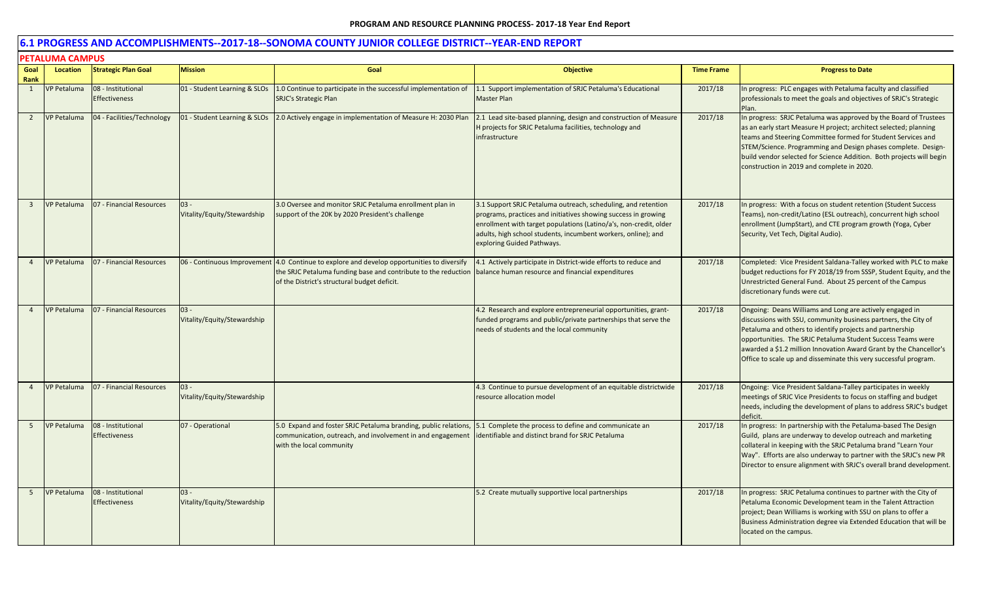|                | <b>PETALUMA CAMPUS</b> |                                            |                                       |                                                                                                                                                                                  |                                                                                                                                                                                                                                                                                                     |                   |                                                                                                                                                                                                                                                                                                                                                                                                 |  |  |  |
|----------------|------------------------|--------------------------------------------|---------------------------------------|----------------------------------------------------------------------------------------------------------------------------------------------------------------------------------|-----------------------------------------------------------------------------------------------------------------------------------------------------------------------------------------------------------------------------------------------------------------------------------------------------|-------------------|-------------------------------------------------------------------------------------------------------------------------------------------------------------------------------------------------------------------------------------------------------------------------------------------------------------------------------------------------------------------------------------------------|--|--|--|
| Goal<br>Rank   | Location               | <b>Strategic Plan Goal</b>                 | <b>Mission</b>                        | Goal                                                                                                                                                                             | <b>Objective</b>                                                                                                                                                                                                                                                                                    | <b>Time Frame</b> | <b>Progress to Date</b>                                                                                                                                                                                                                                                                                                                                                                         |  |  |  |
| 1              | <b>VP Petaluma</b>     | 08 - Institutional<br><b>Effectiveness</b> | 01 - Student Learning & SLOs          | 1.0 Continue to participate in the successful implementation of<br><b>SRJC's Strategic Plan</b>                                                                                  | 1.1 Support implementation of SRJC Petaluma's Educational<br><b>Master Plan</b>                                                                                                                                                                                                                     | 2017/18           | In progress: PLC engages with Petaluma faculty and classified<br>professionals to meet the goals and objectives of SRJC's Strategic<br>Plan.                                                                                                                                                                                                                                                    |  |  |  |
| $\overline{2}$ | <b>VP Petaluma</b>     | 04 - Facilities/Technology                 | 01 - Student Learning & SLOs          | 2.0 Actively engage in implementation of Measure H: 2030 Plan                                                                                                                    | 2.1 Lead site-based planning, design and construction of Measure<br>H projects for SRJC Petaluma facilities, technology and<br>infrastructure                                                                                                                                                       | 2017/18           | In progress: SRJC Petaluma was approved by the Board of Trustees<br>as an early start Measure H project; architect selected; planning<br>teams and Steering Committee formed for Student Services and<br>STEM/Science. Programming and Design phases complete. Design-<br>build vendor selected for Science Addition. Both projects will begin<br>construction in 2019 and complete in 2020.    |  |  |  |
| $\overline{3}$ | VP Petaluma            | 07 - Financial Resources                   | $03 -$<br>Vitality/Equity/Stewardship | 3.0 Oversee and monitor SRJC Petaluma enrollment plan in<br>support of the 20K by 2020 President's challenge                                                                     | 3.1 Support SRJC Petaluma outreach, scheduling, and retention<br>programs, practices and initiatives showing success in growing<br>enrollment with target populations (Latino/a's, non-credit, older<br>adults, high school students, incumbent workers, online); and<br>exploring Guided Pathways. | 2017/18           | In progress: With a focus on student retention (Student Success<br>Teams), non-credit/Latino (ESL outreach), concurrent high school<br>enrollment (JumpStart), and CTE program growth (Yoga, Cyber<br>Security, Vet Tech, Digital Audio).                                                                                                                                                       |  |  |  |
| $\overline{4}$ | <b>VP Petaluma</b>     | 07 - Financial Resources                   | 06 - Continuous Improvement           | 4.0 Continue to explore and develop opportunities to diversify<br>the SRJC Petaluma funding base and contribute to the reduction<br>of the District's structural budget deficit. | 4.1 Actively participate in District-wide efforts to reduce and<br>balance human resource and financial expenditures                                                                                                                                                                                | 2017/18           | Completed: Vice President Saldana-Talley worked with PLC to make<br>budget reductions for FY 2018/19 from SSSP, Student Equity, and the<br>Unrestricted General Fund. About 25 percent of the Campus<br>discretionary funds were cut.                                                                                                                                                           |  |  |  |
|                | <b>VP Petaluma</b>     | 07 - Financial Resources                   | $03 -$<br>Vitality/Equity/Stewardship |                                                                                                                                                                                  | 4.2 Research and explore entrepreneurial opportunities, grant-<br>funded programs and public/private partnerships that serve the<br>needs of students and the local community                                                                                                                       | 2017/18           | Ongoing: Deans Williams and Long are actively engaged in<br>discussions with SSU, community business partners, the City of<br>Petaluma and others to identify projects and partnership<br>opportunities. The SRJC Petaluma Student Success Teams were<br>awarded a \$1.2 million Innovation Award Grant by the Chancellor's<br>Office to scale up and disseminate this very successful program. |  |  |  |
| $\overline{4}$ | <b>VP Petaluma</b>     | 07 - Financial Resources                   | $03 -$<br>Vitality/Equity/Stewardship |                                                                                                                                                                                  | 4.3 Continue to pursue development of an equitable districtwide<br>resource allocation model                                                                                                                                                                                                        | 2017/18           | Ongoing: Vice President Saldana-Talley participates in weekly<br>meetings of SRJC Vice Presidents to focus on staffing and budget<br>needs, including the development of plans to address SRJC's budget<br>deficit.                                                                                                                                                                             |  |  |  |
| 5              | VP Petaluma            | 08 - Institutional<br><b>Effectiveness</b> | 07 - Operational                      | 5.0 Expand and foster SRJC Petaluma branding, public relations,<br>communication, outreach, and involvement in and engagement<br>with the local community                        | 5.1 Complete the process to define and communicate an<br>identifiable and distinct brand for SRJC Petaluma                                                                                                                                                                                          | 2017/18           | In progress: In partnership with the Petaluma-based The Design<br>Guild, plans are underway to develop outreach and marketing<br>collateral in keeping with the SRJC Petaluma brand "Learn Your<br>Way". Efforts are also underway to partner with the SRJC's new PR<br>Director to ensure alignment with SRJC's overall brand development.                                                     |  |  |  |
| 5 <sup>5</sup> | VP Petaluma            | 08 - Institutional<br><b>Effectiveness</b> | $03 -$<br>Vitality/Equity/Stewardship |                                                                                                                                                                                  | 5.2 Create mutually supportive local partnerships                                                                                                                                                                                                                                                   | 2017/18           | In progress: SRJC Petaluma continues to partner with the City of<br>Petaluma Economic Development team in the Talent Attraction<br>project; Dean Williams is working with SSU on plans to offer a<br>Business Administration degree via Extended Education that will be<br>located on the campus.                                                                                               |  |  |  |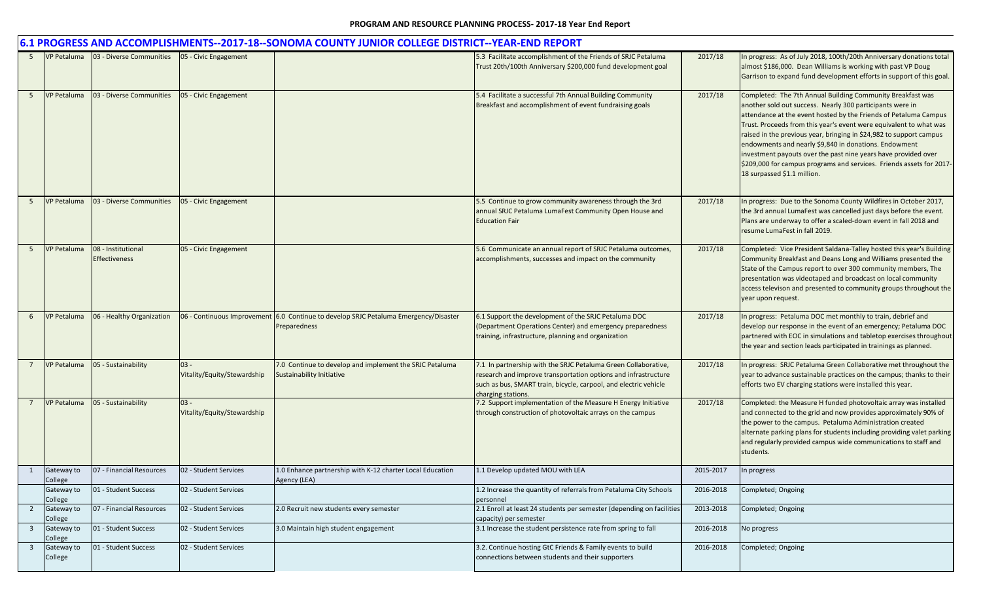|                 | 6.1 PROGRESS AND ACCOMPLISHMENTS--2017-18--SONOMA COUNTY JUNIOR COLLEGE DISTRICT--YEAR-END REPORT |                                                           |                                       |                                                                                                      |                                                                                                                                                                                                                            |           |                                                                                                                                                                                                                                                                                                                                                                                                                                                                                                                                                                            |  |  |  |
|-----------------|---------------------------------------------------------------------------------------------------|-----------------------------------------------------------|---------------------------------------|------------------------------------------------------------------------------------------------------|----------------------------------------------------------------------------------------------------------------------------------------------------------------------------------------------------------------------------|-----------|----------------------------------------------------------------------------------------------------------------------------------------------------------------------------------------------------------------------------------------------------------------------------------------------------------------------------------------------------------------------------------------------------------------------------------------------------------------------------------------------------------------------------------------------------------------------------|--|--|--|
| 5               | <b>VP Petaluma</b>                                                                                | 03 - Diverse Communities   05 - Civic Engagement          |                                       |                                                                                                      | 5.3 Facilitate accomplishment of the Friends of SRJC Petaluma<br>Trust 20th/100th Anniversary \$200,000 fund development goal                                                                                              | 2017/18   | In progress: As of July 2018, 100th/20th Anniversary donations total<br>almost \$186,000. Dean Williams is working with past VP Doug<br>Garrison to expand fund development efforts in support of this goal.                                                                                                                                                                                                                                                                                                                                                               |  |  |  |
| 5               | <b>VP Petaluma</b>                                                                                | 03 - Diverse Communities                                  | 05 - Civic Engagement                 |                                                                                                      | 5.4 Facilitate a successful 7th Annual Building Community<br>Breakfast and accomplishment of event fundraising goals                                                                                                       | 2017/18   | Completed: The 7th Annual Building Community Breakfast was<br>another sold out success. Nearly 300 participants were in<br>attendance at the event hosted by the Friends of Petaluma Campus<br>Trust. Proceeds from this year's event were equivalent to what was<br>raised in the previous year, bringing in \$24,982 to support campus<br>endowments and nearly \$9,840 in donations. Endowment<br>investment payouts over the past nine years have provided over<br>\$209,000 for campus programs and services. Friends assets for 2017-<br>18 surpassed \$1.1 million. |  |  |  |
| -5              | <b>VP Petaluma</b>                                                                                | 03 - Diverse Communities                                  | 05 - Civic Engagement                 |                                                                                                      | 5.5 Continue to grow community awareness through the 3rd<br>annual SRJC Petaluma LumaFest Community Open House and<br><b>Education Fair</b>                                                                                | 2017/18   | In progress: Due to the Sonoma County Wildfires in October 2017,<br>the 3rd annual LumaFest was cancelled just days before the event.<br>Plans are underway to offer a scaled-down event in fall 2018 and<br>resume LumaFest in fall 2019.                                                                                                                                                                                                                                                                                                                                 |  |  |  |
| 5 <sup>5</sup>  | <b>VP Petaluma</b>                                                                                | 08 - Institutional<br><b>Effectiveness</b>                | 05 - Civic Engagement                 |                                                                                                      | 5.6 Communicate an annual report of SRJC Petaluma outcomes,<br>accomplishments, successes and impact on the community                                                                                                      | 2017/18   | Completed: Vice President Saldana-Talley hosted this year's Building<br>Community Breakfast and Deans Long and Williams presented the<br>State of the Campus report to over 300 community members, The<br>presentation was videotaped and broadcast on local community<br>access televison and presented to community groups throughout the<br>year upon request.                                                                                                                                                                                                          |  |  |  |
| 6               | <b>VP Petaluma</b>                                                                                | 06 - Healthy Organization                                 |                                       | 06 - Continuous Improvement 6.0 Continue to develop SRJC Petaluma Emergency/Disaster<br>Preparedness | 6.1 Support the development of the SRJC Petaluma DOC<br>(Department Operations Center) and emergency preparedness<br>training, infrastructure, planning and organization                                                   | 2017/18   | In progress: Petaluma DOC met monthly to train, debrief and<br>develop our response in the event of an emergency; Petaluma DOC<br>partnered with EOC in simulations and tabletop exercises throughout<br>the year and section leads participated in trainings as planned.                                                                                                                                                                                                                                                                                                  |  |  |  |
|                 | <b>VP Petaluma</b>                                                                                | 05 - Sustainability                                       | $03 -$<br>Vitality/Equity/Stewardship | 7.0 Continue to develop and implement the SRJC Petaluma<br>Sustainability Initiative                 | 7.1 In partnership with the SRJC Petaluma Green Collaborative,<br>research and improve transportation options and infrastructure<br>such as bus, SMART train, bicycle, carpool, and electric vehicle<br>charging stations. | 2017/18   | In progress: SRJC Petaluma Green Collaborative met throughout the<br>year to advance sustainable practices on the campus; thanks to their<br>efforts two EV charging stations were installed this year.                                                                                                                                                                                                                                                                                                                                                                    |  |  |  |
| $7\overline{ }$ | <b>VP Petaluma</b>                                                                                | 05 - Sustainability                                       | $03 -$<br>Vitality/Equity/Stewardship |                                                                                                      | 7.2 Support implementation of the Measure H Energy Initiative<br>through construction of photovoltaic arrays on the campus                                                                                                 | 2017/18   | Completed: the Measure H funded photovoltaic array was installed<br>and connected to the grid and now provides approximately 90% of<br>the power to the campus. Petaluma Administration created<br>alternate parking plans for students including providing valet parking<br>and regularly provided campus wide communications to staff and<br>students.                                                                                                                                                                                                                   |  |  |  |
|                 | College                                                                                           | Gateway to 07 - Financial Resources 02 - Student Services |                                       | 1.0 Enhance partnership with K-12 charter Local Education<br>Agency (LEA)                            | 1.1 Develop updated MOU with LEA                                                                                                                                                                                           | 2015-2017 | In progress                                                                                                                                                                                                                                                                                                                                                                                                                                                                                                                                                                |  |  |  |
|                 | Gateway to<br>College                                                                             | 01 - Student Success                                      | 02 - Student Services                 |                                                                                                      | 1.2 Increase the quantity of referrals from Petaluma City Schools<br>personnel                                                                                                                                             | 2016-2018 | Completed; Ongoing                                                                                                                                                                                                                                                                                                                                                                                                                                                                                                                                                         |  |  |  |
| $2^{\circ}$     | Gateway to<br>College                                                                             | 07 - Financial Resources                                  | 02 - Student Services                 | 2.0 Recruit new students every semester                                                              | 2.1 Enroll at least 24 students per semester (depending on facilities<br>capacity) per semester                                                                                                                            | 2013-2018 | Completed; Ongoing                                                                                                                                                                                                                                                                                                                                                                                                                                                                                                                                                         |  |  |  |
| $\overline{3}$  | Gateway to<br>College                                                                             | 01 - Student Success                                      | 02 - Student Services                 | 3.0 Maintain high student engagement                                                                 | 3.1 Increase the student persistence rate from spring to fall                                                                                                                                                              | 2016-2018 | No progress                                                                                                                                                                                                                                                                                                                                                                                                                                                                                                                                                                |  |  |  |
| $\overline{3}$  | Gateway to<br>College                                                                             | 01 - Student Success                                      | 02 - Student Services                 |                                                                                                      | 3.2. Continue hosting GtC Friends & Family events to build<br>connections between students and their supporters                                                                                                            | 2016-2018 | Completed; Ongoing                                                                                                                                                                                                                                                                                                                                                                                                                                                                                                                                                         |  |  |  |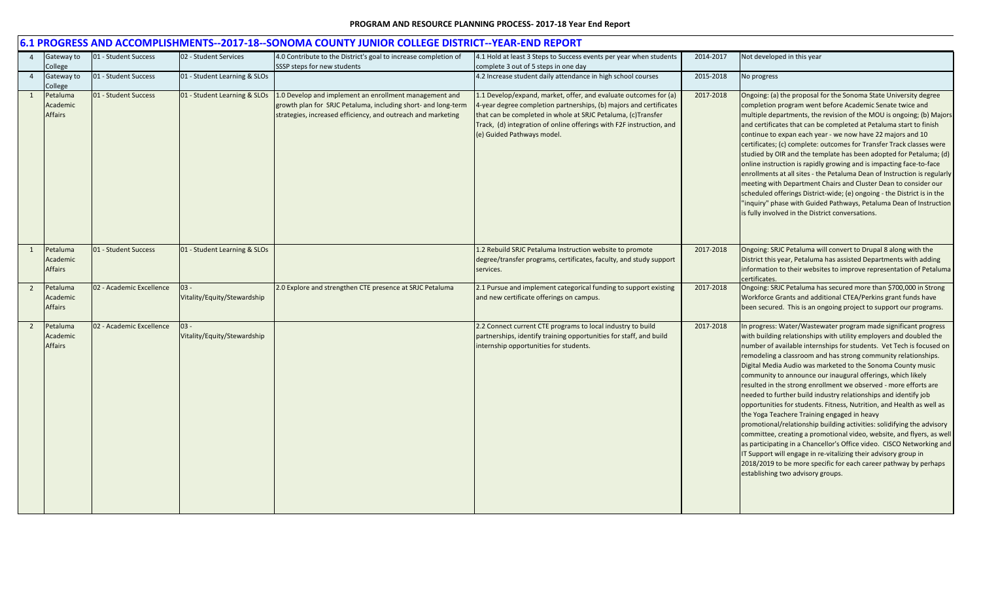|                |                                        |                          |                                       | 0.1 PROGRESS AND ACCOMPLISHIVIEN IS--2017-10--SONONIA COUNTT JUNIOR COLLEGE DISTRICT--TEAR-LIND REPORT                                                                                  |                                                                                                                                                                                                                                                                                                              |           |                                                                                                                                                                                                                                                                                                                                                                                                                                                                                                                                                                                                                                                                                                                                                                                                                                                                                                                                                                                                                                                                                      |
|----------------|----------------------------------------|--------------------------|---------------------------------------|-----------------------------------------------------------------------------------------------------------------------------------------------------------------------------------------|--------------------------------------------------------------------------------------------------------------------------------------------------------------------------------------------------------------------------------------------------------------------------------------------------------------|-----------|--------------------------------------------------------------------------------------------------------------------------------------------------------------------------------------------------------------------------------------------------------------------------------------------------------------------------------------------------------------------------------------------------------------------------------------------------------------------------------------------------------------------------------------------------------------------------------------------------------------------------------------------------------------------------------------------------------------------------------------------------------------------------------------------------------------------------------------------------------------------------------------------------------------------------------------------------------------------------------------------------------------------------------------------------------------------------------------|
|                | Gateway to<br>College                  | 01 - Student Success     | 02 - Student Services                 | 4.0 Contribute to the District's goal to increase completion of<br>SSSP steps for new students                                                                                          | 4.1 Hold at least 3 Steps to Success events per year when students<br>complete 3 out of 5 steps in one day                                                                                                                                                                                                   | 2014-2017 | Not developed in this year                                                                                                                                                                                                                                                                                                                                                                                                                                                                                                                                                                                                                                                                                                                                                                                                                                                                                                                                                                                                                                                           |
|                | Gateway to<br>College                  | 01 - Student Success     | 01 - Student Learning & SLOs          |                                                                                                                                                                                         | 4.2 Increase student daily attendance in high school courses                                                                                                                                                                                                                                                 | 2015-2018 | No progress                                                                                                                                                                                                                                                                                                                                                                                                                                                                                                                                                                                                                                                                                                                                                                                                                                                                                                                                                                                                                                                                          |
| 1              | Petaluma<br>Academic<br><b>Affairs</b> | 01 - Student Success     | 01 - Student Learning & SLOs          | 1.0 Develop and implement an enrollment management and<br>growth plan for SRJC Petaluma, including short- and long-term<br>strategies, increased efficiency, and outreach and marketing | 1.1 Develop/expand, market, offer, and evaluate outcomes for (a)<br>4-year degree completion partnerships, (b) majors and certificates<br>that can be completed in whole at SRJC Petaluma, (c)Transfer<br>Track, (d) integration of online offerings with F2F instruction, and<br>(e) Guided Pathways model. | 2017-2018 | Ongoing: (a) the proposal for the Sonoma State University degree<br>completion program went before Academic Senate twice and<br>multiple departments, the revision of the MOU is ongoing; (b) Majors<br>and certificates that can be completed at Petaluma start to finish<br>continue to expan each year - we now have 22 majors and 10<br>certificates; (c) complete: outcomes for Transfer Track classes were<br>studied by OIR and the template has been adopted for Petaluma; (d)<br>online instruction is rapidly growing and is impacting face-to-face<br>enrollments at all sites - the Petaluma Dean of Instruction is regularly<br>meeting with Department Chairs and Cluster Dean to consider our<br>scheduled offerings District-wide; (e) ongoing - the District is in the<br>"inquiry" phase with Guided Pathways, Petaluma Dean of Instruction<br>is fully involved in the District conversations.                                                                                                                                                                    |
|                | Petaluma<br>Academic<br><b>Affairs</b> | 01 - Student Success     | 01 - Student Learning & SLOs          |                                                                                                                                                                                         | 1.2 Rebuild SRJC Petaluma Instruction website to promote<br>degree/transfer programs, certificates, faculty, and study support<br>services.                                                                                                                                                                  | 2017-2018 | Ongoing: SRJC Petaluma will convert to Drupal 8 along with the<br>District this year, Petaluma has assisted Departments with adding<br>information to their websites to improve representation of Petaluma<br>certificates.                                                                                                                                                                                                                                                                                                                                                                                                                                                                                                                                                                                                                                                                                                                                                                                                                                                          |
| $\overline{2}$ | Petaluma<br>Academic<br><b>Affairs</b> | 02 - Academic Excellence | $03 -$<br>Vitality/Equity/Stewardship | 2.0 Explore and strengthen CTE presence at SRJC Petaluma                                                                                                                                | 2.1 Pursue and implement categorical funding to support existing<br>and new certificate offerings on campus.                                                                                                                                                                                                 | 2017-2018 | Ongoing: SRJC Petaluma has secured more than \$700,000 in Strong<br>Workforce Grants and additional CTEA/Perkins grant funds have<br>been secured. This is an ongoing project to support our programs.                                                                                                                                                                                                                                                                                                                                                                                                                                                                                                                                                                                                                                                                                                                                                                                                                                                                               |
| $\overline{2}$ | Petaluma<br>Academic<br><b>Affairs</b> | 02 - Academic Excellence | $03 -$<br>Vitality/Equity/Stewardship |                                                                                                                                                                                         | 2.2 Connect current CTE programs to local industry to build<br>partnerships, identify training opportunities for staff, and build<br>internship opportunities for students.                                                                                                                                  | 2017-2018 | In progress: Water/Wastewater program made significant progress<br>with building relationships with utility employers and doubled the<br>number of available internships for students. Vet Tech is focused on<br>remodeling a classroom and has strong community relationships.<br>Digital Media Audio was marketed to the Sonoma County music<br>community to announce our inaugural offerings, which likely<br>resulted in the strong enrollment we observed - more efforts are<br>needed to further build industry relationships and identify job<br>opportunities for students. Fitness, Nutrition, and Health as well as<br>the Yoga Teachere Training engaged in heavy<br>promotional/relationship building activities: solidifying the advisory<br>committee, creating a promotional video, website, and flyers, as well<br>as participating in a Chancellor's Office video. CISCO Networking and<br>IT Support will engage in re-vitalizing their advisory group in<br>2018/2019 to be more specific for each career pathway by perhaps<br>establishing two advisory groups. |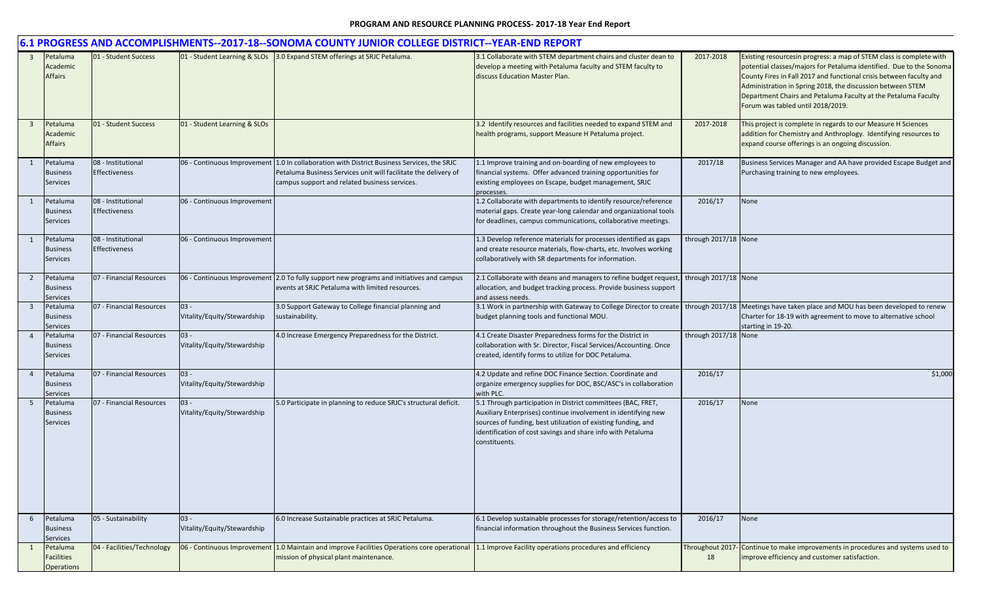|                         | 6.1 PROGRESS AND ACCOMPLISHMENTS--2017-18--SONOMA COUNTY JUNIOR COLLEGE DISTRICT--YEAR-END REPORT |                                            |                                       |                                                                                                                                                                                                                |                                                                                                                                                                                                                                                                                 |                      |                                                                                                                                                                                                                                                                                                                                                                                        |  |  |
|-------------------------|---------------------------------------------------------------------------------------------------|--------------------------------------------|---------------------------------------|----------------------------------------------------------------------------------------------------------------------------------------------------------------------------------------------------------------|---------------------------------------------------------------------------------------------------------------------------------------------------------------------------------------------------------------------------------------------------------------------------------|----------------------|----------------------------------------------------------------------------------------------------------------------------------------------------------------------------------------------------------------------------------------------------------------------------------------------------------------------------------------------------------------------------------------|--|--|
| $\overline{\mathbf{3}}$ | Petaluma<br>Academic<br><b>Affairs</b>                                                            | 01 - Student Success                       |                                       | 01 - Student Learning & SLOs 3.0 Expand STEM offerings at SRJC Petaluma.                                                                                                                                       | 3.1 Collaborate with STEM department chairs and cluster dean to<br>develop a meeting with Petaluma faculty and STEM faculty to<br>discuss Education Master Plan.                                                                                                                | 2017-2018            | Existing resourcesin progress: a map of STEM class is complete with<br>potential classes/majors for Petaluma identified. Due to the Sonoma<br>County Fires in Fall 2017 and functional crisis between faculty and<br>Administration in Spring 2018, the discussion between STEM<br>Department Chairs and Petaluma Faculty at the Petaluma Faculty<br>Forum was tabled until 2018/2019. |  |  |
| $\overline{\mathbf{3}}$ | Petaluma<br>Academic<br><b>Affairs</b>                                                            | 01 - Student Success                       | 01 - Student Learning & SLOs          |                                                                                                                                                                                                                | 3.2 Identify resources and facilities needed to expand STEM and<br>health programs, support Measure H Petaluma project.                                                                                                                                                         | 2017-2018            | This project is complete in regards to our Measure H Sciences<br>addition for Chemistry and Anthroplogy. Identifying resources to<br>expand course offerings is an ongoing discussion.                                                                                                                                                                                                 |  |  |
| 1                       | Petaluma<br><b>Business</b><br><b>Services</b>                                                    | 08 - Institutional<br>Effectiveness        |                                       | 06 - Continuous Improvement 1.0 In collaboration with District Business Services, the SRJC<br>Petaluma Business Services unit will facilitate the delivery of<br>campus support and related business services. | 1.1 Improve training and on-boarding of new employees to<br>financial systems. Offer advanced training opportunities for<br>existing employees on Escape, budget management, SRJC<br>processes.                                                                                 | 2017/18              | Business Services Manager and AA have provided Escape Budget and<br>Purchasing training to new employees.                                                                                                                                                                                                                                                                              |  |  |
| 1                       | Petaluma<br><b>Business</b><br><b>Services</b>                                                    | 08 - Institutional<br><b>Effectiveness</b> | 06 - Continuous Improvement           |                                                                                                                                                                                                                | 1.2 Collaborate with departments to identify resource/reference<br>material gaps. Create year-long calendar and organizational tools<br>for deadlines, campus communications, collaborative meetings.                                                                           | 2016/17              | None                                                                                                                                                                                                                                                                                                                                                                                   |  |  |
| 1                       | Petaluma<br><b>Business</b><br><b>Services</b>                                                    | 08 - Institutional<br>Effectiveness        | 06 - Continuous Improvement           |                                                                                                                                                                                                                | 1.3 Develop reference materials for processes identified as gaps<br>and create resource materials, flow-charts, etc. Involves working<br>collaboratively with SR departments for information.                                                                                   | through 2017/18 None |                                                                                                                                                                                                                                                                                                                                                                                        |  |  |
| $\overline{2}$          | Petaluma<br><b>Business</b><br><b>Services</b>                                                    | 07 - Financial Resources                   | 06 - Continuous Improvement           | 2.0 To fully support new programs and initiatives and campus<br>events at SRJC Petaluma with limited resources.                                                                                                | 2.1 Collaborate with deans and managers to refine budget request,<br>allocation, and budget tracking process. Provide business support<br>and assess needs.                                                                                                                     | through 2017/18 None |                                                                                                                                                                                                                                                                                                                                                                                        |  |  |
| $\overline{\mathbf{3}}$ | Petaluma<br><b>Business</b><br><b>Services</b>                                                    | 07 - Financial Resources                   | $03 -$<br>Vitality/Equity/Stewardship | 3.0 Support Gateway to College financial planning and<br>sustainability.                                                                                                                                       | 3.1 Work in partnership with Gateway to College Director to create<br>budget planning tools and functional MOU.                                                                                                                                                                 |                      | through 2017/18 Meetings have taken place and MOU has been developed to renew<br>Charter for 18-19 with agreement to move to alternative school<br>starting in 19-20.                                                                                                                                                                                                                  |  |  |
| $\overline{4}$          | Petaluma<br><b>Business</b><br><b>Services</b>                                                    | 07 - Financial Resources                   | $03 -$<br>Vitality/Equity/Stewardship | 4.0 Increase Emergency Preparedness for the District.                                                                                                                                                          | 4.1 Create Disaster Preparedness forms for the District in<br>collaboration with Sr. Director, Fiscal Services/Accounting. Once<br>created, identify forms to utilize for DOC Petaluma.                                                                                         | through 2017/18 None |                                                                                                                                                                                                                                                                                                                                                                                        |  |  |
| 4                       | Petaluma<br><b>Business</b><br><b>Services</b>                                                    | 07 - Financial Resources                   | $03 -$<br>Vitality/Equity/Stewardship |                                                                                                                                                                                                                | 4.2 Update and refine DOC Finance Section. Coordinate and<br>organize emergency supplies for DOC, BSC/ASC's in collaboration<br>with PLC.                                                                                                                                       | 2016/17              | \$1,000                                                                                                                                                                                                                                                                                                                                                                                |  |  |
| 5                       | Petaluma<br><b>Business</b><br><b>Services</b>                                                    | 07 - Financial Resources                   | $03 -$<br>Vitality/Equity/Stewardship | 5.0 Participate in planning to reduce SRJC's structural deficit.                                                                                                                                               | 5.1 Through participation in District committees (BAC, FRET,<br>Auxiliary Enterprises) continue involvement in identifying new<br>sources of funding, best utilization of existing funding, and<br>identification of cost savings and share info with Petaluma<br>constituents. | 2016/17              | None                                                                                                                                                                                                                                                                                                                                                                                   |  |  |
| 6                       | Petaluma<br><b>Business</b><br><b>Services</b>                                                    | 05 - Sustainability                        | $03 -$<br>Vitality/Equity/Stewardship | 6.0 Increase Sustainable practices at SRJC Petaluma.                                                                                                                                                           | 6.1 Develop sustainable processes for storage/retention/access to<br>financial information throughout the Business Services function.                                                                                                                                           | 2016/17              | None                                                                                                                                                                                                                                                                                                                                                                                   |  |  |
| $\mathbf{1}$            | Petaluma<br><b>Facilities</b><br><b>Operations</b>                                                | 04 - Facilities/Technology                 | 06 - Continuous Improvement           | 1.0 Maintain and improve Facilities Operations core operational<br>mission of physical plant maintenance.                                                                                                      | 1.1 Improve Facility operations procedures and efficiency                                                                                                                                                                                                                       | 18                   | Throughout 2017- Continue to make improvements in procedures and systems used to<br>improve efficiency and customer satisfaction.                                                                                                                                                                                                                                                      |  |  |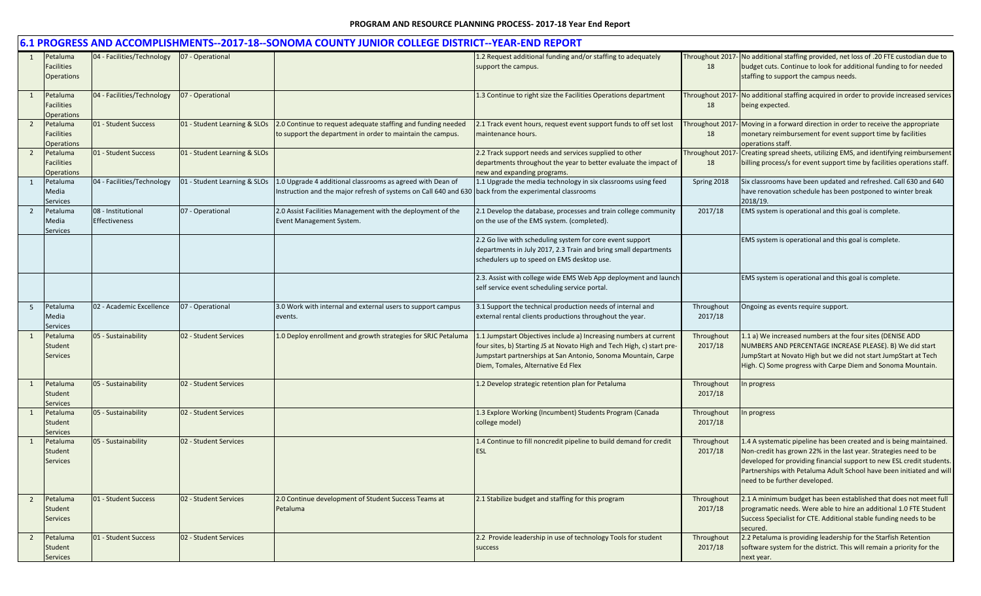|                                                               |                                     |                              | 6.1 PROGRESS AND ACCOMPLISHMENTS--2017-18--SONOMA COUNTY JUNIOR COLLEGE DISTRICT--YEAR-END REPORT                                                                    |                                                                                                                                                                                                                                                    |                       |                                                                                                                                                                                                                                                                                                                           |
|---------------------------------------------------------------|-------------------------------------|------------------------------|----------------------------------------------------------------------------------------------------------------------------------------------------------------------|----------------------------------------------------------------------------------------------------------------------------------------------------------------------------------------------------------------------------------------------------|-----------------------|---------------------------------------------------------------------------------------------------------------------------------------------------------------------------------------------------------------------------------------------------------------------------------------------------------------------------|
| Petaluma<br>1<br><b>Facilities</b><br><b>Operations</b>       | 04 - Facilities/Technology          | 07 - Operational             |                                                                                                                                                                      | 1.2 Request additional funding and/or staffing to adequately<br>support the campus.                                                                                                                                                                | Throughout 2017<br>18 | No additional staffing provided, net loss of .20 FTE custodian due to<br>budget cuts. Continue to look for additional funding to for needed<br>staffing to support the campus needs.                                                                                                                                      |
| Petaluma<br>1<br><b>Facilities</b><br>Operations              | 04 - Facilities/Technology          | 07 - Operational             |                                                                                                                                                                      | 1.3 Continue to right size the Facilities Operations department                                                                                                                                                                                    | Throughout 2017<br>18 | - No additional staffing acquired in order to provide increased services<br>being expected.                                                                                                                                                                                                                               |
| $\overline{2}$<br>Petaluma<br><b>Facilities</b><br>Operations | 01 - Student Success                | 01 - Student Learning & SLOs | 2.0 Continue to request adequate staffing and funding needed<br>to support the department in order to maintain the campus.                                           | 2.1 Track event hours, request event support funds to off set lost<br>maintenance hours.                                                                                                                                                           | Throughout 2017<br>18 | Moving in a forward direction in order to receive the appropriate<br>monetary reimbursement for event support time by facilities<br>operations staff.                                                                                                                                                                     |
| $\overline{2}$<br>Petaluma<br><b>Facilities</b><br>Operations | 01 - Student Success                | 01 - Student Learning & SLOs |                                                                                                                                                                      | 2.2 Track support needs and services supplied to other<br>departments throughout the year to better evaluate the impact of<br>new and expanding programs.                                                                                          | Throughout 2017<br>18 | Creating spread sheets, utilizing EMS, and identifying reimbursement<br>billing process/s for event support time by facilities operations staff.                                                                                                                                                                          |
| Petaluma<br>1<br>Media<br><b>Services</b>                     | 04 - Facilities/Technology          | 01 - Student Learning & SLOs | 1.0 Upgrade 4 additional classrooms as agreed with Dean of<br>Instruction and the major refresh of systems on Call 640 and 630 back from the experimental classrooms | 1.1 Upgrade the media technology in six classrooms using feed                                                                                                                                                                                      | Spring 2018           | Six classrooms have been updated and refreshed. Call 630 and 640<br>have renovation schedule has been postponed to winter break<br>2018/19.                                                                                                                                                                               |
| $\overline{2}$<br>Petaluma<br>Media<br><b>Services</b>        | 08 - Institutional<br>Effectiveness | 07 - Operational             | 2.0 Assist Facilities Management with the deployment of the<br>Event Management System.                                                                              | 2.1 Develop the database, processes and train college community<br>on the use of the EMS system. (completed).                                                                                                                                      | 2017/18               | EMS system is operational and this goal is complete.                                                                                                                                                                                                                                                                      |
|                                                               |                                     |                              |                                                                                                                                                                      | 2.2 Go live with scheduling system for core event support<br>departments in July 2017, 2.3 Train and bring small departments<br>schedulers up to speed on EMS desktop use.                                                                         |                       | EMS system is operational and this goal is complete.                                                                                                                                                                                                                                                                      |
|                                                               |                                     |                              |                                                                                                                                                                      | 2.3. Assist with college wide EMS Web App deployment and launch<br>self service event scheduling service portal.                                                                                                                                   |                       | EMS system is operational and this goal is complete.                                                                                                                                                                                                                                                                      |
| Petaluma<br>5<br>Media<br><b>Services</b>                     | 02 - Academic Excellence            | 07 - Operational             | 3.0 Work with internal and external users to support campus<br>events.                                                                                               | 3.1 Support the technical production needs of internal and<br>external rental clients productions throughout the year.                                                                                                                             | Throughout<br>2017/18 | Ongoing as events require support.                                                                                                                                                                                                                                                                                        |
| Petaluma<br>1<br><b>Student</b><br><b>Services</b>            | 05 - Sustainability                 | 02 - Student Services        | 1.0 Deploy enrollment and growth strategies for SRJC Petaluma                                                                                                        | 1.1 Jumpstart Objectives include a) Increasing numbers at current<br>four sites, b) Starting JS at Novato High and Tech High, c) start pre-<br>Jumpstart partnerships at San Antonio, Sonoma Mountain, Carpe<br>Diem, Tomales, Alternative Ed Flex | Throughout<br>2017/18 | 1.1 a) We increased numbers at the four sites (DENISE ADD<br>NUMBERS AND PERCENTAGE INCREASE PLEASE). B) We did start<br>JumpStart at Novato High but we did not start JumpStart at Tech<br>High. C) Some progress with Carpe Diem and Sonoma Mountain.                                                                   |
| Petaluma<br>1<br>Student<br><b>Services</b>                   | 05 - Sustainability                 | 02 - Student Services        |                                                                                                                                                                      | 1.2 Develop strategic retention plan for Petaluma                                                                                                                                                                                                  | Throughout<br>2017/18 | In progress                                                                                                                                                                                                                                                                                                               |
| Petaluma<br>1<br>Student<br><b>Services</b>                   | 05 - Sustainability                 | 02 - Student Services        |                                                                                                                                                                      | 1.3 Explore Working (Incumbent) Students Program (Canada<br>college model)                                                                                                                                                                         | Throughout<br>2017/18 | progress                                                                                                                                                                                                                                                                                                                  |
| Petaluma<br>$\mathbf{1}$<br><b>Student</b><br><b>Services</b> | 05 - Sustainability                 | 02 - Student Services        |                                                                                                                                                                      | 1.4 Continue to fill noncredit pipeline to build demand for credit<br>ESL                                                                                                                                                                          | Throughout<br>2017/18 | 1.4 A systematic pipeline has been created and is being maintained.<br>Non-credit has grown 22% in the last year. Strategies need to be<br>developed for providing financial support to new ESL credit students.<br>Partnerships with Petaluma Adult School have been initiated and will<br>need to be further developed. |
| $\overline{2}$<br>Petaluma<br>Student<br><b>Services</b>      | 01 - Student Success                | 02 - Student Services        | 2.0 Continue development of Student Success Teams at<br>Petaluma                                                                                                     | 2.1 Stabilize budget and staffing for this program                                                                                                                                                                                                 | Throughout<br>2017/18 | 2.1 A minimum budget has been established that does not meet full<br>programatic needs. Were able to hire an additional 1.0 FTE Student<br>Success Specialist for CTE. Additional stable funding needs to be<br>secured.                                                                                                  |
| $\overline{2}$<br>Petaluma<br>Student<br><b>Services</b>      | 01 - Student Success                | 02 - Student Services        |                                                                                                                                                                      | 2.2 Provide leadership in use of technology Tools for student<br>success                                                                                                                                                                           | Throughout<br>2017/18 | 2.2 Petaluma is providing leadership for the Starfish Retention<br>software system for the district. This will remain a priority for the<br>next year.                                                                                                                                                                    |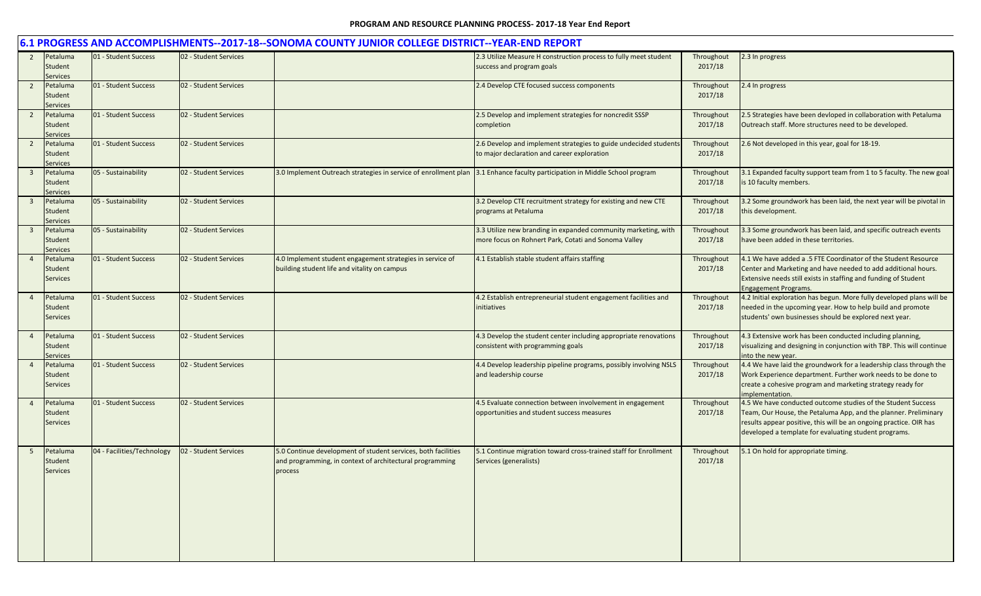|                         |                                               |                            |                       | 6.1 PROGRESS AND ACCOMPLISHMENTS--2017-18--SONOMA COUNTY JUNIOR COLLEGE DISTRICT--YEAR-END REPORT                                    |                                                                                                                        |                       |                                                                                                                                                                                                                                                                |
|-------------------------|-----------------------------------------------|----------------------------|-----------------------|--------------------------------------------------------------------------------------------------------------------------------------|------------------------------------------------------------------------------------------------------------------------|-----------------------|----------------------------------------------------------------------------------------------------------------------------------------------------------------------------------------------------------------------------------------------------------------|
| $\overline{2}$          | Petaluma<br>Student<br><b>Services</b>        | 01 - Student Success       | 02 - Student Services |                                                                                                                                      | 2.3 Utilize Measure H construction process to fully meet student<br>success and program goals                          | Throughout<br>2017/18 | 2.3 In progress                                                                                                                                                                                                                                                |
| $\overline{2}$          | Petaluma<br>Student<br><b>Services</b>        | 01 - Student Success       | 02 - Student Services |                                                                                                                                      | 2.4 Develop CTE focused success components                                                                             | Throughout<br>2017/18 | 2.4 In progress                                                                                                                                                                                                                                                |
| $\overline{2}$          | Petaluma<br>Student<br><b>Services</b>        | 01 - Student Success       | 02 - Student Services |                                                                                                                                      | 2.5 Develop and implement strategies for noncredit SSSP<br>completion                                                  | Throughout<br>2017/18 | 2.5 Strategies have been devloped in collaboration with Petaluma<br>Outreach staff. More structures need to be developed.                                                                                                                                      |
| $\overline{2}$          | Petaluma<br>Student<br><b>Services</b>        | 01 - Student Success       | 02 - Student Services |                                                                                                                                      | 2.6 Develop and implement strategies to guide undecided students<br>to major declaration and career exploration        | Throughout<br>2017/18 | 2.6 Not developed in this year, goal for 18-19.                                                                                                                                                                                                                |
| $\overline{\mathbf{3}}$ | Petaluma<br>Student<br>Services               | 05 - Sustainability        | 02 - Student Services | 3.0 Implement Outreach strategies in service of enrollment plan                                                                      | 3.1 Enhance faculty participation in Middle School program                                                             | Throughout<br>2017/18 | 3.1 Expanded faculty support team from 1 to 5 faculty. The new goal<br>is 10 faculty members.                                                                                                                                                                  |
| $\overline{\mathbf{3}}$ | Petaluma<br>Student<br><b>Services</b>        | 05 - Sustainability        | 02 - Student Services |                                                                                                                                      | 3.2 Develop CTE recruitment strategy for existing and new CTE<br>programs at Petaluma                                  | Throughout<br>2017/18 | 3.2 Some groundwork has been laid, the next year will be pivotal in<br>this development.                                                                                                                                                                       |
| $\overline{3}$          | Petaluma<br>Student<br><b>Services</b>        | 05 - Sustainability        | 02 - Student Services |                                                                                                                                      | 3.3 Utilize new branding in expanded community marketing, with<br>more focus on Rohnert Park, Cotati and Sonoma Valley | Throughout<br>2017/18 | 3.3 Some groundwork has been laid, and specific outreach events<br>have been added in these territories.                                                                                                                                                       |
|                         | Petaluma<br>Student<br><b>Services</b>        | 01 - Student Success       | 02 - Student Services | 4.0 Implement student engagement strategies in service of<br>building student life and vitality on campus                            | 4.1 Establish stable student affairs staffing                                                                          | Throughout<br>2017/18 | 4.1 We have added a .5 FTE Coordinator of the Student Resource<br>Center and Marketing and have needed to add additional hours.<br>Extensive needs still exists in staffing and funding of Student<br><b>Engagement Programs.</b>                              |
| $\overline{4}$          | Petaluma<br><b>Student</b><br><b>Services</b> | 01 - Student Success       | 02 - Student Services |                                                                                                                                      | 4.2 Establish entrepreneurial student engagement facilities and<br>initiatives                                         | Throughout<br>2017/18 | 4.2 Initial exploration has begun. More fully developed plans will be<br>needed in the upcoming year. How to help build and promote<br>students' own businesses should be explored next year.                                                                  |
| $\overline{4}$          | Petaluma<br>Student<br><b>Services</b>        | 01 - Student Success       | 02 - Student Services |                                                                                                                                      | 4.3 Develop the student center including appropriate renovations<br>consistent with programming goals                  | Throughout<br>2017/18 | 4.3 Extensive work has been conducted including planning,<br>visualizing and designing in conjunction with TBP. This will continue<br>into the new year.                                                                                                       |
| $\overline{4}$          | Petaluma<br>Student<br><b>Services</b>        | 01 - Student Success       | 02 - Student Services |                                                                                                                                      | 4.4 Develop leadership pipeline programs, possibly involving NSLS<br>and leadership course                             | Throughout<br>2017/18 | 4.4 We have laid the groundwork for a leadership class through the<br>Work Experience department. Further work needs to be done to<br>create a cohesive program and marketing strategy ready for<br>implementation.                                            |
| $\overline{4}$          | Petaluma<br>Student<br><b>Services</b>        | 01 - Student Success       | 02 - Student Services |                                                                                                                                      | 4.5 Evaluate connection between involvement in engagement<br>opportunities and student success measures                | Throughout<br>2017/18 | 4.5 We have conducted outcome studies of the Student Success<br>Team, Our House, the Petaluma App, and the planner. Preliminary<br>results appear positive, this will be an ongoing practice. OIR has<br>developed a template for evaluating student programs. |
| 5                       | Petaluma<br><b>Student</b><br><b>Services</b> | 04 - Facilities/Technology | 02 - Student Services | 5.0 Continue development of student services, both facilities<br>and programming, in context of architectural programming<br>process | 5.1 Continue migration toward cross-trained staff for Enrollment<br>Services (generalists)                             | Throughout<br>2017/18 | 5.1 On hold for appropriate timing.                                                                                                                                                                                                                            |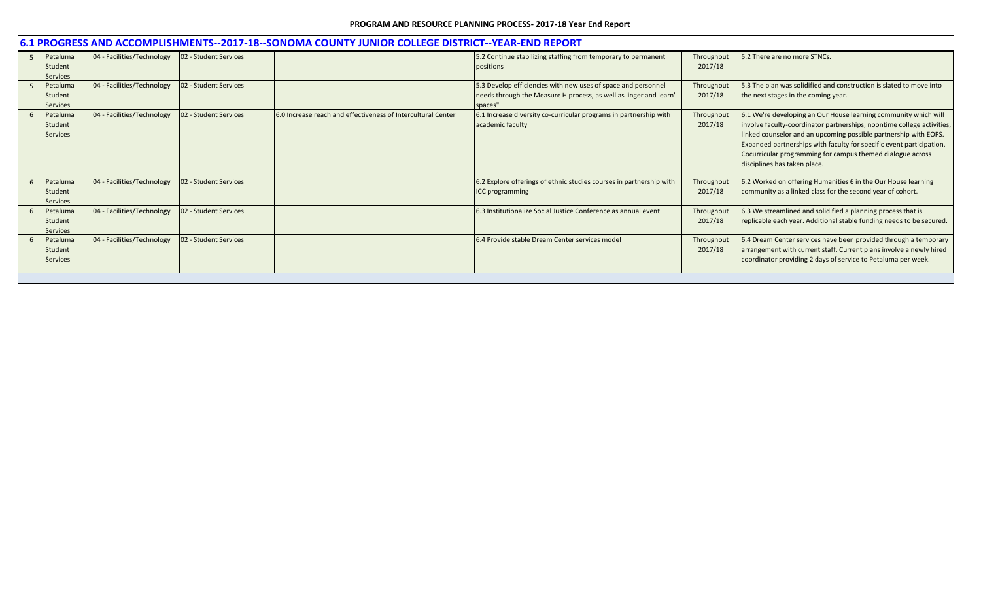|     | 6.1 PROGRESS AND ACCOMPLISHMENTS--2017-18--SONOMA COUNTY JUNIOR COLLEGE DISTRICT--YEAR-END REPORT |                            |                       |                                                              |                                                                                                                                               |                       |                                                                                                                                                                                                                                                                                                                                                                                     |  |  |  |  |
|-----|---------------------------------------------------------------------------------------------------|----------------------------|-----------------------|--------------------------------------------------------------|-----------------------------------------------------------------------------------------------------------------------------------------------|-----------------------|-------------------------------------------------------------------------------------------------------------------------------------------------------------------------------------------------------------------------------------------------------------------------------------------------------------------------------------------------------------------------------------|--|--|--|--|
| - 5 | Petaluma<br>Student<br><b>Services</b>                                                            | 04 - Facilities/Technology | 02 - Student Services |                                                              | 5.2 Continue stabilizing staffing from temporary to permanent<br>positions                                                                    | Throughout<br>2017/18 | 5.2 There are no more STNCs.                                                                                                                                                                                                                                                                                                                                                        |  |  |  |  |
|     | Petaluma<br><b>Student</b><br><b>Services</b>                                                     | 04 - Facilities/Technology | 02 - Student Services |                                                              | 5.3 Develop efficiencies with new uses of space and personnel<br>needs through the Measure H process, as well as linger and learn"<br>spaces" | Throughout<br>2017/18 | 5.3 The plan was solidified and construction is slated to move into<br>the next stages in the coming year.                                                                                                                                                                                                                                                                          |  |  |  |  |
|     | Petaluma<br>Student<br><b>Services</b>                                                            | 04 - Facilities/Technology | 02 - Student Services | 6.0 Increase reach and effectiveness of Intercultural Center | 6.1 Increase diversity co-curricular programs in partnership with<br>academic faculty                                                         | Throughout<br>2017/18 | 6.1 We're developing an Our House learning community which will<br>involve faculty-coordinator partnerships, noontime college activities,<br>linked counselor and an upcoming possible partnership with EOPS.<br>Expanded partnerships with faculty for specific event participation.<br>Cocurricular programming for campus themed dialogue across<br>disciplines has taken place. |  |  |  |  |
|     | Petaluma<br><b>Student</b><br><b>Services</b>                                                     | 04 - Facilities/Technology | 02 - Student Services |                                                              | 6.2 Explore offerings of ethnic studies courses in partnership with<br><b>ICC</b> programming                                                 | Throughout<br>2017/18 | 6.2 Worked on offering Humanities 6 in the Our House learning<br>community as a linked class for the second year of cohort.                                                                                                                                                                                                                                                         |  |  |  |  |
|     | Petaluma<br>Student<br><b>Services</b>                                                            | 04 - Facilities/Technology | 02 - Student Services |                                                              | 6.3 Institutionalize Social Justice Conference as annual event                                                                                | Throughout<br>2017/18 | 6.3 We streamlined and solidified a planning process that is<br>replicable each year. Additional stable funding needs to be secured.                                                                                                                                                                                                                                                |  |  |  |  |
|     | Petaluma<br><b>Student</b><br><b>Services</b>                                                     | 04 - Facilities/Technology | 02 - Student Services |                                                              | 6.4 Provide stable Dream Center services model                                                                                                | Throughout<br>2017/18 | 6.4 Dream Center services have been provided through a temporary<br>arrangement with current staff. Current plans involve a newly hired<br>coordinator providing 2 days of service to Petaluma per week.                                                                                                                                                                            |  |  |  |  |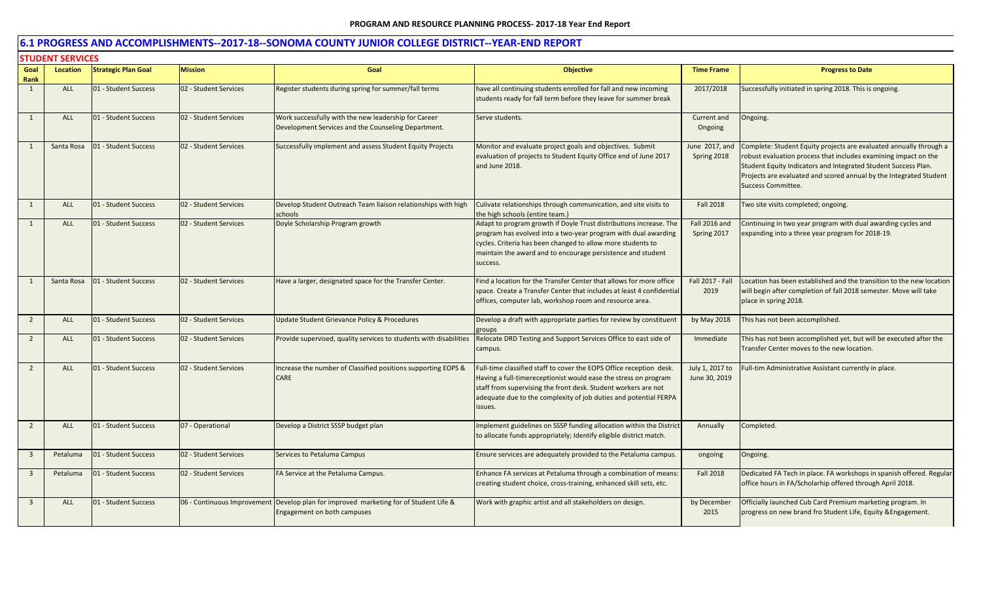|                | <b>STUDENT SERVICES</b> |                            |                       |                                                                                                                      |                                                                                                                                                                                                                                                                                         |                                  |                                                                                                                                                                                                                                                                                                            |
|----------------|-------------------------|----------------------------|-----------------------|----------------------------------------------------------------------------------------------------------------------|-----------------------------------------------------------------------------------------------------------------------------------------------------------------------------------------------------------------------------------------------------------------------------------------|----------------------------------|------------------------------------------------------------------------------------------------------------------------------------------------------------------------------------------------------------------------------------------------------------------------------------------------------------|
| Goal<br>Rank   | <b>Location</b>         | <b>Strategic Plan Goal</b> | <b>Mission</b>        | Goal                                                                                                                 | <b>Objective</b>                                                                                                                                                                                                                                                                        | <b>Time Frame</b>                | <b>Progress to Date</b>                                                                                                                                                                                                                                                                                    |
| $\mathbf{1}$   | <b>ALL</b>              | 01 - Student Success       | 02 - Student Services | Register students during spring for summer/fall terms                                                                | nave all continuing students enrolled for fall and new incoming<br>students ready for fall term before they leave for summer break                                                                                                                                                      | 2017/2018                        | Successfully initiated in spring 2018. This is ongoing.                                                                                                                                                                                                                                                    |
| $\mathbf{1}$   | <b>ALL</b>              | 01 - Student Success       | 02 - Student Services | Work successfully with the new leadership for Career<br>Development Services and the Counseling Department.          | Serve students.                                                                                                                                                                                                                                                                         | Current and<br>Ongoing           | Ongoing.                                                                                                                                                                                                                                                                                                   |
| 1              | Santa Rosa              | 01 - Student Success       | 02 - Student Services | Successfully implement and assess Student Equity Projects                                                            | Monitor and evaluate project goals and objectives. Submit<br>evaluation of projects to Student Equity Office end of June 2017<br>and June 2018.                                                                                                                                         | June 2017, and<br>Spring 2018    | Complete: Student Equity projects are evaluated annually through a<br>robust evaluation process that includes examining impact on the<br>Student Equity Indicators and Integrated Student Success Plan.<br>Projects are evaluated and scored annual by the Integrated Student<br><b>Success Committee.</b> |
| 1              | <b>ALL</b>              | 01 - Student Success       | 02 - Student Services | Develop Student Outreach Team liaison relationships with high<br>schools                                             | Culivate relationships through communication, and site visits to<br>the high schools (entire team.)                                                                                                                                                                                     | <b>Fall 2018</b>                 | Two site visits completed; ongoing.                                                                                                                                                                                                                                                                        |
| 1              | <b>ALL</b>              | 01 - Student Success       | 02 - Student Services | Doyle Scholarship Program growth                                                                                     | Adapt to program growth if Doyle Trust distributions increase. The<br>program has evolved into a two-year program with dual awarding<br>cycles. Criteria has been changed to allow more students to<br>maintain the award and to encourage persistence and student<br>success.          | Fall 2016 and<br>Spring 2017     | Continuing in two year program with dual awarding cycles and<br>expanding into a three year program for 2018-19.                                                                                                                                                                                           |
| $\mathbf{1}$   | Santa Rosa              | 01 - Student Success       | 02 - Student Services | Have a larger, designated space for the Transfer Center.                                                             | Find a location for the Transfer Center that allows for more office<br>space. Create a Transfer Center that includes at least 4 confidential<br>offices, computer lab, workshop room and resource area.                                                                                 | Fall 2017 - Fall<br>2019         | Location has been established and the transition to the new location<br>will begin after completion of fall 2018 semester. Move will take<br>place in spring 2018.                                                                                                                                         |
| $\overline{2}$ | ALL                     | 01 - Student Success       | 02 - Student Services | <b>Update Student Grievance Policy &amp; Procedures</b>                                                              | Develop a draft with appropriate parties for review by constituent<br><b>groups</b>                                                                                                                                                                                                     | by May 2018                      | This has not been accomplished.                                                                                                                                                                                                                                                                            |
| $\overline{2}$ | <b>ALL</b>              | 01 - Student Success       | 02 - Student Services | Provide supervised, quality services to students with disabilities                                                   | Relocate DRD Testing and Support Services Office to east side of<br>campus.                                                                                                                                                                                                             | Immediate                        | This has not been accomplished yet, but will be executed after the<br>Transfer Center moves to the new location.                                                                                                                                                                                           |
| $\overline{2}$ | <b>ALL</b>              | 01 - Student Success       | 02 - Student Services | Increase the number of Classified positions supporting EOPS &<br><b>CARE</b>                                         | Full-time classified staff to cover the EOPS Office reception desk.<br>Having a full-timereceptionist would ease the stress on program<br>staff from supervising the front desk. Student workers are not<br>adequate due to the complexity of job duties and potential FERPA<br>issues. | July 1, 2017 to<br>June 30, 2019 | Full-tim Administrative Assistant currently in place.                                                                                                                                                                                                                                                      |
| $\overline{2}$ | <b>ALL</b>              | 01 - Student Success       | 07 - Operational      | Develop a District SSSP budget plan                                                                                  | mplement guidelines on SSSP funding allocation within the District<br>to allocate funds appropriately; Identify eligible district match.                                                                                                                                                | Annually                         | Completed.                                                                                                                                                                                                                                                                                                 |
| 3              | Petaluma                | 01 - Student Success       | 02 - Student Services | Services to Petaluma Campus                                                                                          | Ensure services are adequately provided to the Petaluma campus.                                                                                                                                                                                                                         | ongoing                          | Ongoing.                                                                                                                                                                                                                                                                                                   |
| $\overline{3}$ | Petaluma                | 01 - Student Success       | 02 - Student Services | FA Service at the Petaluma Campus.                                                                                   | Enhance FA services at Petaluma through a combination of means:<br>creating student choice, cross-training, enhanced skill sets, etc.                                                                                                                                                   | <b>Fall 2018</b>                 | Dedicated FA Tech in place. FA workshops in spanish offered. Regular<br>office hours in FA/Scholarhip offered through April 2018.                                                                                                                                                                          |
| $\overline{3}$ | ALL                     | 01 - Student Success       |                       | 06 - Continuous Improvement Develop plan for improved marketing for of Student Life &<br>Engagement on both campuses | Work with graphic artist and all stakeholders on design.                                                                                                                                                                                                                                | by December<br>2015              | Officially launched Cub Card Premium marketing program. In<br>progress on new brand fro Student Life, Equity & Engagement.                                                                                                                                                                                 |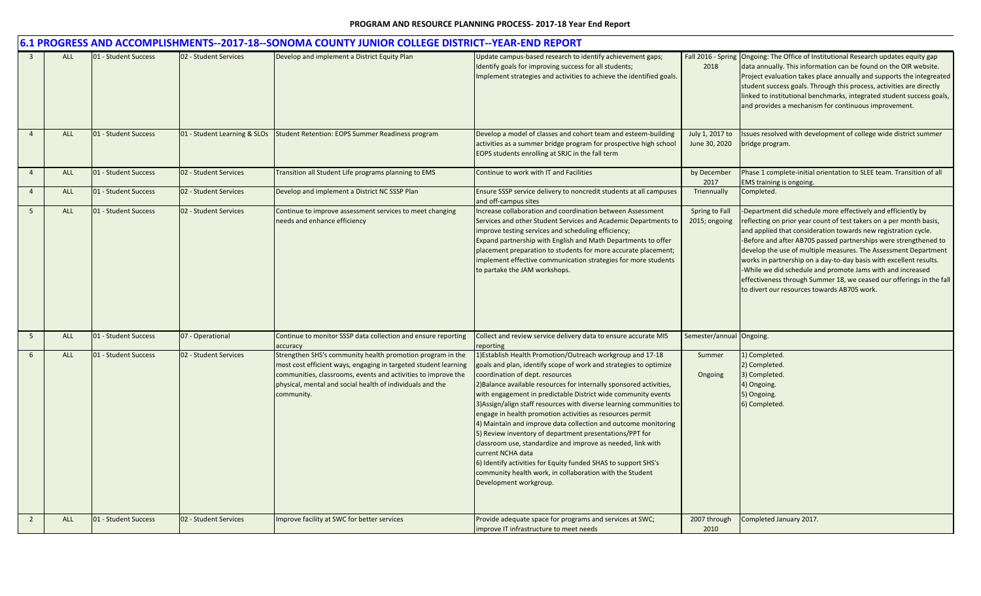|                |            |                      |                              | 6.1 PROGRESS AND ACCOMPLISHMENTS--2017-18--SONOMA COUNTY JUNIOR COLLEGE DISTRICT--YEAR-END REPORT                                                                                                                                                                         |                                                                                                                                                                                                                                                                                                                                                                                                                                                                                                                                                                                                                                                                                                                                                                                                                          |                                  |                                                                                                                                                                                                                                                                                                                                                                                                                                                                                                                                                                                                         |
|----------------|------------|----------------------|------------------------------|---------------------------------------------------------------------------------------------------------------------------------------------------------------------------------------------------------------------------------------------------------------------------|--------------------------------------------------------------------------------------------------------------------------------------------------------------------------------------------------------------------------------------------------------------------------------------------------------------------------------------------------------------------------------------------------------------------------------------------------------------------------------------------------------------------------------------------------------------------------------------------------------------------------------------------------------------------------------------------------------------------------------------------------------------------------------------------------------------------------|----------------------------------|---------------------------------------------------------------------------------------------------------------------------------------------------------------------------------------------------------------------------------------------------------------------------------------------------------------------------------------------------------------------------------------------------------------------------------------------------------------------------------------------------------------------------------------------------------------------------------------------------------|
|                | <b>ALL</b> | 01 - Student Success | 02 - Student Services        | Develop and implement a District Equity Plan                                                                                                                                                                                                                              | Update campus-based research to identify achievement gaps;<br>Identify goals for improving success for all students;<br>Implement strategies and activities to achieve the identified goals.                                                                                                                                                                                                                                                                                                                                                                                                                                                                                                                                                                                                                             | 2018                             | Fall 2016 - Spring Ongoing: The Office of Institutional Research updates equity gap<br>data annually. This information can be found on the OIR website.<br>Project evaluation takes place annually and supports the integreated<br>student success goals. Through this process, activities are directly<br>linked to institutional benchmarks, integrated student success goals,<br>and provides a mechanism for continuous improvement.                                                                                                                                                                |
| $\overline{4}$ | ALL        | 01 - Student Success | 01 - Student Learning & SLOs | <b>Student Retention: EOPS Summer Readiness program</b>                                                                                                                                                                                                                   | Develop a model of classes and cohort team and esteem-building<br>activities as a summer bridge program for prospective high school<br>EOPS students enrolling at SRJC in the fall term                                                                                                                                                                                                                                                                                                                                                                                                                                                                                                                                                                                                                                  | July 1, 2017 to<br>June 30, 2020 | Issues resolved with development of college wide district summer<br>bridge program.                                                                                                                                                                                                                                                                                                                                                                                                                                                                                                                     |
| $\overline{4}$ | ALL        | 01 - Student Success | 02 - Student Services        | Transition all Student Life programs planning to EMS                                                                                                                                                                                                                      | Continue to work with IT and Facilities                                                                                                                                                                                                                                                                                                                                                                                                                                                                                                                                                                                                                                                                                                                                                                                  | by December<br>2017              | Phase 1 complete-initial orientation to SLEE team. Transition of all<br>EMS training is ongoing.                                                                                                                                                                                                                                                                                                                                                                                                                                                                                                        |
| $\overline{4}$ | <b>ALL</b> | 01 - Student Success | 02 - Student Services        | Develop and implement a District NC SSSP Plan                                                                                                                                                                                                                             | Ensure SSSP service delivery to noncredit students at all campuses<br>and off-campus sites                                                                                                                                                                                                                                                                                                                                                                                                                                                                                                                                                                                                                                                                                                                               | Triennually                      | Completed.                                                                                                                                                                                                                                                                                                                                                                                                                                                                                                                                                                                              |
| $5^{\circ}$    | <b>ALL</b> | 01 - Student Success | 02 - Student Services        | Continue to improve assessment services to meet changing<br>needs and enhance efficiency                                                                                                                                                                                  | Increase collaboration and coordination between Assessment<br>Services and other Student Services and Academic Departments to<br>improve testing services and scheduling efficiency;<br>Expand partnership with English and Math Departments to offer<br>placement preparation to students for more accurate placement;<br>implement effective communication strategies for more students<br>to partake the JAM workshops.                                                                                                                                                                                                                                                                                                                                                                                               | Spring to Fall<br>2015; ongoing  | -Department did schedule more effectively and efficiently by<br>reflecting on prior year count of test takers on a per month basis,<br>and applied that consideration towards new registration cycle.<br>-Before and after AB705 passed partnerships were strengthened to<br>develop the use of multiple measures. The Assessment Department<br>works in partnership on a day-to-day basis with excellent results.<br>-While we did schedule and promote Jams with and increased<br>effectiveness through Summer 18, we ceased our offerings in the fall<br>to divert our resources towards AB705 work. |
| 5              | ALL        | 01 - Student Success | 07 - Operational             | Continue to monitor SSSP data collection and ensure reporting<br>accuracy                                                                                                                                                                                                 | Collect and review service delivery data to ensure accurate MIS<br>eporting                                                                                                                                                                                                                                                                                                                                                                                                                                                                                                                                                                                                                                                                                                                                              | Semester/annual Ongoing.         |                                                                                                                                                                                                                                                                                                                                                                                                                                                                                                                                                                                                         |
| 6              | <b>ALL</b> | 01 - Student Success | 02 - Student Services        | Strengthen SHS's community health promotion program in the<br>most cost efficient ways, engaging in targeted student learning<br>communities, classrooms, events and activities to improve the<br>physical, mental and social health of individuals and the<br>community. | 1) Establish Health Promotion/Outreach workgroup and 17-18<br>goals and plan, identify scope of work and strategies to optimize<br>coordination of dept. resources<br>2) Balance available resources for internally sponsored activities,<br>with engagement in predictable District wide community events<br>3) Assign/align staff resources with diverse learning communities to<br>engage in health promotion activities as resources permit<br>4) Maintain and improve data collection and outcome monitoring<br>5) Review inventory of department presentations/PPT for<br>classroom use, standardize and improve as needed, link with<br>current NCHA data<br>6) Identify activities for Equity funded SHAS to support SHS's<br>community health work, in collaboration with the Student<br>Development workgroup. | Summer<br>Ongoing                | 1) Completed.<br>2) Completed.<br>3) Completed.<br>4) Ongoing.<br>5) Ongoing.<br>6) Completed.                                                                                                                                                                                                                                                                                                                                                                                                                                                                                                          |
| $\overline{2}$ | <b>ALL</b> | 01 - Student Success | 02 - Student Services        | Improve facility at SWC for better services                                                                                                                                                                                                                               | Provide adequate space for programs and services at SWC;<br>improve IT infrastructure to meet needs                                                                                                                                                                                                                                                                                                                                                                                                                                                                                                                                                                                                                                                                                                                      | 2007 through<br>2010             | Completed January 2017.                                                                                                                                                                                                                                                                                                                                                                                                                                                                                                                                                                                 |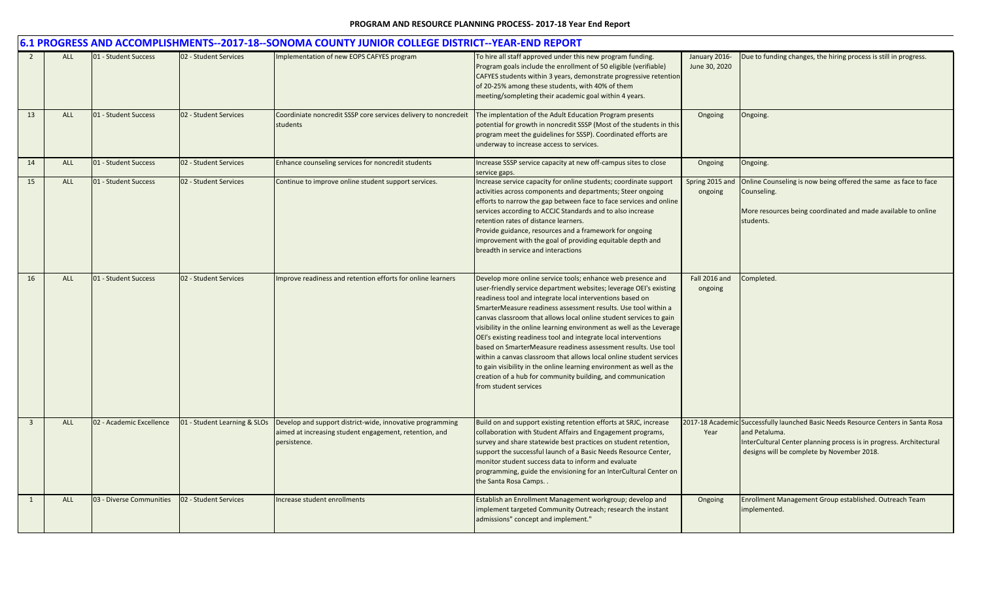|                |            |                          |                              | 6.1 PROGRESS AND ACCOMPLISHMENTS--2017-18--SONOMA COUNTY JUNIOR COLLEGE DISTRICT--YEAR-END REPORT                                   |                                                                                                                                                                                                                                                                                                                                                                                                                                                                                                                                                                                                                                                                                                                                                                                             |                                |                                                                                                                                                                                                                         |
|----------------|------------|--------------------------|------------------------------|-------------------------------------------------------------------------------------------------------------------------------------|---------------------------------------------------------------------------------------------------------------------------------------------------------------------------------------------------------------------------------------------------------------------------------------------------------------------------------------------------------------------------------------------------------------------------------------------------------------------------------------------------------------------------------------------------------------------------------------------------------------------------------------------------------------------------------------------------------------------------------------------------------------------------------------------|--------------------------------|-------------------------------------------------------------------------------------------------------------------------------------------------------------------------------------------------------------------------|
|                | <b>ALL</b> | 01 - Student Success     | 02 - Student Services        | Implementation of new EOPS CAFYES program                                                                                           | To hire all staff approved under this new program funding.<br>Program goals include the enrollment of 50 eligible (verifiable)<br>CAFYES students within 3 years, demonstrate progressive retention<br>of 20-25% among these students, with 40% of them<br>meeting/sompleting their academic goal within 4 years.                                                                                                                                                                                                                                                                                                                                                                                                                                                                           | January 2016-<br>June 30, 2020 | Due to funding changes, the hiring process is still in progress.                                                                                                                                                        |
| 13             | <b>ALL</b> | 01 - Student Success     | 02 - Student Services        | Coordiniate noncredit SSSP core services delivery to noncredeit<br>students                                                         | The implentation of the Adult Education Program presents<br>potential for growth in noncredit SSSP (Most of the students in this<br>program meet the guidelines for SSSP). Coordinated efforts are<br>underway to increase access to services.                                                                                                                                                                                                                                                                                                                                                                                                                                                                                                                                              | Ongoing                        | Ongoing.                                                                                                                                                                                                                |
| 14             | <b>ALL</b> | 01 - Student Success     | 02 - Student Services        | Enhance counseling services for noncredit students                                                                                  | Increase SSSP service capacity at new off-campus sites to close<br>service gaps.                                                                                                                                                                                                                                                                                                                                                                                                                                                                                                                                                                                                                                                                                                            | Ongoing                        | Ongoing.                                                                                                                                                                                                                |
| 15             | ALL        | 01 - Student Success     | 02 - Student Services        | Continue to improve online student support services.                                                                                | Increase service capacity for online students; coordinate support<br>activities across components and departments; Steer ongoing<br>efforts to narrow the gap between face to face services and online<br>services according to ACCJC Standards and to also increase<br>retention rates of distance learners.<br>Provide guidance, resources and a framework for ongoing<br>improvement with the goal of providing equitable depth and<br>breadth in service and interactions                                                                                                                                                                                                                                                                                                               | Spring 2015 and<br>ongoing     | Online Counseling is now being offered the same as face to face<br>Counseling.<br>More resources being coordinated and made available to online<br>students.                                                            |
| 16             | <b>ALL</b> | 01 - Student Success     | 02 - Student Services        | Improve readiness and retention efforts for online learners                                                                         | Develop more online service tools; enhance web presence and<br>user-friendly service department websites; leverage OEI's existing<br>readiness tool and integrate local interventions based on<br>SmarterMeasure readiness assessment results. Use tool within a<br>canvas classroom that allows local online student services to gain<br>visibility in the online learning environment as well as the Leverage<br>OEI's existing readiness tool and integrate local interventions<br>based on SmarterMeasure readiness assessment results. Use tool<br>within a canvas classroom that allows local online student services<br>to gain visibility in the online learning environment as well as the<br>creation of a hub for community building, and communication<br>from student services | Fall 2016 and<br>ongoing       | Completed.                                                                                                                                                                                                              |
| $\overline{3}$ | <b>ALL</b> | 02 - Academic Excellence | 01 - Student Learning & SLOs | Develop and support district-wide, innovative programming<br>aimed at increasing student engagement, retention, and<br>persistence. | Build on and support existing retention efforts at SRJC, increase<br>collaboration with Student Affairs and Engagement programs,<br>survey and share statewide best practices on student retention,<br>support the successful launch of a Basic Needs Resource Center,<br>monitor student success data to inform and evaluate<br>programming, guide the envisioning for an InterCultural Center on<br>the Santa Rosa Camps                                                                                                                                                                                                                                                                                                                                                                  | Year                           | 2017-18 Academic Successfully launched Basic Needs Resource Centers in Santa Rosa<br>and Petaluma.<br>InterCultural Center planning process is in progress. Architectural<br>designs will be complete by November 2018. |
| 1              | <b>ALL</b> | 03 - Diverse Communities | 02 - Student Services        | ncrease student enrollments                                                                                                         | Establish an Enrollment Management workgroup; develop and<br>implement targeted Community Outreach; research the instant<br>admissions" concept and implement."                                                                                                                                                                                                                                                                                                                                                                                                                                                                                                                                                                                                                             | Ongoing                        | Enrollment Management Group established. Outreach Team<br>implemented.                                                                                                                                                  |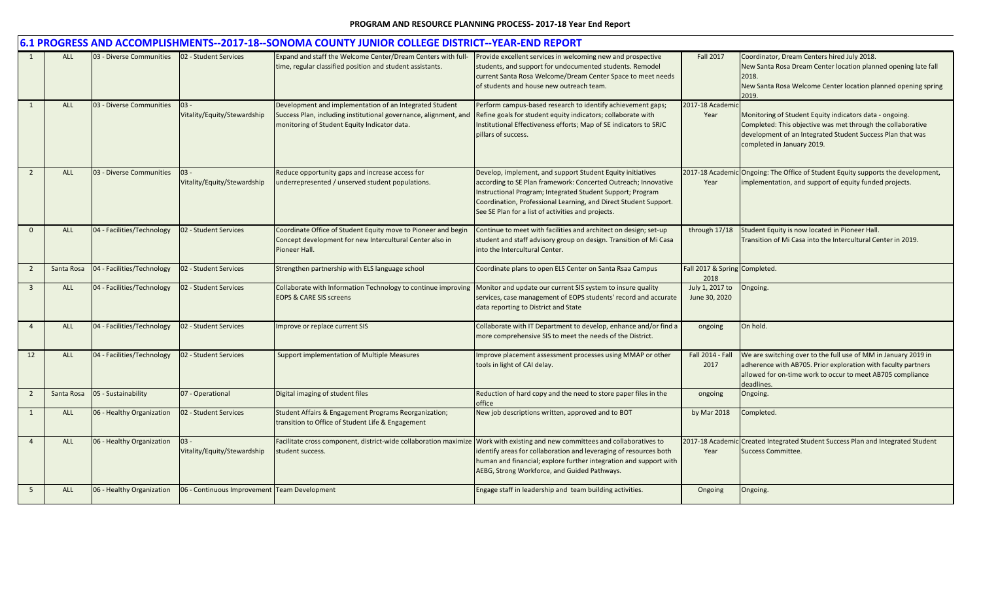|                | 6.1 PROGRESS AND ACCOMPLISHMENTS--2017-18--SONOMA COUNTY JUNIOR COLLEGE DISTRICT--YEAR-END REPORT |                            |                                              |                                                                                                                                                                             |                                                                                                                                                                                                                                                                                                                      |                                       |                                                                                                                                                                                                                    |  |  |  |  |
|----------------|---------------------------------------------------------------------------------------------------|----------------------------|----------------------------------------------|-----------------------------------------------------------------------------------------------------------------------------------------------------------------------------|----------------------------------------------------------------------------------------------------------------------------------------------------------------------------------------------------------------------------------------------------------------------------------------------------------------------|---------------------------------------|--------------------------------------------------------------------------------------------------------------------------------------------------------------------------------------------------------------------|--|--|--|--|
| 1              | <b>ALL</b>                                                                                        | 03 - Diverse Communities   | 02 - Student Services                        | Expand and staff the Welcome Center/Dream Centers with full-<br>time, regular classified position and student assistants.                                                   | Provide excellent services in welcoming new and prospective<br>students, and support for undocumented students. Remodel<br>current Santa Rosa Welcome/Dream Center Space to meet needs<br>of students and house new outreach team.                                                                                   | <b>Fall 2017</b>                      | Coordinator, Dream Centers hired July 2018.<br>New Santa Rosa Dream Center location planned opening late fall<br>2018.<br>New Santa Rosa Welcome Center location planned opening spring<br>2019.                   |  |  |  |  |
| 1              | ALL                                                                                               | 03 - Diverse Communities   | $03 -$<br>Vitality/Equity/Stewardship        | Development and implementation of an Integrated Student<br>Success Plan, including institutional governance, alignment, and<br>monitoring of Student Equity Indicator data. | Perform campus-based research to identify achievement gaps;<br>Refine goals for student equity indicators; collaborate with<br>Institutional Effectiveness efforts; Map of SE indicators to SRJC<br>pillars of success.                                                                                              | 2017-18 Academic<br>Year              | Monitoring of Student Equity indicators data - ongoing.<br>Completed: This objective was met through the collaborative<br>development of an Integrated Student Success Plan that was<br>completed in January 2019. |  |  |  |  |
| $\overline{2}$ | <b>ALL</b>                                                                                        | 03 - Diverse Communities   | 03 -<br>Vitality/Equity/Stewardship          | Reduce opportunity gaps and increase access for<br>underrepresented / unserved student populations.                                                                         | Develop, implement, and support Student Equity initiatives<br>according to SE Plan framework: Concerted Outreach; Innovative<br>Instructional Program; Integrated Student Support; Program<br>Coordination, Professional Learning, and Direct Student Support.<br>See SE Plan for a list of activities and projects. | Year                                  | 2017-18 Academic Ongoing: The Office of Student Equity supports the development,<br>implementation, and support of equity funded projects.                                                                         |  |  |  |  |
| $\mathbf{0}$   | <b>ALL</b>                                                                                        | 04 - Facilities/Technology | 02 - Student Services                        | Coordinate Office of Student Equity move to Pioneer and begin<br>Concept development for new Intercultural Center also in<br>Pioneer Hall.                                  | Continue to meet with facilities and architect on design; set-up<br>student and staff advisory group on design. Transition of Mi Casa<br>into the Intercultural Center.                                                                                                                                              | through 17/18                         | Student Equity is now located in Pioneer Hall.<br>Transition of Mi Casa into the Intercultural Center in 2019.                                                                                                     |  |  |  |  |
| $\overline{2}$ | Santa Rosa                                                                                        | 04 - Facilities/Technology | 02 - Student Services                        | Strengthen partnership with ELS language school                                                                                                                             | Coordinate plans to open ELS Center on Santa Rsaa Campus                                                                                                                                                                                                                                                             | Fall 2017 & Spring Completed.<br>2018 |                                                                                                                                                                                                                    |  |  |  |  |
| $\overline{3}$ | ALL                                                                                               | 04 - Facilities/Technology | 02 - Student Services                        | Collaborate with Information Technology to continue improving<br><b>EOPS &amp; CARE SIS screens</b>                                                                         | Monitor and update our current SIS system to insure quality<br>services, case management of EOPS students' record and accurate<br>data reporting to District and State                                                                                                                                               | July 1, 2017 to<br>June 30, 2020      | Ongoing.                                                                                                                                                                                                           |  |  |  |  |
| $\overline{4}$ | <b>ALL</b>                                                                                        | 04 - Facilities/Technology | 02 - Student Services                        | Improve or replace current SIS                                                                                                                                              | Collaborate with IT Department to develop, enhance and/or find a<br>more comprehensive SIS to meet the needs of the District.                                                                                                                                                                                        | ongoing                               | On hold.                                                                                                                                                                                                           |  |  |  |  |
| 12             | <b>ALL</b>                                                                                        | 04 - Facilities/Technology | 02 - Student Services                        | <b>Support implementation of Multiple Measures</b>                                                                                                                          | Improve placement assessment processes using MMAP or other<br>tools in light of CAI delay.                                                                                                                                                                                                                           | Fall 2014 - Fall<br>2017              | We are switching over to the full use of MM in January 2019 in<br>adherence with AB705. Prior exploration with faculty partners<br>allowed for on-time work to occur to meet AB705 compliance<br>deadlines         |  |  |  |  |
| $\overline{2}$ | Santa Rosa                                                                                        | 05 - Sustainability        | 07 - Operational                             | Digital imaging of student files                                                                                                                                            | Reduction of hard copy and the need to store paper files in the<br>office                                                                                                                                                                                                                                            | ongoing                               | Ongoing.                                                                                                                                                                                                           |  |  |  |  |
| 1              | ALL                                                                                               | 06 - Healthy Organization  | 02 - Student Services                        | Student Affairs & Engagement Programs Reorganization;<br>transition to Office of Student Life & Engagement                                                                  | New job descriptions written, approved and to BOT                                                                                                                                                                                                                                                                    | by Mar 2018                           | Completed.                                                                                                                                                                                                         |  |  |  |  |
| $\overline{4}$ | <b>ALL</b>                                                                                        | 06 - Healthy Organization  | $03 -$<br>Vitality/Equity/Stewardship        | Facilitate cross component, district-wide collaboration maximize Work with existing and new committees and collaboratives to<br>student success.                            | identify areas for collaboration and leveraging of resources both<br>human and financial; explore further integration and support with<br>AEBG, Strong Workforce, and Guided Pathways.                                                                                                                               | Year                                  | 2017-18 Academic Created Integrated Student Success Plan and Integrated Student<br><b>Success Committee.</b>                                                                                                       |  |  |  |  |
| 5              | <b>ALL</b>                                                                                        | 06 - Healthy Organization  | 06 - Continuous Improvement Team Development |                                                                                                                                                                             | Engage staff in leadership and team building activities.                                                                                                                                                                                                                                                             | Ongoing                               | Ongoing.                                                                                                                                                                                                           |  |  |  |  |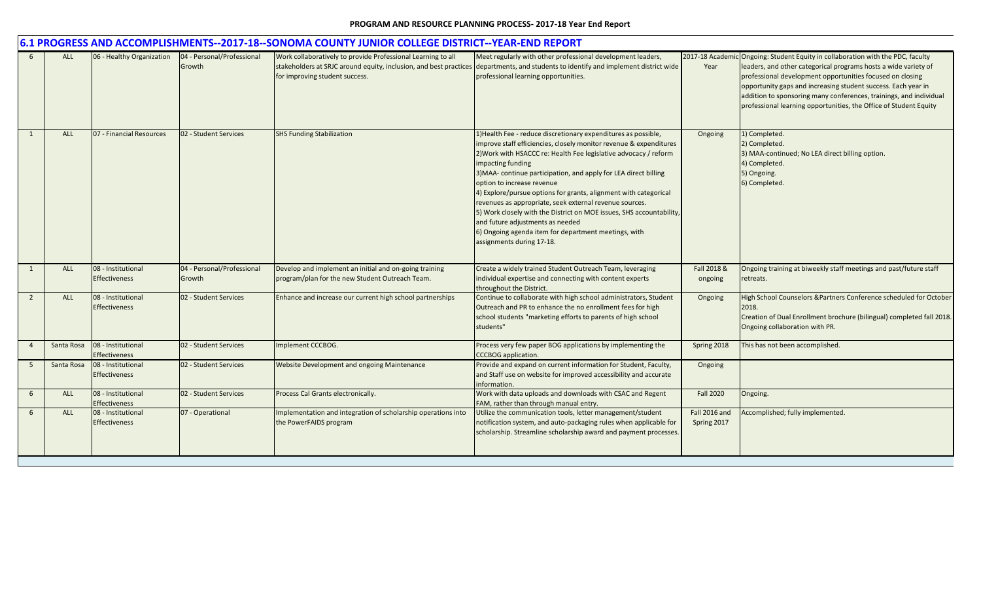|                | 6.1 PROGRESS AND ACCOMPLISHMENTS--2017-18--SONOMA COUNTY JUNIOR COLLEGE DISTRICT--YEAR-END REPORT |                                            |                                      |                                                                                                           |                                                                                                                                                                                                                                                                                                                                                                                                                                                                                                                                                                                                                                                                 |                              |                                                                                                                                                                                                                                                                                                                                                                                                                             |  |  |  |
|----------------|---------------------------------------------------------------------------------------------------|--------------------------------------------|--------------------------------------|-----------------------------------------------------------------------------------------------------------|-----------------------------------------------------------------------------------------------------------------------------------------------------------------------------------------------------------------------------------------------------------------------------------------------------------------------------------------------------------------------------------------------------------------------------------------------------------------------------------------------------------------------------------------------------------------------------------------------------------------------------------------------------------------|------------------------------|-----------------------------------------------------------------------------------------------------------------------------------------------------------------------------------------------------------------------------------------------------------------------------------------------------------------------------------------------------------------------------------------------------------------------------|--|--|--|
|                | <b>ALL</b>                                                                                        | 06 - Healthy Organization                  | 04 - Personal/Professional<br>Growth | Work collaboratively to provide Professional Learning to all<br>for improving student success.            | Meet regularly with other professional development leaders,<br>stakeholders at SRJC around equity, inclusion, and best practices departments, and students to identify and implement district wide<br>professional learning opportunities.                                                                                                                                                                                                                                                                                                                                                                                                                      | Year                         | 2017-18 Academic Ongoing: Student Equity in collaboration with the PDC, faculty<br>leaders, and other categorical programs hosts a wide variety of<br>professional development opportunities focused on closing<br>opportunity gaps and increasing student success. Each year in<br>addition to sponsoring many conferences, trainings, and individual<br>professional learning opportunities, the Office of Student Equity |  |  |  |
| 1              | <b>ALL</b>                                                                                        | 07 - Financial Resources                   | 02 - Student Services                | <b>SHS Funding Stabilization</b>                                                                          | 1) Health Fee - reduce discretionary expenditures as possible,<br>improve staff efficiencies, closely monitor revenue & expenditures<br>2) Work with HSACCC re: Health Fee legislative advocacy / reform<br>impacting funding<br>3) MAA- continue participation, and apply for LEA direct billing<br>option to increase revenue<br>4) Explore/pursue options for grants, alignment with categorical<br>revenues as appropriate, seek external revenue sources.<br>5) Work closely with the District on MOE issues, SHS accountability,<br>and future adjustments as needed<br>6) Ongoing agenda item for department meetings, with<br>assignments during 17-18. | Ongoing                      | 1) Completed.<br>2) Completed.<br>3) MAA-continued; No LEA direct billing option.<br>4) Completed.<br>5) Ongoing.<br>6) Completed.                                                                                                                                                                                                                                                                                          |  |  |  |
| 1              | <b>ALL</b>                                                                                        | 08 - Institutional<br><b>Effectiveness</b> | 04 - Personal/Professional<br>Growth | Develop and implement an initial and on-going training<br>program/plan for the new Student Outreach Team. | Create a widely trained Student Outreach Team, leveraging<br>individual expertise and connecting with content experts<br>throughout the District.                                                                                                                                                                                                                                                                                                                                                                                                                                                                                                               | Fall 2018 &<br>ongoing       | Ongoing training at biweekly staff meetings and past/future staff<br>retreats.                                                                                                                                                                                                                                                                                                                                              |  |  |  |
| $\overline{2}$ | <b>ALL</b>                                                                                        | 08 - Institutional<br><b>Effectiveness</b> | 02 - Student Services                | Enhance and increase our current high school partnerships                                                 | Continue to collaborate with high school administrators, Student<br>Outreach and PR to enhance the no enrollment fees for high<br>school students "marketing efforts to parents of high school<br>students"                                                                                                                                                                                                                                                                                                                                                                                                                                                     | Ongoing                      | High School Counselors & Partners Conference scheduled for October<br>2018.<br>Creation of Dual Enrollment brochure (bilingual) completed fall 2018.<br>Ongoing collaboration with PR.                                                                                                                                                                                                                                      |  |  |  |
| $\overline{4}$ | Santa Rosa                                                                                        | 08 - Institutional<br><b>Effectiveness</b> | 02 - Student Services                | Implement CCCBOG.                                                                                         | Process very few paper BOG applications by implementing the<br><b>CCCBOG</b> application.                                                                                                                                                                                                                                                                                                                                                                                                                                                                                                                                                                       | Spring 2018                  | This has not been accomplished.                                                                                                                                                                                                                                                                                                                                                                                             |  |  |  |
| -5             | Santa Rosa                                                                                        | 08 - Institutional<br><b>Effectiveness</b> | 02 - Student Services                | Website Development and ongoing Maintenance                                                               | Provide and expand on current information for Student, Faculty,<br>and Staff use on website for improved accessibility and accurate<br>information.                                                                                                                                                                                                                                                                                                                                                                                                                                                                                                             | Ongoing                      |                                                                                                                                                                                                                                                                                                                                                                                                                             |  |  |  |
| 6              | <b>ALL</b>                                                                                        | 08 - Institutional<br><b>Effectiveness</b> | 02 - Student Services                | Process Cal Grants electronically.                                                                        | Work with data uploads and downloads with CSAC and Regent<br>FAM, rather than through manual entry.                                                                                                                                                                                                                                                                                                                                                                                                                                                                                                                                                             | <b>Fall 2020</b>             | Ongoing.                                                                                                                                                                                                                                                                                                                                                                                                                    |  |  |  |
| 6              | <b>ALL</b>                                                                                        | 08 - Institutional<br><b>Effectiveness</b> | 07 - Operational                     | Implementation and integration of scholarship operations into<br>the PowerFAIDS program                   | Utilize the communication tools, letter management/student<br>notification system, and auto-packaging rules when applicable for<br>scholarship. Streamline scholarship award and payment processes.                                                                                                                                                                                                                                                                                                                                                                                                                                                             | Fall 2016 and<br>Spring 2017 | Accomplished; fully implemented.                                                                                                                                                                                                                                                                                                                                                                                            |  |  |  |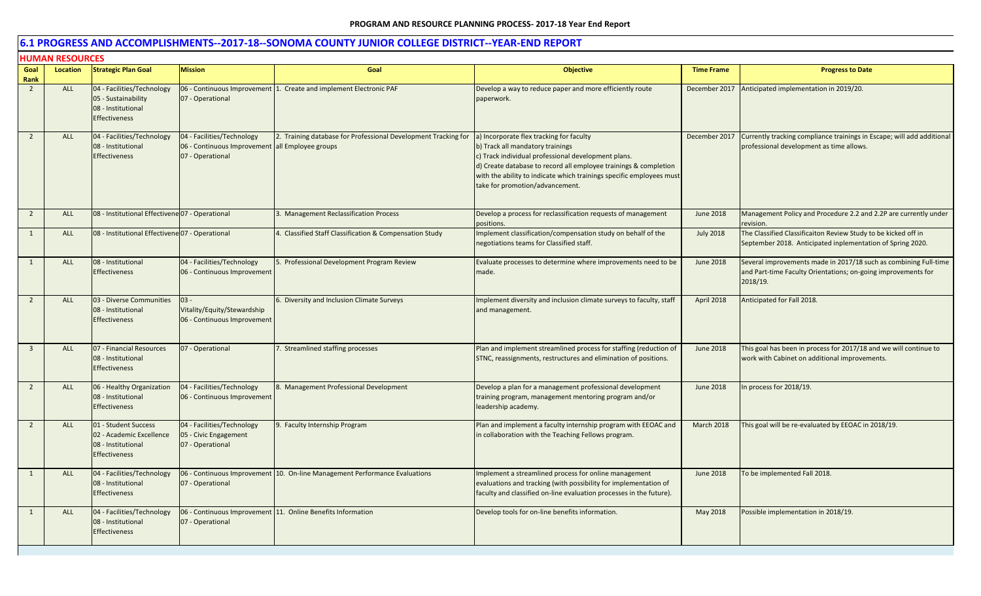|                | <b>HUMAN RESOURCES</b> |                                                                                                |                                                                                                   |                                                                |                                                                                                                                                                                                                                                                                                                    |                   |                                                                                                                                               |
|----------------|------------------------|------------------------------------------------------------------------------------------------|---------------------------------------------------------------------------------------------------|----------------------------------------------------------------|--------------------------------------------------------------------------------------------------------------------------------------------------------------------------------------------------------------------------------------------------------------------------------------------------------------------|-------------------|-----------------------------------------------------------------------------------------------------------------------------------------------|
| Goal<br>Rank   | Location               | <b>Strategic Plan Goal</b>                                                                     | <b>Mission</b>                                                                                    | Goal                                                           | <b>Objective</b>                                                                                                                                                                                                                                                                                                   | <b>Time Frame</b> | <b>Progress to Date</b>                                                                                                                       |
| $\overline{2}$ | ALL                    | 04 - Facilities/Technology<br>05 - Sustainability<br>08 - Institutional<br>Effectiveness       | 06 - Continuous Improvement<br>07 - Operational                                                   | 1. Create and implement Electronic PAF                         | Develop a way to reduce paper and more efficiently route<br>paperwork.                                                                                                                                                                                                                                             |                   | December 2017 Anticipated implementation in 2019/20.                                                                                          |
| 2              | ALL                    | 04 - Facilities/Technology<br>08 - Institutional<br><b>Effectiveness</b>                       | 04 - Facilities/Technology<br>06 - Continuous Improvement all Employee groups<br>07 - Operational | 2. Training database for Professional Development Tracking for | a) Incorporate flex tracking for faculty<br>b) Track all mandatory trainings<br>c) Track individual professional development plans.<br>d) Create database to record all employee trainings & completion<br>with the ability to indicate which trainings specific employees must<br>take for promotion/advancement. | December 2017     | Currently tracking compliance trainings in Escape; will add additional<br>professional development as time allows.                            |
| $\overline{2}$ | <b>ALL</b>             | 08 - Institutional Effectivene 07 - Operational                                                |                                                                                                   | 3. Management Reclassification Process                         | Develop a process for reclassification requests of management<br>positions.                                                                                                                                                                                                                                        | June 2018         | Management Policy and Procedure 2.2 and 2.2P are currently under<br>revision.                                                                 |
| 1              | ALL                    | 08 - Institutional Effectivene 07 - Operational                                                |                                                                                                   | 4. Classified Staff Classification & Compensation Study        | Implement classification/compensation study on behalf of the<br>negotiations teams for Classified staff.                                                                                                                                                                                                           | <b>July 2018</b>  | The Classified Classificaiton Review Study to be kicked off in<br>September 2018. Anticipated inplementation of Spring 2020.                  |
| 1              | <b>ALL</b>             | 08 - Institutional<br><b>Effectiveness</b>                                                     | 04 - Facilities/Technology<br>06 - Continuous Improvement                                         | 5. Professional Development Program Review                     | Evaluate processes to determine where improvements need to be<br>made.                                                                                                                                                                                                                                             | <b>June 2018</b>  | Several improvements made in 2017/18 such as combining Full-time<br>and Part-time Faculty Orientations; on-going improvements for<br>2018/19. |
| $\overline{2}$ | ALL                    | 03 - Diverse Communities<br>08 - Institutional<br><b>Effectiveness</b>                         | $03 -$<br>Vitality/Equity/Stewardship<br>06 - Continuous Improvement                              | 6. Diversity and Inclusion Climate Surveys                     | mplement diversity and inclusion climate surveys to faculty, staff<br>and management.                                                                                                                                                                                                                              | April 2018        | Anticipated for Fall 2018.                                                                                                                    |
| $\overline{3}$ | <b>ALL</b>             | 07 - Financial Resources<br>08 - Institutional<br><b>Effectiveness</b>                         | 07 - Operational                                                                                  | 7. Streamlined staffing processes                              | Plan and implement streamlined process for staffing (reduction of<br>STNC, reassignments, restructures and elimination of positions.                                                                                                                                                                               | <b>June 2018</b>  | This goal has been in process for 2017/18 and we will continue to<br>work with Cabinet on additional improvements.                            |
| $\overline{2}$ | ALL                    | 06 - Healthy Organization<br>08 - Institutional<br><b>Effectiveness</b>                        | 04 - Facilities/Technology<br>06 - Continuous Improvement                                         | 8. Management Professional Development                         | Develop a plan for a management professional development<br>training program, management mentoring program and/or<br>leadership academy.                                                                                                                                                                           | <b>June 2018</b>  | In process for 2018/19.                                                                                                                       |
| $\overline{2}$ | ALL                    | 01 - Student Success<br>02 - Academic Excellence<br>08 - Institutional<br><b>Effectiveness</b> | 04 - Facilities/Technology<br>05 - Civic Engagement<br>07 - Operational                           | 9. Faculty Internship Program                                  | Plan and implement a faculty internship program with EEOAC and<br>in collaboration with the Teaching Fellows program.                                                                                                                                                                                              | March 2018        | This goal will be re-evaluated by EEOAC in 2018/19.                                                                                           |
| 1              | ALL                    | 04 - Facilities/Technology<br>08 - Institutional<br><b>Effectiveness</b>                       | 06 - Continuous Improvement<br>07 - Operational                                                   | 10. On-line Management Performance Evaluations                 | mplement a streamlined process for online management<br>evaluations and tracking (with possibility for implementation of<br>faculty and classified on-line evaluation processes in the future).                                                                                                                    | June 2018         | To be implemented Fall 2018.                                                                                                                  |
| 1              | ALL                    | 04 - Facilities/Technology<br>08 - Institutional<br><b>Effectiveness</b>                       | 07 - Operational                                                                                  | 06 - Continuous Improvement 11. Online Benefits Information    | Develop tools for on-line benefits information.                                                                                                                                                                                                                                                                    | May 2018          | Possible implementation in 2018/19.                                                                                                           |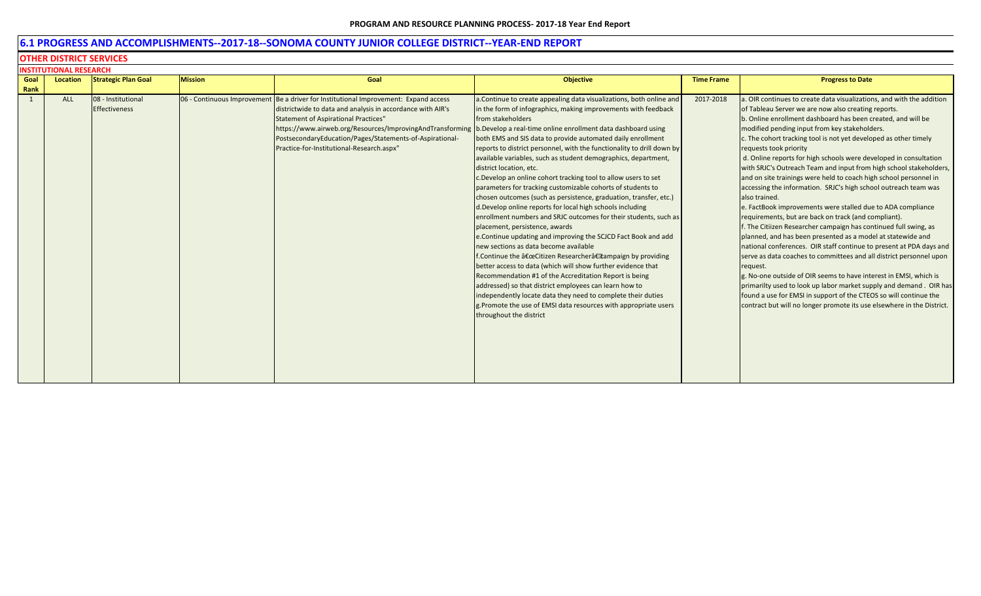## **6.1 PROGRESS AND ACCOMPLISHMENTS--2017-18--SONOMA COUNTY JUNIOR COLLEGE DISTRICT--YEAR-END REPORT**

#### **OTHER DISTRICT SERVICES**

|      | <b>INSTITUTIONAL RESEARCH</b> |                            |                |                                                                                                                        |                                                                        |                   |                                                                        |  |  |  |
|------|-------------------------------|----------------------------|----------------|------------------------------------------------------------------------------------------------------------------------|------------------------------------------------------------------------|-------------------|------------------------------------------------------------------------|--|--|--|
| Goal | Location                      | <b>Strategic Plan Goal</b> | <b>Mission</b> | Goal                                                                                                                   | <b>Objective</b>                                                       | <b>Time Frame</b> | <b>Progress to Date</b>                                                |  |  |  |
| Rank |                               |                            |                |                                                                                                                        |                                                                        |                   |                                                                        |  |  |  |
| 1    | ALL                           | 08 - Institutional         |                | 06 - Continuous Improvement Be a driver for Institutional Improvement: Expand access                                   | a. Continue to create appealing data visualizations, both online and   | 2017-2018         | a. OIR continues to create data visualizations, and with the addition  |  |  |  |
|      |                               | <b>Effectiveness</b>       |                | districtwide to data and analysis in accordance with AIR's                                                             | in the form of infographics, making improvements with feedback         |                   | of Tableau Server we are now also creating reports.                    |  |  |  |
|      |                               |                            |                | <b>Statement of Aspirational Practices"</b>                                                                            | from stakeholders                                                      |                   | b. Online enrollment dashboard has been created, and will be           |  |  |  |
|      |                               |                            |                | https://www.airweb.org/Resources/ImprovingAndTransforming b.Develop a real-time online enrollment data dashboard using |                                                                        |                   | modified pending input from key stakeholders.                          |  |  |  |
|      |                               |                            |                | PostsecondaryEducation/Pages/Statements-of-Aspirational-                                                               | both EMS and SIS data to provide automated daily enrollment            |                   | c. The cohort tracking tool is not yet developed as other timely       |  |  |  |
|      |                               |                            |                | Practice-for-Institutional-Research.aspx"                                                                              | reports to district personnel, with the functionality to drill down by |                   | requests took priority                                                 |  |  |  |
|      |                               |                            |                |                                                                                                                        | available variables, such as student demographics, department,         |                   | d. Online reports for high schools were developed in consultation      |  |  |  |
|      |                               |                            |                |                                                                                                                        | district location, etc.                                                |                   | with SRJC's Outreach Team and input from high school stakeholders,     |  |  |  |
|      |                               |                            |                |                                                                                                                        | c. Develop an online cohort tracking tool to allow users to set        |                   | and on site trainings were held to coach high school personnel in      |  |  |  |
|      |                               |                            |                |                                                                                                                        | parameters for tracking customizable cohorts of students to            |                   | accessing the information. SRJC's high school outreach team was        |  |  |  |
|      |                               |                            |                |                                                                                                                        | chosen outcomes (such as persistence, graduation, transfer, etc.)      |                   | also trained.                                                          |  |  |  |
|      |                               |                            |                |                                                                                                                        | d.Develop online reports for local high schools including              |                   | e. FactBook improvements were stalled due to ADA compliance            |  |  |  |
|      |                               |                            |                |                                                                                                                        | enrollment numbers and SRJC outcomes for their students, such as       |                   | requirements, but are back on track (and compliant).                   |  |  |  |
|      |                               |                            |                |                                                                                                                        | placement, persistence, awards                                         |                   | f. The Citiizen Researcher campaign has continued full swing, as       |  |  |  |
|      |                               |                            |                |                                                                                                                        | e.Continue updating and improving the SCJCD Fact Book and add          |                   | planned, and has been presented as a model at statewide and            |  |  |  |
|      |                               |                            |                |                                                                                                                        | new sections as data become available                                  |                   | national conferences. OIR staff continue to present at PDA days and    |  |  |  |
|      |                               |                            |                |                                                                                                                        | f. Continue the "Citizen Researcher†Lampaign by providing              |                   | serve as data coaches to committees and all district personnel upon    |  |  |  |
|      |                               |                            |                |                                                                                                                        | better access to data (which will show further evidence that           |                   | request.                                                               |  |  |  |
|      |                               |                            |                |                                                                                                                        | Recommendation #1 of the Accreditation Report is being                 |                   | g. No-one outside of OIR seems to have interest in EMSI, which is      |  |  |  |
|      |                               |                            |                |                                                                                                                        | addressed) so that district employees can learn how to                 |                   | primarilty used to look up labor market supply and demand. OIR has     |  |  |  |
|      |                               |                            |                |                                                                                                                        | independently locate data they need to complete their duties           |                   | found a use for EMSI in support of the CTEOS so will continue the      |  |  |  |
|      |                               |                            |                |                                                                                                                        | g. Promote the use of EMSI data resources with appropriate users       |                   | contract but will no longer promote its use elsewhere in the District. |  |  |  |
|      |                               |                            |                |                                                                                                                        | throughout the district                                                |                   |                                                                        |  |  |  |
|      |                               |                            |                |                                                                                                                        |                                                                        |                   |                                                                        |  |  |  |
|      |                               |                            |                |                                                                                                                        |                                                                        |                   |                                                                        |  |  |  |
|      |                               |                            |                |                                                                                                                        |                                                                        |                   |                                                                        |  |  |  |
|      |                               |                            |                |                                                                                                                        |                                                                        |                   |                                                                        |  |  |  |
|      |                               |                            |                |                                                                                                                        |                                                                        |                   |                                                                        |  |  |  |
|      |                               |                            |                |                                                                                                                        |                                                                        |                   |                                                                        |  |  |  |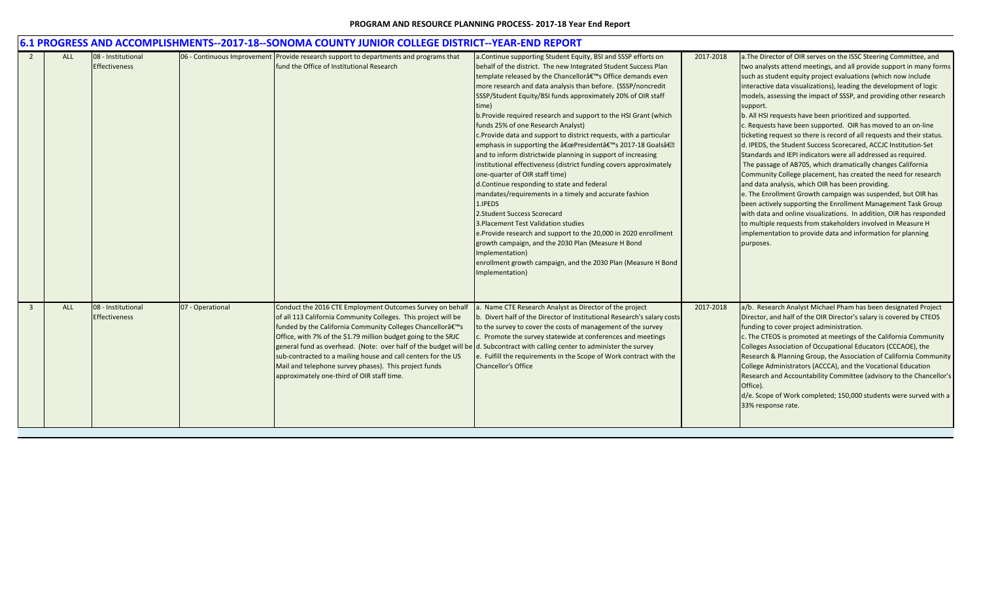|                |            |                      |                  | <u>6.1 PROGRESS AND ACCOMPLISHMENTS--2017-18--SONOMA COUNTY JUNIOR COLLEGE DISTRICT--YEAR-END REPORT</u>                     |                                                                        |           |                                                                               |
|----------------|------------|----------------------|------------------|------------------------------------------------------------------------------------------------------------------------------|------------------------------------------------------------------------|-----------|-------------------------------------------------------------------------------|
|                | <b>ALL</b> | 08 - Institutional   |                  | 06 - Continuous Improvement Provide research support to departments and programs that                                        | a. Continue supporting Student Equity, BSI and SSSP efforts on         | 2017-2018 | a. The Director of OIR serves on the ISSC Steering Committee, and             |
|                |            | <b>Effectiveness</b> |                  | fund the Office of Institutional Research                                                                                    | behalf of the district. The new Integrated Student Success Plan        |           | two analysts attend meetings, and all provide support in many forms           |
|                |            |                      |                  |                                                                                                                              | template released by the Chancellor's Office demands even              |           | such as student equity project evaluations (which now include                 |
|                |            |                      |                  |                                                                                                                              | more research and data analysis than before. (SSSP/noncredit           |           | interactive data visualizations), leading the development of logic            |
|                |            |                      |                  |                                                                                                                              | SSSP/Student Equity/BSI funds approximately 20% of OIR staff           |           | models, assessing the impact of SSSP, and providing other research            |
|                |            |                      |                  |                                                                                                                              | time)                                                                  |           | support.                                                                      |
|                |            |                      |                  |                                                                                                                              | b. Provide required research and support to the HSI Grant (which       |           | b. All HSI requests have been prioritized and supported.                      |
|                |            |                      |                  |                                                                                                                              | funds 25% of one Research Analyst)                                     |           | c. Requests have been supported. OIR has moved to an on-line                  |
|                |            |                      |                  |                                                                                                                              | c.Provide data and support to district requests, with a particular     |           | ticketing request so there is record of all requests and their status.        |
|                |            |                      |                  |                                                                                                                              | emphasis in supporting the "President's 2017-18 Goals�                 |           | d. IPEDS, the Student Success Scorecared, ACCJC Institution-Set               |
|                |            |                      |                  |                                                                                                                              | and to inform districtwide planning in support of increasing           |           | Standards and IEPI indicators were all addressed as required.                 |
|                |            |                      |                  |                                                                                                                              | institutional effectiveness (district funding covers approximately     |           | The passage of AB705, which dramatically changes California                   |
|                |            |                      |                  |                                                                                                                              | one-quarter of OIR staff time)                                         |           | Community College placement, has created the need for research                |
|                |            |                      |                  |                                                                                                                              | d.Continue responding to state and federal                             |           | and data analysis, which OIR has been providing.                              |
|                |            |                      |                  |                                                                                                                              | mandates/requirements in a timely and accurate fashion                 |           | e. The Enrollment Growth campaign was suspended, but OIR has                  |
|                |            |                      |                  |                                                                                                                              | 1.IPEDS                                                                |           | been actively supporting the Enrollment Management Task Group                 |
|                |            |                      |                  |                                                                                                                              | 2.Student Success Scorecard                                            |           | with data and online visualizations. In addition, OIR has responded           |
|                |            |                      |                  |                                                                                                                              | 3. Placement Test Validation studies                                   |           | to multiple requests from stakeholders involved in Measure H                  |
|                |            |                      |                  |                                                                                                                              | e.Provide research and support to the 20,000 in 2020 enrollment        |           | implementation to provide data and information for planning                   |
|                |            |                      |                  |                                                                                                                              | growth campaign, and the 2030 Plan (Measure H Bond                     |           | purposes.                                                                     |
|                |            |                      |                  |                                                                                                                              | Implementation)                                                        |           |                                                                               |
|                |            |                      |                  |                                                                                                                              | enrollment growth campaign, and the 2030 Plan (Measure H Bond          |           |                                                                               |
|                |            |                      |                  |                                                                                                                              | Implementation)                                                        |           |                                                                               |
|                |            |                      |                  |                                                                                                                              |                                                                        |           |                                                                               |
|                |            |                      |                  |                                                                                                                              |                                                                        |           |                                                                               |
| $\overline{3}$ | <b>ALL</b> | 08 - Institutional   | 07 - Operational | Conduct the 2016 CTE Employment Outcomes Survey on behalf                                                                    | . Name CTE Research Analyst as Director of the project                 | 2017-2018 | a/b. Research Analyst Michael Pham has been designated Project                |
|                |            | <b>Effectiveness</b> |                  | of all 113 California Community Colleges. This project will be                                                               | . Divert half of the Director of Institutional Research's salary costs |           | Director, and half of the OIR Director's salary is covered by CTEOS           |
|                |            |                      |                  | funded by the California Community Colleges Chancellorâ€ <sup>™</sup> s                                                      | to the survey to cover the costs of management of the survey           |           | funding to cover project administration.                                      |
|                |            |                      |                  | Office, with 7% of the \$1.79 million budget going to the SRJC                                                               | . Promote the survey statewide at conferences and meetings             |           | c. The CTEOS is promoted at meetings of the California Community              |
|                |            |                      |                  | general fund as overhead. (Note: over half of the budget will be d. Subcontract with calling center to administer the survey |                                                                        |           | Colleges Association of Occupational Educators (CCCAOE), the                  |
|                |            |                      |                  | sub-contracted to a mailing house and call centers for the US                                                                | e. Fulfill the requirements in the Scope of Work contract with the     |           | Research & Planning Group, the Association of California Community            |
|                |            |                      |                  | Mail and telephone survey phases). This project funds                                                                        | <b>Chancellor's Office</b>                                             |           | College Administrators (ACCCA), and the Vocational Education                  |
|                |            |                      |                  | approximately one-third of OIR staff time.                                                                                   |                                                                        |           | Research and Accountability Committee (advisory to the Chancellor's           |
|                |            |                      |                  |                                                                                                                              |                                                                        |           |                                                                               |
|                |            |                      |                  |                                                                                                                              |                                                                        |           | Office).<br>d/e. Scope of Work completed; 150,000 students were surved with a |
|                |            |                      |                  |                                                                                                                              |                                                                        |           |                                                                               |
|                |            |                      |                  |                                                                                                                              |                                                                        |           | 33% response rate.                                                            |
|                |            |                      |                  |                                                                                                                              |                                                                        |           |                                                                               |
|                |            |                      |                  |                                                                                                                              |                                                                        |           |                                                                               |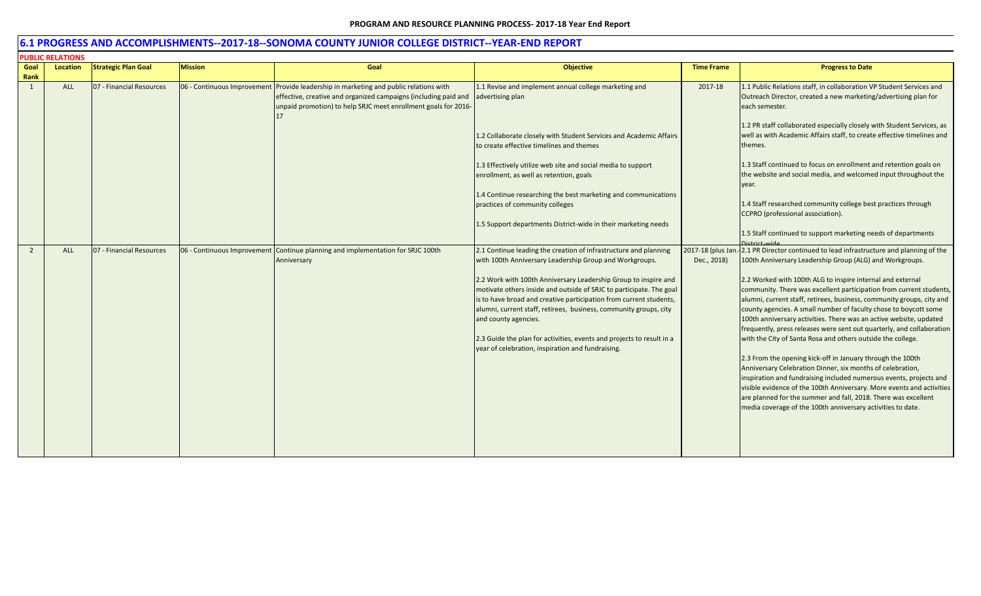| <b>PUBLIC RELATIONS</b> |                 |                            |                |                                                                                                                                                                                                                            |                                                                                                                                                                                                                                                                                                           |                                  |                                                                                                                                                                                                                                                                                                                                                                                                                               |  |
|-------------------------|-----------------|----------------------------|----------------|----------------------------------------------------------------------------------------------------------------------------------------------------------------------------------------------------------------------------|-----------------------------------------------------------------------------------------------------------------------------------------------------------------------------------------------------------------------------------------------------------------------------------------------------------|----------------------------------|-------------------------------------------------------------------------------------------------------------------------------------------------------------------------------------------------------------------------------------------------------------------------------------------------------------------------------------------------------------------------------------------------------------------------------|--|
| Goal                    | <b>Location</b> | <b>Strategic Plan Goal</b> | <b>Mission</b> | Goal                                                                                                                                                                                                                       | <b>Objective</b>                                                                                                                                                                                                                                                                                          | <b>Time Frame</b>                | <b>Progress to Date</b>                                                                                                                                                                                                                                                                                                                                                                                                       |  |
| Rank                    |                 |                            |                |                                                                                                                                                                                                                            |                                                                                                                                                                                                                                                                                                           |                                  |                                                                                                                                                                                                                                                                                                                                                                                                                               |  |
| 1                       | <b>ALL</b>      | 07 - Financial Resources   |                | 06 - Continuous Improvement Provide leadership in marketing and public relations with<br>effective, creative and organized campaigns (including paid and<br>unpaid promotion) to help SRJC meet enrollment goals for 2016- | 1.1 Revise and implement annual college marketing and<br>advertising plan                                                                                                                                                                                                                                 | 2017-18                          | 1.1 Public Relations staff, in collaboration VP Student Services and<br>Outreach Director, created a new marketing/advertising plan for<br>each semester.                                                                                                                                                                                                                                                                     |  |
|                         |                 |                            |                |                                                                                                                                                                                                                            | 1.2 Collaborate closely with Student Services and Academic Affairs<br>to create effective timelines and themes                                                                                                                                                                                            |                                  | 1.2 PR staff collaborated especially closely with Student Services, as<br>well as with Academic Affairs staff, to create effective timelines and<br>themes.                                                                                                                                                                                                                                                                   |  |
|                         |                 |                            |                |                                                                                                                                                                                                                            | 1.3 Effectively utilize web site and social media to support<br>enrollment, as well as retention, goals                                                                                                                                                                                                   |                                  | 1.3 Staff continued to focus on enrollment and retention goals on<br>the website and social media, and welcomed input throughout the<br>year.                                                                                                                                                                                                                                                                                 |  |
|                         |                 |                            |                |                                                                                                                                                                                                                            | 1.4 Continue researching the best marketing and communications<br>practices of community colleges                                                                                                                                                                                                         |                                  | 1.4 Staff researched community college best practices through<br>CCPRO (professional association).                                                                                                                                                                                                                                                                                                                            |  |
|                         |                 |                            |                |                                                                                                                                                                                                                            | 1.5 Support departments District-wide in their marketing needs                                                                                                                                                                                                                                            |                                  | 1.5 Staff continued to support marketing needs of departments                                                                                                                                                                                                                                                                                                                                                                 |  |
| $\overline{2}$          | <b>ALL</b>      | 07 - Financial Resources   |                | 06 - Continuous Improvement Continue planning and implementation for SRJC 100th<br>Anniversary                                                                                                                             | 2.1 Continue leading the creation of infrastructure and planning<br>with 100th Anniversary Leadership Group and Workgroups.                                                                                                                                                                               | 2017-18 (plus Jan<br>Dec., 2018) | -2.1 PR Director continued to lead infrastructure and planning of the<br>100th Anniversary Leadership Group (ALG) and Workgroups.                                                                                                                                                                                                                                                                                             |  |
|                         |                 |                            |                |                                                                                                                                                                                                                            | 2.2 Work with 100th Anniversary Leadership Group to inspire and<br>motivate others inside and outside of SRJC to participate. The goal<br>is to have broad and creative participation from current students,<br>alumni, current staff, retirees, business, community groups, city<br>and county agencies. |                                  | 2.2 Worked with 100th ALG to inspire internal and external<br>community. There was excellent participation from current students,<br>alumni, current staff, retirees, business, community groups, city and<br>county agencies. A small number of faculty chose to boycott some<br>100th anniversary activities. There was an active website, updated<br>frequently, press releases were sent out quarterly, and collaboration |  |
|                         |                 |                            |                |                                                                                                                                                                                                                            | 2.3 Guide the plan for activities, events and projects to result in a<br>year of celebration, inspiration and fundraising.                                                                                                                                                                                |                                  | with the City of Santa Rosa and others outside the college.<br>2.3 From the opening kick-off in January through the 100th<br>Anniversary Celebration Dinner, six months of celebration,<br>inspiration and fundraising included numerous events, projects and<br>visible evidence of the 100th Anniversary. More events and activities                                                                                        |  |
|                         |                 |                            |                |                                                                                                                                                                                                                            |                                                                                                                                                                                                                                                                                                           |                                  | are planned for the summer and fall, 2018. There was excellent<br>media coverage of the 100th anniversary activities to date.                                                                                                                                                                                                                                                                                                 |  |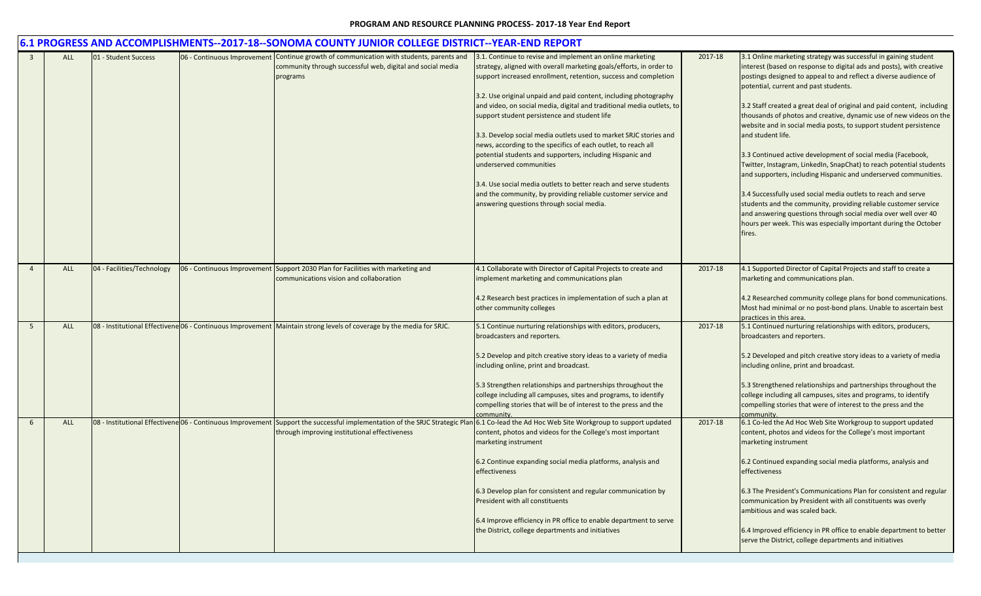|    |            |                            |                             | 6.1 PROGRESS AND ACCOMPLISHMENTS--2017-18--SONOMA COUNTY JUNIOR COLLEGE DISTRICT--YEAR-END REPORT                                                                                                                                         |                                                                                                                                                                                                                                                                                                                                                                                                                                                                                                                                                                                                                                                                                                                                                                                                                  |         |                                                                                                                                                                                                                                                                                                                                                                                                                                                                                                                                                                                                                                                                                                                                                                                                                                                                                                                                                                                             |
|----|------------|----------------------------|-----------------------------|-------------------------------------------------------------------------------------------------------------------------------------------------------------------------------------------------------------------------------------------|------------------------------------------------------------------------------------------------------------------------------------------------------------------------------------------------------------------------------------------------------------------------------------------------------------------------------------------------------------------------------------------------------------------------------------------------------------------------------------------------------------------------------------------------------------------------------------------------------------------------------------------------------------------------------------------------------------------------------------------------------------------------------------------------------------------|---------|---------------------------------------------------------------------------------------------------------------------------------------------------------------------------------------------------------------------------------------------------------------------------------------------------------------------------------------------------------------------------------------------------------------------------------------------------------------------------------------------------------------------------------------------------------------------------------------------------------------------------------------------------------------------------------------------------------------------------------------------------------------------------------------------------------------------------------------------------------------------------------------------------------------------------------------------------------------------------------------------|
|    | <b>ALL</b> | 01 - Student Success       | 06 - Continuous Improvement | Continue growth of communication with students, parents and<br>community through successful web, digital and social media<br>programs                                                                                                     | 3.1. Continue to revise and implement an online marketing<br>strategy, aligned with overall marketing goals/efforts, in order to<br>support increased enrollment, retention, success and completion<br>3.2. Use original unpaid and paid content, including photography<br>and video, on social media, digital and traditional media outlets, to<br>support student persistence and student life<br>3.3. Develop social media outlets used to market SRJC stories and<br>news, according to the specifics of each outlet, to reach all<br>potential students and supporters, including Hispanic and<br>underserved communities<br>3.4. Use social media outlets to better reach and serve students<br>and the community, by providing reliable customer service and<br>answering questions through social media. | 2017-18 | 3.1 Online marketing strategy was successful in gaining student<br>interest (based on response to digital ads and posts), with creative<br>postings designed to appeal to and reflect a diverse audience of<br>potential, current and past students.<br>3.2 Staff created a great deal of original and paid content, including<br>thousands of photos and creative, dynamic use of new videos on the<br>website and in social media posts, to support student persistence<br>and student life.<br>3.3 Continued active development of social media (Facebook,<br>Twitter, Instagram, LinkedIn, SnapChat) to reach potential students<br>and supporters, including Hispanic and underserved communities.<br>3.4 Successfully used social media outlets to reach and serve<br>students and the community, providing reliable customer service<br>and answering questions through social media over well over 40<br>hours per week. This was especially important during the October<br>fires. |
|    | <b>ALL</b> | 04 - Facilities/Technology |                             | 06 - Continuous Improvement Support 2030 Plan for Facilities with marketing and<br>communications vision and collaboration                                                                                                                | 4.1 Collaborate with Director of Capital Projects to create and<br>implement marketing and communications plan<br>4.2 Research best practices in implementation of such a plan at<br>other community colleges                                                                                                                                                                                                                                                                                                                                                                                                                                                                                                                                                                                                    | 2017-18 | 4.1 Supported Director of Capital Projects and staff to create a<br>marketing and communications plan.<br>4.2 Researched community college plans for bond communications.<br>Most had minimal or no post-bond plans. Unable to ascertain best<br>practices in this area.                                                                                                                                                                                                                                                                                                                                                                                                                                                                                                                                                                                                                                                                                                                    |
| -5 | <b>ALL</b> |                            |                             | 08 - Institutional Effectivene 06 - Continuous Improvement   Maintain strong levels of coverage by the media for SRJC.                                                                                                                    | 5.1 Continue nurturing relationships with editors, producers,<br>broadcasters and reporters.<br>5.2 Develop and pitch creative story ideas to a variety of media<br>including online, print and broadcast.<br>5.3 Strengthen relationships and partnerships throughout the<br>college including all campuses, sites and programs, to identify<br>compelling stories that will be of interest to the press and the<br>communitv.                                                                                                                                                                                                                                                                                                                                                                                  | 2017-18 | 5.1 Continued nurturing relationships with editors, producers,<br>broadcasters and reporters.<br>5.2 Developed and pitch creative story ideas to a variety of media<br>including online, print and broadcast.<br>5.3 Strengthened relationships and partnerships throughout the<br>college including all campuses, sites and programs, to identify<br>compelling stories that were of interest to the press and the<br>community.                                                                                                                                                                                                                                                                                                                                                                                                                                                                                                                                                           |
|    | <b>ALL</b> |                            |                             | 08 - Institutional Effectivene 06 - Continuous Improvement Support the successful implementation of the SRJC Strategic Plan 6.1 Co-lead the Ad Hoc Web Site Workgroup to support updated<br>through improving institutional effectiveness | content, photos and videos for the College's most important<br>marketing instrument<br>6.2 Continue expanding social media platforms, analysis and<br>effectiveness<br>6.3 Develop plan for consistent and regular communication by<br>President with all constituents<br>6.4 Improve efficiency in PR office to enable department to serve<br>the District, college departments and initiatives                                                                                                                                                                                                                                                                                                                                                                                                                 | 2017-18 | 6.1 Co-led the Ad Hoc Web Site Workgroup to support updated<br>content, photos and videos for the College's most important<br>marketing instrument<br>6.2 Continued expanding social media platforms, analysis and<br>effectiveness<br>6.3 The President's Communications Plan for consistent and regular<br>communication by President with all constituents was overly<br>ambitious and was scaled back.<br>6.4 Improved efficiency in PR office to enable department to better<br>serve the District, college departments and initiatives                                                                                                                                                                                                                                                                                                                                                                                                                                                |